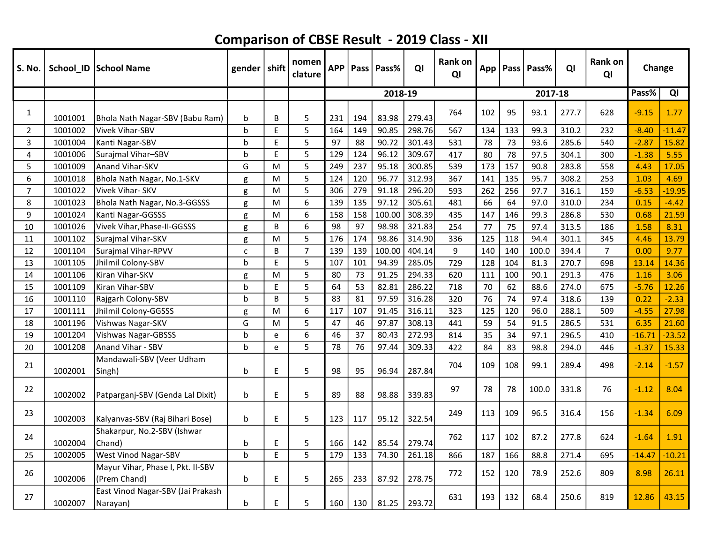| S. No.         |         | School_ID   School Name                           | gender   shift |    | nomen<br>clature | <b>APP</b> | Pass | Pass%   | QI     | Rank on<br>QI | App |     | Pass   Pass% | QI    | <b>Rank on</b><br>QI | Change   |          |
|----------------|---------|---------------------------------------------------|----------------|----|------------------|------------|------|---------|--------|---------------|-----|-----|--------------|-------|----------------------|----------|----------|
|                |         |                                                   |                |    |                  |            |      | 2018-19 |        |               |     |     | 2017-18      |       |                      | Pass%    | QI       |
| 1              | 1001001 | Bhola Nath Nagar-SBV (Babu Ram)                   | b              | B  | 5                | 231        | 194  | 83.98   | 279.43 | 764           | 102 | 95  | 93.1         | 277.7 | 628                  | $-9.15$  | 1.77     |
| $\overline{2}$ | 1001002 | Vivek Vihar-SBV                                   | h              | E  | 5                | 164        | 149  | 90.85   | 298.76 | 567           | 134 | 133 | 99.3         | 310.2 | 232                  | $-8.40$  | $-11.47$ |
| $\overline{3}$ | 1001004 | Kanti Nagar-SBV                                   | b              | E  | 5                | 97         | 88   | 90.72   | 301.43 | 531           | 78  | 73  | 93.6         | 285.6 | 540                  | $-2.87$  | 15.82    |
| $\overline{4}$ | 1001006 | Surajmal Vihar-SBV                                | b              | E  | 5                | 129        | 124  | 96.12   | 309.67 | 417           | 80  | 78  | 97.5         | 304.1 | 300                  | $-1.38$  | 5.55     |
| 5              | 1001009 | Anand Vihar-SKV                                   | G              | M  | 5                | 249        | 237  | 95.18   | 300.85 | 539           | 173 | 157 | 90.8         | 283.8 | 558                  | 4.43     | 17.05    |
| 6              | 1001018 | Bhola Nath Nagar, No.1-SKV                        | g              | M  | 5                | 124        | 120  | 96.77   | 312.93 | 367           | 141 | 135 | 95.7         | 308.2 | 253                  | 1.03     | 4.69     |
| $\overline{7}$ | 1001022 | Vivek Vihar-SKV                                   | g              | M  | 5                | 306        | 279  | 91.18   | 296.20 | 593           | 262 | 256 | 97.7         | 316.1 | 159                  | $-6.53$  | $-19.95$ |
| 8              | 1001023 | Bhola Nath Nagar, No.3-GGSSS                      | g              | M  | 6                | 139        | 135  | 97.12   | 305.61 | 481           | 66  | 64  | 97.0         | 310.0 | 234                  | 0.15     | $-4.42$  |
| 9              | 1001024 | Kanti Nagar-GGSSS                                 | g              | M  | 6                | 158        | 158  | 100.00  | 308.39 | 435           | 147 | 146 | 99.3         | 286.8 | 530                  | 0.68     | 21.59    |
| 10             | 1001026 | Vivek Vihar, Phase-II-GGSSS                       | g              | B  | 6                | 98         | 97   | 98.98   | 321.83 | 254           | 77  | 75  | 97.4         | 313.5 | 186                  | 1.58     | 8.31     |
| 11             | 1001102 | Surajmal Vihar-SKV                                | g              | M  | 5                | 176        | 174  | 98.86   | 314.90 | 336           | 125 | 118 | 94.4         | 301.1 | 345                  | 4.46     | 13.79    |
| 12             | 1001104 | Surajmal Vihar-RPVV                               | $\mathsf{C}$   | B  | $\overline{7}$   | 139        | 139  | 100.00  | 404.14 | 9             | 140 | 140 | 100.0        | 394.4 | $\overline{7}$       | 0.00     | 9.77     |
| 13             | 1001105 | Jhilmil Colony-SBV                                | h              | E  | 5                | 107        | 101  | 94.39   | 285.05 | 729           | 128 | 104 | 81.3         | 270.7 | 698                  | 13.14    | 14.36    |
| 14             | 1001106 | Kiran Vihar-SKV                                   | g              | M  | 5                | 80         | 73   | 91.25   | 294.33 | 620           | 111 | 100 | 90.1         | 291.3 | 476                  | 1.16     | 3.06     |
| 15             | 1001109 | Kiran Vihar-SBV                                   | b              | E. | 5                | 64         | 53   | 82.81   | 286.22 | 718           | 70  | 62  | 88.6         | 274.0 | 675                  | $-5.76$  | 12.26    |
| 16             | 1001110 | Rajgarh Colony-SBV                                | h              | B  | 5                | 83         | 81   | 97.59   | 316.28 | 320           | 76  | 74  | 97.4         | 318.6 | 139                  | 0.22     | $-2.33$  |
| 17             | 1001111 | Jhilmil Colony-GGSSS                              | g              | M  | 6                | 117        | 107  | 91.45   | 316.11 | 323           | 125 | 120 | 96.0         | 288.1 | 509                  | $-4.55$  | 27.98    |
| 18             | 1001196 | Vishwas Nagar-SKV                                 | G              | M  | 5                | 47         | 46   | 97.87   | 308.13 | 441           | 59  | 54  | 91.5         | 286.5 | 531                  | 6.35     | 21.60    |
| 19             | 1001204 | Vishwas Nagar-GBSSS                               | h              | e  | 6                | 46         | 37   | 80.43   | 272.93 | 814           | 35  | 34  | 97.1         | 296.5 | 410                  | $-16.71$ | $-23.52$ |
| 20             | 1001208 | Anand Vihar - SBV                                 | b              | e  | 5                | 78         | 76   | 97.44   | 309.33 | 422           | 84  | 83  | 98.8         | 294.0 | 446                  | $-1.37$  | 15.33    |
| 21             | 1002001 | Mandawali-SBV (Veer Udham<br>Singh)               | b              | E  | 5                | 98         | 95   | 96.94   | 287.84 | 704           | 109 | 108 | 99.1         | 289.4 | 498                  | $-2.14$  | $-1.57$  |
| 22             | 1002002 | Patparganj-SBV (Genda Lal Dixit)                  | $\mathbf b$    | E  | 5                | 89         | 88   | 98.88   | 339.83 | 97            | 78  | 78  | 100.0        | 331.8 | 76                   | $-1.12$  | 8.04     |
| 23             | 1002003 | Kalyanvas-SBV (Raj Bihari Bose)                   | b              | E  | 5                | 123        | 117  | 95.12   | 322.54 | 249           | 113 | 109 | 96.5         | 316.4 | 156                  | $-1.34$  | 6.09     |
| 24             | 1002004 | Shakarpur, No.2-SBV (Ishwar<br> Chand)            | b              | E  | 5                | 166        | 142  | 85.54   | 279.74 | 762           | 117 | 102 | 87.2         | 277.8 | 624                  | $-1.64$  | 1.91     |
| 25             | 1002005 | <b>West Vinod Nagar-SBV</b>                       | b              | E  | 5                | 179        | 133  | 74.30   | 261.18 | 866           | 187 | 166 | 88.8         | 271.4 | 695                  | $-14.47$ | $-10.21$ |
| 26             | 1002006 | Mayur Vihar, Phase I, Pkt. II-SBV<br>(Prem Chand) | b              | E  | 5                | 265        | 233  | 87.92   | 278.75 | 772           | 152 | 120 | 78.9         | 252.6 | 809                  | 8.98     | 26.11    |
| 27             | 1002007 | East Vinod Nagar-SBV (Jai Prakash<br>Narayan)     | b              | E  | 5                | 160        | 130  | 81.25   | 293.72 | 631           | 193 | 132 | 68.4         | 250.6 | 819                  | 12.86    | 43.15    |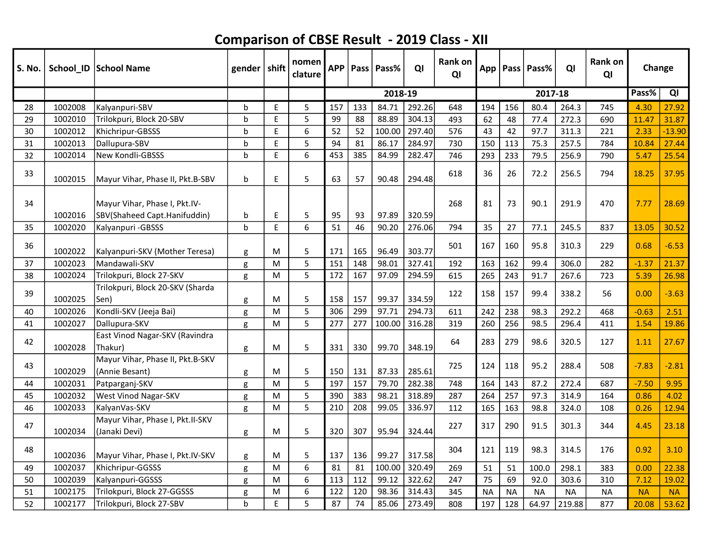| S. No. |         | School_ID   School Name                            | gender $ $ shift |         | nomen<br>clature | <b>APP</b> | Pass | l Pass% | QI     | <b>Rank on</b><br>QI |           |           | App   Pass   Pass% | QI        | <b>Rank on</b><br>QI | Change    |           |
|--------|---------|----------------------------------------------------|------------------|---------|------------------|------------|------|---------|--------|----------------------|-----------|-----------|--------------------|-----------|----------------------|-----------|-----------|
|        |         |                                                    |                  |         |                  |            |      | 2018-19 |        |                      |           |           | 2017-18            |           |                      | Pass%     | QI        |
| 28     | 1002008 | Kalyanpuri-SBV                                     | b                | E       | 5                | 157        | 133  | 84.71   | 292.26 | 648                  | 194       | 156       | 80.4               | 264.3     | 745                  | 4.30      | 27.92     |
| 29     | 1002010 | Trilokpuri, Block 20-SBV                           | b                | E       | 5                | 99         | 88   | 88.89   | 304.13 | 493                  | 62        | 48        | 77.4               | 272.3     | 690                  | 11.47     | 31.87     |
| 30     | 1002012 | Khichripur-GBSSS                                   | b                | E       | 6                | 52         | 52   | 100.00  | 297.40 | 576                  | 43        | 42        | 97.7               | 311.3     | 221                  | 2.33      | $-13.90$  |
| 31     | 1002013 | Dallupura-SBV                                      | b                | E       | 5                | 94         | 81   | 86.17   | 284.97 | 730                  | 150       | 113       | 75.3               | 257.5     | 784                  | 10.84     | 27.44     |
| 32     | 1002014 | New Kondli-GBSSS                                   | $\mathbf b$      | Ė       | 6                | 453        | 385  | 84.99   | 282.47 | 746                  | 293       | 233       | 79.5               | 256.9     | 790                  | 5.47      | 25.54     |
| 33     | 1002015 | Mayur Vihar, Phase II, Pkt.B-SBV                   | b                | E       | 5                | 63         | 57   | 90.48   | 294.48 | 618                  | 36        | 26        | 72.2               | 256.5     | 794                  | 18.25     | 37.95     |
| 34     |         | Mayur Vihar, Phase I, Pkt.IV-                      |                  |         |                  |            |      |         |        | 268                  | 81        | 73        | 90.1               | 291.9     | 470                  | 7.77      | 28.69     |
| 35     | 1002016 | SBV(Shaheed Capt.Hanifuddin)                       | b<br>$\mathbf b$ | E<br>E. | 5<br>6           | 95<br>51   | 93   | 97.89   | 320.59 |                      | 35        |           |                    | 245.5     |                      | 13.05     | 30.52     |
|        | 1002020 | Kalyanpuri - GBSSS                                 |                  |         |                  |            | 46   | 90.20   | 276.06 | 794                  |           | 27        | 77.1               |           | 837                  |           |           |
| 36     | 1002022 | Kalyanpuri-SKV (Mother Teresa)                     | g                | M       | 5                | 171        | 165  | 96.49   | 303.77 | 501                  | 167       | 160       | 95.8               | 310.3     | 229                  | 0.68      | $-6.53$   |
| 37     | 1002023 | Mandawali-SKV                                      | g                | M       | 5                | 151        | 148  | 98.01   | 327.41 | 192                  | 163       | 162       | 99.4               | 306.0     | 282                  | $-1.37$   | 21.37     |
| 38     | 1002024 | Trilokpuri, Block 27-SKV                           | g                | M       | 5                | 172        | 167  | 97.09   | 294.59 | 615                  | 265       | 243       | 91.7               | 267.6     | 723                  | 5.39      | 26.98     |
| 39     | 1002025 | Trilokpuri, Block 20-SKV (Sharda<br>Sen)           | g                | M       | 5                | 158        | 157  | 99.37   | 334.59 | 122                  | 158       | 157       | 99.4               | 338.2     | 56                   | 0.00      | $-3.63$   |
| 40     | 1002026 | Kondli-SKV (Jeeja Bai)                             | g                | M       | 5                | 306        | 299  | 97.71   | 294.73 | 611                  | 242       | 238       | 98.3               | 292.2     | 468                  | $-0.63$   | 2.51      |
| 41     | 1002027 | Dallupura-SKV                                      | g                | M       | 5                | 277        | 277  | 100.00  | 316.28 | 319                  | 260       | 256       | 98.5               | 296.4     | 411                  | 1.54      | 19.86     |
| 42     | 1002028 | East Vinod Nagar-SKV (Ravindra<br>Thakur)          | g                | M       | 5                | 331        | 330  | 99.70   | 348.19 | 64                   | 283       | 279       | 98.6               | 320.5     | 127                  | 1.11      | 27.67     |
| 43     | 1002029 | Mayur Vihar, Phase II, Pkt.B-SKV<br>(Annie Besant) | g                | M       | 5                | 150        | 131  | 87.33   | 285.61 | 725                  | 124       | 118       | 95.2               | 288.4     | 508                  | $-7.83$   | $-2.81$   |
| 44     | 1002031 | Patparganj-SKV                                     | g                | M       | 5                | 197        | 157  | 79.70   | 282.38 | 748                  | 164       | 143       | 87.2               | 272.4     | 687                  | $-7.50$   | 9.95      |
| 45     | 1002032 | West Vinod Nagar-SKV                               | g                | M       | 5                | 390        | 383  | 98.21   | 318.89 | 287                  | 264       | 257       | 97.3               | 314.9     | 164                  | 0.86      | 4.02      |
| 46     | 1002033 | KalyanVas-SKV                                      | g                | M       | 5                | 210        | 208  | 99.05   | 336.97 | 112                  | 165       | 163       | 98.8               | 324.0     | 108                  | 0.26      | 12.94     |
| 47     | 1002034 | Mayur Vihar, Phase I, Pkt.II-SKV<br>(Janaki Devi)  | g                | M       | 5                | 320        | 307  | 95.94   | 324.44 | 227                  | 317       | 290       | 91.5               | 301.3     | 344                  | 4.45      | 23.18     |
| 48     | 1002036 | Mayur Vihar, Phase I, Pkt.IV-SKV                   | g                | М       | 5                | 137        | 136  | 99.27   | 317.58 | 304                  | 121       | 119       | 98.3               | 314.5     | 176                  | 0.92      | 3.10      |
| 49     | 1002037 | Khichripur-GGSSS                                   | g                | M       | 6                | 81         | 81   | 100.00  | 320.49 | 269                  | 51        | 51        | 100.0              | 298.1     | 383                  | 0.00      | 22.38     |
| 50     | 1002039 | Kalyanpuri-GGSSS                                   | g                | M       | 6                | 113        | 112  | 99.12   | 322.62 | 247                  | 75        | 69        | 92.0               | 303.6     | 310                  | 7.12      | 19.02     |
| 51     | 1002175 | Trilokpuri, Block 27-GGSSS                         | g                | M       | 6                | 122        | 120  | 98.36   | 314.43 | 345                  | <b>NA</b> | <b>NA</b> | <b>NA</b>          | <b>NA</b> | <b>NA</b>            | <b>NA</b> | <b>NA</b> |
| 52     | 1002177 | Trilokpuri, Block 27-SBV                           | $\mathbf b$      | E       | 5                | 87         | 74   | 85.06   | 273.49 | 808                  | 197       | 128       | 64.97              | 219.88    | 877                  | 20.08     | 53.62     |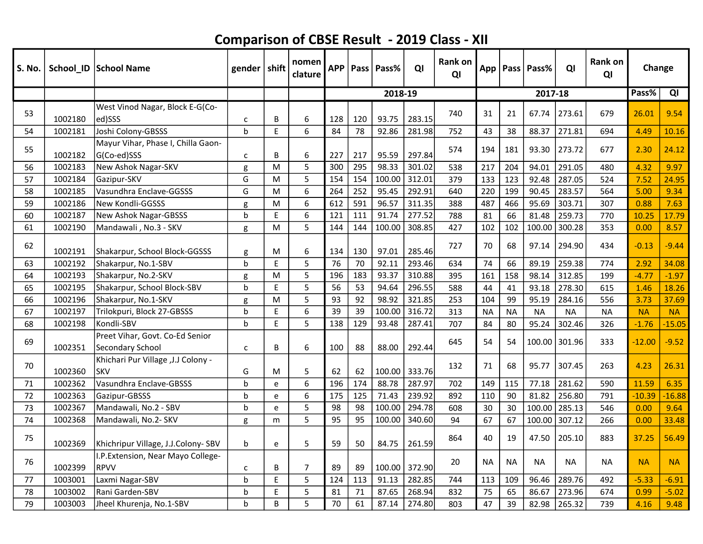| S. No. |         | School_ID   School Name                                    | gender   shift |   | nomen<br>clature | <b>APP</b> |     | Pass   Pass% | QI     | Rank on<br>QI |           |           | App   Pass   Pass% | QI        | <b>Rank on</b><br>QI | Change    |           |
|--------|---------|------------------------------------------------------------|----------------|---|------------------|------------|-----|--------------|--------|---------------|-----------|-----------|--------------------|-----------|----------------------|-----------|-----------|
|        |         |                                                            |                |   |                  |            |     | 2018-19      |        |               |           |           | 2017-18            |           |                      | Pass%     | QI        |
| 53     | 1002180 | West Vinod Nagar, Block E-G(Co-<br>ed)SSS                  | C              | В | 6                | 128        | 120 | 93.75        | 283.15 | 740           | 31        | 21        | 67.74              | 273.61    | 679                  | 26.01     | 9.54      |
| 54     | 1002181 | Joshi Colony-GBSSS                                         | $\mathbf b$    | E | 6                | 84         | 78  | 92.86        | 281.98 | 752           | 43        | 38        | 88.37              | 271.81    | 694                  | 4.49      | 10.16     |
| 55     | 1002182 | Mayur Vihar, Phase I, Chilla Gaon-<br>G(Co-ed)SSS          | C              | B | 6                | 227        | 217 | 95.59        | 297.84 | 574           | 194       | 181       | 93.30              | 273.72    | 677                  | 2.30      | 24.12     |
| 56     | 1002183 | New Ashok Nagar-SKV                                        | g              | M | 5                | 300        | 295 | 98.33        | 301.02 | 538           | 217       | 204       | 94.01              | 291.05    | 480                  | 4.32      | 9.97      |
| 57     | 1002184 | Gazipur-SKV                                                | G              | M | 5                | 154        | 154 | 100.00       | 312.01 | 379           | 133       | 123       | 92.48              | 287.05    | 524                  | 7.52      | 24.95     |
| 58     | 1002185 | Vasundhra Enclave-GGSSS                                    | G              | M | 6                | 264        | 252 | 95.45        | 292.91 | 640           | 220       | 199       | 90.45              | 283.57    | 564                  | 5.00      | 9.34      |
| 59     | 1002186 | New Kondli-GGSSS                                           | g              | М | 6                | 612        | 591 | 96.57        | 311.35 | 388           | 487       | 466       | 95.69              | 303.71    | 307                  | 0.88      | 7.63      |
| 60     | 1002187 | New Ashok Nagar-GBSSS                                      | $\mathbf b$    | E | 6                | 121        | 111 | 91.74        | 277.52 | 788           | 81        | 66        | 81.48              | 259.73    | 770                  | 10.25     | 17.79     |
| 61     | 1002190 | Mandawali, No.3 - SKV                                      | g              | M | 5                | 144        | 144 | 100.00       | 308.85 | 427           | 102       | 102       | 100.00             | 300.28    | 353                  | 0.00      | 8.57      |
| 62     | 1002191 | Shakarpur, School Block-GGSSS                              | g              | M | 6                | 134        | 130 | 97.01        | 285.46 | 727           | 70        | 68        | 97.14              | 294.90    | 434                  | $-0.13$   | $-9.44$   |
| 63     | 1002192 | Shakarpur, No.1-SBV                                        | b              | E | 5                | 76         | 70  | 92.11        | 293.46 | 634           | 74        | 66        | 89.19              | 259.38    | 774                  | 2.92      | 34.08     |
| 64     | 1002193 | Shakarpur, No.2-SKV                                        | g              | M | 5                | 196        | 183 | 93.37        | 310.88 | 395           | 161       | 158       | 98.14              | 312.85    | 199                  | $-4.77$   | $-1.97$   |
| 65     | 1002195 | Shakarpur, School Block-SBV                                | b              | E | 5                | 56         | 53  | 94.64        | 296.55 | 588           | 44        | 41        | 93.18              | 278.30    | 615                  | 1.46      | 18.26     |
| 66     | 1002196 | Shakarpur, No.1-SKV                                        | g              | M | 5                | 93         | 92  | 98.92        | 321.85 | 253           | 104       | 99        | 95.19              | 284.16    | 556                  | 3.73      | 37.69     |
| 67     | 1002197 | Trilokpuri, Block 27-GBSSS                                 | b              | E | 6                | 39         | 39  | 100.00       | 316.72 | 313           | <b>NA</b> | <b>NA</b> | <b>NA</b>          | <b>NA</b> | <b>NA</b>            | <b>NA</b> | <b>NA</b> |
| 68     | 1002198 | Kondli-SBV                                                 | $\mathbf b$    | E | 5                | 138        | 129 | 93.48        | 287.41 | 707           | 84        | 80        | 95.24              | 302.46    | 326                  | $-1.76$   | $-15.05$  |
| 69     | 1002351 | Preet Vihar, Govt. Co-Ed Senior<br><b>Secondary School</b> | $\mathsf{C}$   | В | 6                | 100        | 88  | 88.00        | 292.44 | 645           | 54        | 54        | 100.00             | 301.96    | 333                  | $-12.00$  | $-9.52$   |
| 70     | 1002360 | Khichari Pur Village , J.J Colony -<br><b>SKV</b>          | G              | м | 5                | 62         | 62  | 100.00       | 333.76 | 132           | 71        | 68        | 95.77              | 307.45    | 263                  | 4.23      | 26.31     |
| 71     | 1002362 | Vasundhra Enclave-GBSSS                                    | $\mathbf b$    | e | 6                | 196        | 174 | 88.78        | 287.97 | 702           | 149       | 115       | 77.18              | 281.62    | 590                  | 11.59     | 6.35      |
| 72     | 1002363 | Gazipur-GBSSS                                              | b              | e | 6                | 175        | 125 | 71.43        | 239.92 | 892           | 110       | 90        | 81.82              | 256.80    | 791                  | $-10.39$  | $-16.88$  |
| 73     | 1002367 | Mandawali, No.2 - SBV                                      | b              | e | 5                | 98         | 98  | 100.00       | 294.78 | 608           | 30        | 30        | 100.00             | 285.13    | 546                  | 0.00      | 9.64      |
| 74     | 1002368 | Mandawali, No.2- SKV                                       | g              | m | 5                | 95         | 95  | 100.00       | 340.60 | 94            | 67        | 67        | 100.00             | 307.12    | 266                  | 0.00      | 33.48     |
| 75     | 1002369 | Khichripur Village, J.J.Colony-SBV                         | b              | e | 5                | 59         | 50  | 84.75        | 261.59 | 864           | 40        | 19        | 47.50              | 205.10    | 883                  | 37.25     | 56.49     |
| 76     | 1002399 | I.P. Extension, Near Mayo College-<br><b>RPVV</b>          | C              | B | $\overline{7}$   | 89         | 89  | 100.00       | 372.90 | 20            | <b>NA</b> | <b>NA</b> | <b>NA</b>          | NA        | <b>NA</b>            | <b>NA</b> | <b>NA</b> |
| 77     | 1003001 | Laxmi Nagar-SBV                                            | b              | E | 5                | 124        | 113 | 91.13        | 282.85 | 744           | 113       | 109       | 96.46              | 289.76    | 492                  | $-5.33$   | $-6.91$   |
| 78     | 1003002 | Rani Garden-SBV                                            | b              | E | 5                | 81         | 71  | 87.65        | 268.94 | 832           | 75        | 65        | 86.67              | 273.96    | 674                  | 0.99      | $-5.02$   |
| 79     | 1003003 | Jheel Khurenja, No.1-SBV                                   | h              | B | 5                | 70         | 61  | 87.14        | 274.80 | 803           | 47        | 39        | 82.98              | 265.32    | 739                  | 4.16      | 9.48      |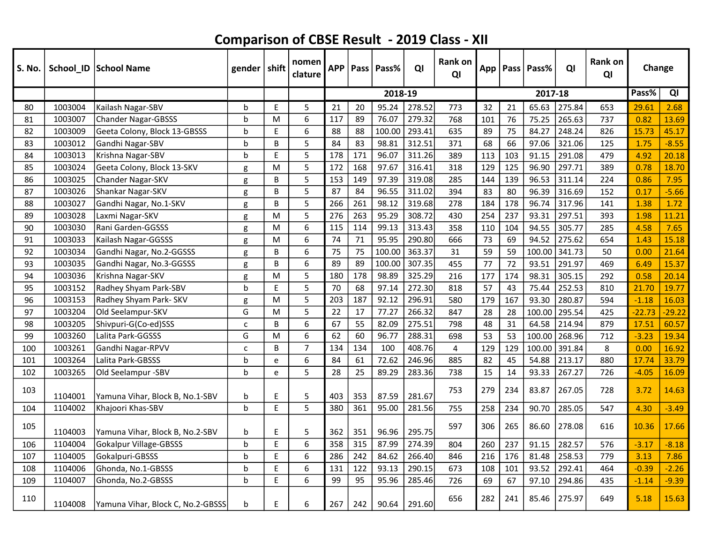| S. No. |         | School_ID   School Name           | gender   shift |   | nomen<br>clature | <b>APP</b> |     | Pass   Pass% | QI     | Rank on<br>QI |     |     | App   Pass   Pass% | QI     | Rank on<br>QI | Change   |          |
|--------|---------|-----------------------------------|----------------|---|------------------|------------|-----|--------------|--------|---------------|-----|-----|--------------------|--------|---------------|----------|----------|
|        |         |                                   |                |   |                  |            |     | 2018-19      |        |               |     |     | 2017-18            |        |               | Pass%    | QI       |
| 80     | 1003004 | Kailash Nagar-SBV                 | b              | E | 5                | 21         | 20  | 95.24        | 278.52 | 773           | 32  | 21  | 65.63              | 275.84 | 653           | 29.61    | 2.68     |
| 81     | 1003007 | <b>Chander Nagar-GBSSS</b>        | b              | М | 6                | 117        | 89  | 76.07        | 279.32 | 768           | 101 | 76  | 75.25              | 265.63 | 737           | 0.82     | 13.69    |
| 82     | 1003009 | Geeta Colony, Block 13-GBSSS      | b              | E | 6                | 88         | 88  | 100.00       | 293.41 | 635           | 89  | 75  | 84.27              | 248.24 | 826           | 15.73    | 45.17    |
| 83     | 1003012 | Gandhi Nagar-SBV                  | $\mathbf b$    | B | 5                | 84         | 83  | 98.81        | 312.51 | 371           | 68  | 66  | 97.06              | 321.06 | 125           | 1.75     | $-8.55$  |
| 84     | 1003013 | Krishna Nagar-SBV                 | $\mathbf b$    | E | 5                | 178        | 171 | 96.07        | 311.26 | 389           | 113 | 103 | 91.15              | 291.08 | 479           | 4.92     | 20.18    |
| 85     | 1003024 | Geeta Colony, Block 13-SKV        | g              | M | 5                | 172        | 168 | 97.67        | 316.41 | 318           | 129 | 125 | 96.90              | 297.71 | 389           | 0.78     | 18.70    |
| 86     | 1003025 | Chander Nagar-SKV                 | g              | B | 5                | 153        | 149 | 97.39        | 319.08 | 285           | 144 | 139 | 96.53              | 311.14 | 224           | 0.86     | 7.95     |
| 87     | 1003026 | Shankar Nagar-SKV                 | g              | B | 5                | 87         | 84  | 96.55        | 311.02 | 394           | 83  | 80  | 96.39              | 316.69 | 152           | 0.17     | $-5.66$  |
| 88     | 1003027 | Gandhi Nagar, No.1-SKV            | g              | B | 5                | 266        | 261 | 98.12        | 319.68 | 278           | 184 | 178 | 96.74              | 317.96 | 141           | 1.38     | 1.72     |
| 89     | 1003028 | Laxmi Nagar-SKV                   | g              | M | 5                | 276        | 263 | 95.29        | 308.72 | 430           | 254 | 237 | 93.31              | 297.51 | 393           | 1.98     | 11.21    |
| 90     | 1003030 | Rani Garden-GGSSS                 | g              | м | 6                | 115        | 114 | 99.13        | 313.43 | 358           | 110 | 104 | 94.55              | 305.77 | 285           | 4.58     | 7.65     |
| 91     | 1003033 | Kailash Nagar-GGSSS               | g              | м | 6                | 74         | 71  | 95.95        | 290.80 | 666           | 73  | 69  | 94.52              | 275.62 | 654           | 1.43     | 15.18    |
| 92     | 1003034 | Gandhi Nagar, No.2-GGSSS          | g              | B | 6                | 75         | 75  | 100.00       | 363.37 | 31            | 59  | 59  | 100.00             | 341.73 | 50            | 0.00     | 21.64    |
| 93     | 1003035 | Gandhi Nagar, No.3-GGSSS          | g              | B | 6                | 89         | 89  | 100.00       | 307.35 | 455           | 77  | 72  | 93.51              | 291.97 | 469           | 6.49     | 15.37    |
| 94     | 1003036 | Krishna Nagar-SKV                 | g              | M | 5                | 180        | 178 | 98.89        | 325.29 | 216           | 177 | 174 | 98.31              | 305.15 | 292           | 0.58     | 20.14    |
| 95     | 1003152 | Radhey Shyam Park-SBV             | b              | E | 5                | 70         | 68  | 97.14        | 272.30 | 818           | 57  | 43  | 75.44              | 252.53 | 810           | 21.70    | 19.77    |
| 96     | 1003153 | Radhey Shyam Park- SKV            | g              | M | 5                | 203        | 187 | 92.12        | 296.91 | 580           | 179 | 167 | 93.30              | 280.87 | 594           | $-1.18$  | 16.03    |
| 97     | 1003204 | Old Seelampur-SKV                 | G              | M | 5                | 22         | 17  | 77.27        | 266.32 | 847           | 28  | 28  | 100.00             | 295.54 | 425           | $-22.73$ | $-29.22$ |
| 98     | 1003205 | Shivpuri-G(Co-ed)SSS              | Ċ              | B | 6                | 67         | 55  | 82.09        | 275.51 | 798           | 48  | 31  | 64.58              | 214.94 | 879           | 17.51    | 60.57    |
| 99     | 1003260 | Lalita Park-GGSSS                 | G              | M | 6                | 62         | 60  | 96.77        | 288.31 | 698           | 53  | 53  | 100.00             | 268.96 | 712           | $-3.23$  | 19.34    |
| 100    | 1003261 | Gandhi Nagar-RPVV                 | $\mathsf{C}$   | B | $\overline{7}$   | 134        | 134 | 100          | 408.76 | 4             | 129 | 129 | 100.00             | 391.84 | 8             | 0.00     | 16.92    |
| 101    | 1003264 | Lalita Park-GBSSS                 | $\mathbf b$    | e | 6                | 84         | 61  | 72.62        | 246.96 | 885           | 82  | 45  | 54.88              | 213.17 | 880           | 17.74    | 33.79    |
| 102    | 1003265 | Old Seelampur -SBV                | $\mathbf b$    | e | 5                | 28         | 25  | 89.29        | 283.36 | 738           | 15  | 14  | 93.33              | 267.27 | 726           | $-4.05$  | 16.09    |
| 103    | 1104001 | Yamuna Vihar, Block B, No.1-SBV   | b              | E | 5                | 403        | 353 | 87.59        | 281.67 | 753           | 279 | 234 | 83.87              | 267.05 | 728           | 3.72     | 14.63    |
| 104    | 1104002 | Khajoori Khas-SBV                 | b              | E | 5                | 380        | 361 | 95.00        | 281.56 | 755           | 258 | 234 | 90.70              | 285.05 | 547           | 4.30     | $-3.49$  |
| 105    | 1104003 | Yamuna Vihar, Block B, No.2-SBV   | b              | E | 5                | 362        | 351 | 96.96        | 295.75 | 597           | 306 | 265 | 86.60              | 278.08 | 616           | 10.36    | 17.66    |
| 106    | 1104004 | Gokalpur Village-GBSSS            | b              | E | 6                | 358        | 315 | 87.99        | 274.39 | 804           | 260 | 237 | 91.15              | 282.57 | 576           | $-3.17$  | $-8.18$  |
| 107    | 1104005 | Gokalpuri-GBSSS                   | b              | E | 6                | 286        | 242 | 84.62        | 266.40 | 846           | 216 | 176 | 81.48              | 258.53 | 779           | 3.13     | 7.86     |
| 108    | 1104006 | Ghonda, No.1-GBSSS                | b              | E | 6                | 131        | 122 | 93.13        | 290.15 | 673           | 108 | 101 | 93.52              | 292.41 | 464           | $-0.39$  | $-2.26$  |
| 109    | 1104007 | Ghonda, No.2-GBSSS                | b              | E | 6                | 99         | 95  | 95.96        | 285.46 | 726           | 69  | 67  | 97.10              | 294.86 | 435           | $-1.14$  | $-9.39$  |
| 110    | 1104008 | Yamuna Vihar, Block C, No.2-GBSSS | b              | E | 6                | 267        | 242 | 90.64        | 291.60 | 656           | 282 | 241 | 85.46              | 275.97 | 649           | 5.18     | 15.63    |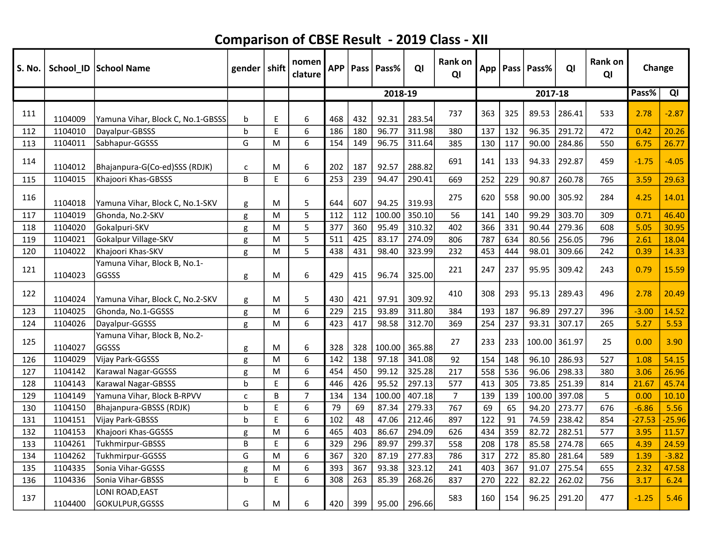| S. No. |         | School_ID   School Name                  | gender   shift |           | nomen<br>clature | <b>APP</b> |     | Pass   Pass% | QI     | <b>Rank on</b><br>QI |     |     | App   Pass   Pass% | QI     | Rank on<br>QI | Change   |          |
|--------|---------|------------------------------------------|----------------|-----------|------------------|------------|-----|--------------|--------|----------------------|-----|-----|--------------------|--------|---------------|----------|----------|
|        |         |                                          |                |           |                  |            |     | 2018-19      |        |                      |     |     | 2017-18            |        |               | Pass%    | QI       |
| 111    | 1104009 | Yamuna Vihar, Block C, No.1-GBSSS        | b              | E         | 6                | 468        | 432 | 92.31        | 283.54 | 737                  | 363 | 325 | 89.53              | 286.41 | 533           | 2.78     | $-2.87$  |
| 112    | 1104010 | Dayalpur-GBSSS                           | $\mathbf b$    | E         | 6                | 186        | 180 | 96.77        | 311.98 | 380                  | 137 | 132 | 96.35              | 291.72 | 472           | 0.42     | 20.26    |
| 113    | 1104011 | Sabhapur-GGSSS                           | G              | M         | 6                | 154        | 149 | 96.75        | 311.64 | 385                  | 130 | 117 | 90.00              | 284.86 | 550           | 6.75     | 26.77    |
| 114    | 1104012 | Bhajanpura-G(Co-ed)SSS (RDJK)            | $\mathsf{C}$   | М         | 6                | 202        | 187 | 92.57        | 288.82 | 691                  | 141 | 133 | 94.33              | 292.87 | 459           | $-1.75$  | $-4.05$  |
| 115    | 1104015 | Khajoori Khas-GBSSS                      | B              | E         | 6                | 253        | 239 | 94.47        | 290.41 | 669                  | 252 | 229 | 90.87              | 260.78 | 765           | 3.59     | 29.63    |
| 116    | 1104018 | Yamuna Vihar, Block C, No.1-SKV          | g              | M         | 5                | 644        | 607 | 94.25        | 319.93 | 275                  | 620 | 558 | 90.00              | 305.92 | 284           | 4.25     | 14.01    |
| 117    | 1104019 | Ghonda, No.2-SKV                         | g              | M         | 5                | 112        | 112 | 100.00       | 350.10 | 56                   | 141 | 140 | 99.29              | 303.70 | 309           | 0.71     | 46.40    |
| 118    | 1104020 | Gokalpuri-SKV                            | g              | M         | 5                | 377        | 360 | 95.49        | 310.32 | 402                  | 366 | 331 | 90.44              | 279.36 | 608           | 5.05     | 30.95    |
| 119    | 1104021 | Gokalpur Village-SKV                     | g              | ${\sf M}$ | 5                | 511        | 425 | 83.17        | 274.09 | 806                  | 787 | 634 | 80.56              | 256.05 | 796           | 2.61     | 18.04    |
| 120    | 1104022 | Khajoori Khas-SKV                        | g              | M         | 5                | 438        | 431 | 98.40        | 323.99 | 232                  | 453 | 444 | 98.01              | 309.66 | 242           | 0.39     | 14.33    |
| 121    | 1104023 | Yamuna Vihar, Block B, No.1-<br>GGSSS    | g              | M         | 6                | 429        | 415 | 96.74        | 325.00 | 221                  | 247 | 237 | 95.95              | 309.42 | 243           | 0.79     | 15.59    |
| 122    | 1104024 | Yamuna Vihar, Block C, No.2-SKV          | g              | м         | 5                | 430        | 421 | 97.91        | 309.92 | 410                  | 308 | 293 | 95.13              | 289.43 | 496           | 2.78     | 20.49    |
| 123    | 1104025 | Ghonda, No.1-GGSSS                       | g              | M         | 6                | 229        | 215 | 93.89        | 311.80 | 384                  | 193 | 187 | 96.89              | 297.27 | 396           | $-3.00$  | 14.52    |
| 124    | 1104026 | Dayalpur-GGSSS                           | g              | M         | 6                | 423        | 417 | 98.58        | 312.70 | 369                  | 254 | 237 | 93.31              | 307.17 | 265           | 5.27     | 5.53     |
| 125    | 1104027 | Yamuna Vihar, Block B, No.2-<br>GGSSS    | g              | M         | 6                | 328        | 328 | 100.00       | 365.88 | 27                   | 233 | 233 | 100.00             | 361.97 | 25            | 0.00     | 3.90     |
| 126    | 1104029 | Vijay Park-GGSSS                         | g              | M         | 6                | 142        | 138 | 97.18        | 341.08 | 92                   | 154 | 148 | 96.10              | 286.93 | 527           | 1.08     | 54.15    |
| 127    | 1104142 | Karawal Nagar-GGSSS                      | g              | M         | 6                | 454        | 450 | 99.12        | 325.28 | 217                  | 558 | 536 | 96.06              | 298.33 | 380           | 3.06     | 26.96    |
| 128    | 1104143 | <b>Karawal Nagar-GBSSS</b>               | $\mathbf b$    | E         | 6                | 446        | 426 | 95.52        | 297.13 | 577                  | 413 | 305 | 73.85              | 251.39 | 814           | 21.67    | 45.74    |
| 129    | 1104149 | Yamuna Vihar, Block B-RPVV               | C              | B         | 7                | 134        | 134 | 100.00       | 407.18 | $\overline{7}$       | 139 | 139 | 100.00             | 397.08 | 5             | 0.00     | 10.10    |
| 130    | 1104150 | Bhajanpura-GBSSS (RDJK)                  | b              | E         | 6                | 79         | 69  | 87.34        | 279.33 | 767                  | 69  | 65  | 94.20              | 273.77 | 676           | $-6.86$  | 5.56     |
| 131    | 1104151 | Vijay Park-GBSSS                         | b              | E         | 6                | 102        | 48  | 47.06        | 212.46 | 897                  | 122 | 91  | 74.59              | 238.42 | 854           | $-27.53$ | $-25.96$ |
| 132    | 1104153 | Khajoori Khas-GGSSS                      | g              | M         | 6                | 465        | 403 | 86.67        | 294.09 | 626                  | 434 | 359 | 82.72              | 282.51 | 577           | 3.95     | 11.57    |
| 133    | 1104261 | Tukhmirpur-GBSSS                         | B              | E         | 6                | 329        | 296 | 89.97        | 299.37 | 558                  | 208 | 178 | 85.58              | 274.78 | 665           | 4.39     | 24.59    |
| 134    | 1104262 | Tukhmirpur-GGSSS                         | G              | м         | 6                | 367        | 320 | 87.19        | 277.83 | 786                  | 317 | 272 | 85.80              | 281.64 | 589           | 1.39     | $-3.82$  |
| 135    | 1104335 | Sonia Vihar-GGSSS                        | g              | м         | 6                | 393        | 367 | 93.38        | 323.12 | 241                  | 403 | 367 | 91.07              | 275.54 | 655           | 2.32     | 47.58    |
| 136    | 1104336 | Sonia Vihar-GBSSS                        | b              | E         | 6                | 308        | 263 | 85.39        | 268.26 | 837                  | 270 | 222 | 82.22              | 262.02 | 756           | 3.17     | 6.24     |
| 137    | 1104400 | <b>LONI ROAD, EAST</b><br>GOKULPUR,GGSSS | G              | М         | 6                | 420        | 399 | 95.00        | 296.66 | 583                  | 160 | 154 | 96.25              | 291.20 | 477           | $-1.25$  | 5.46     |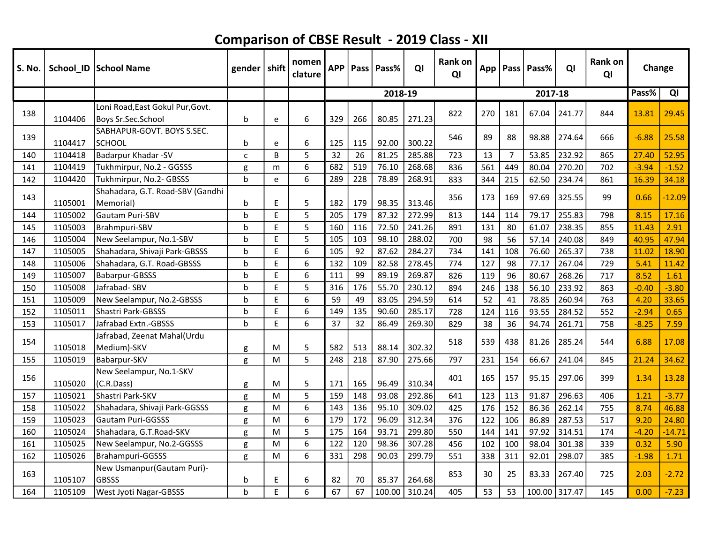| S. No. |         | School_ID School Name                                  | gender       | shift     | nomen<br>clature | <b>APP</b> | Pass | Pass%   | QI     | <b>Rank on</b><br>QI | App |                | Pass   Pass% | QI     | Rank on<br>QI | Change  |          |
|--------|---------|--------------------------------------------------------|--------------|-----------|------------------|------------|------|---------|--------|----------------------|-----|----------------|--------------|--------|---------------|---------|----------|
|        |         |                                                        |              |           |                  |            |      | 2018-19 |        |                      |     |                | 2017-18      |        |               | Pass%   | QI       |
| 138    | 1104406 | Loni Road, East Gokul Pur, Govt.<br>Boys Sr.Sec.School | b            | e         | 6                | 329        | 266  | 80.85   | 271.23 | 822                  | 270 | 181            | 67.04        | 241.77 | 844           | 13.81   | 29.45    |
| 139    | 1104417 | SABHAPUR-GOVT. BOYS S.SEC.<br><b>SCHOOL</b>            | b            | е         | 6                | 125        | 115  | 92.00   | 300.22 | 546                  | 89  | 88             | 98.88        | 274.64 | 666           | $-6.88$ | 25.58    |
| 140    | 1104418 | Badarpur Khadar -SV                                    | $\mathsf{C}$ | B         | 5                | 32         | 26   | 81.25   | 285.88 | 723                  | 13  | $\overline{7}$ | 53.85        | 232.92 | 865           | 27.40   | 52.95    |
| 141    | 1104419 | Tukhmirpur, No.2 - GGSSS                               | g            | m         | 6                | 682        | 519  | 76.10   | 268.68 | 836                  | 561 | 449            | 80.04        | 270.20 | 702           | $-3.94$ | $-1.52$  |
| 142    | 1104420 | Tukhmirpur, No.2- GBSSS                                | $\mathbf b$  | e         | 6                | 289        | 228  | 78.89   | 268.91 | 833                  | 344 | 215            | 62.50        | 234.74 | 861           | 16.39   | 34.18    |
| 143    | 1105001 | Shahadara, G.T. Road-SBV (Gandhi<br>Memorial)          | b            | E         | 5                | 182        | 179  | 98.35   | 313.46 | 356                  | 173 | 169            | 97.69        | 325.55 | 99            | 0.66    | $-12.09$ |
| 144    | 1105002 | Gautam Puri-SBV                                        | $\mathsf b$  | E         | 5                | 205        | 179  | 87.32   | 272.99 | 813                  | 144 | 114            | 79.17        | 255.83 | 798           | 8.15    | 17.16    |
| 145    | 1105003 | Brahmpuri-SBV                                          | $\mathbf b$  | E         | 5                | 160        | 116  | 72.50   | 241.26 | 891                  | 131 | 80             | 61.07        | 238.35 | 855           | 11.43   | 2.91     |
| 146    | 1105004 | New Seelampur, No.1-SBV                                | $\mathbf b$  | E         | 5                | 105        | 103  | 98.10   | 288.02 | 700                  | 98  | 56             | 57.14        | 240.08 | 849           | 40.95   | 47.94    |
| 147    | 1105005 | Shahadara, Shivaji Park-GBSSS                          | $\mathbf b$  | E         | 6                | 105        | 92   | 87.62   | 284.27 | 734                  | 141 | 108            | 76.60        | 265.37 | 738           | 11.02   | 18.90    |
| 148    | 1105006 | Shahadara, G.T. Road-GBSSS                             | $\mathbf b$  | E         | 6                | 132        | 109  | 82.58   | 278.45 | 774                  | 127 | 98             | 77.17        | 267.04 | 729           | 5.41    | 11.42    |
| 149    | 1105007 | Babarpur-GBSSS                                         | $\mathbf b$  | E         | 6                | 111        | 99   | 89.19   | 269.87 | 826                  | 119 | 96             | 80.67        | 268.26 | 717           | 8.52    | 1.61     |
| 150    | 1105008 | Jafrabad-SBV                                           | $\mathbf b$  | E         | 5                | 316        | 176  | 55.70   | 230.12 | 894                  | 246 | 138            | 56.10        | 233.92 | 863           | $-0.40$ | $-3.80$  |
| 151    | 1105009 | New Seelampur, No.2-GBSSS                              | $\mathbf b$  | E         | 6                | 59         | 49   | 83.05   | 294.59 | 614                  | 52  | 41             | 78.85        | 260.94 | 763           | 4.20    | 33.65    |
| 152    | 1105011 | Shastri Park-GBSSS                                     | b            | E         | 6                | 149        | 135  | 90.60   | 285.17 | 728                  | 124 | 116            | 93.55        | 284.52 | 552           | $-2.94$ | 0.65     |
| 153    | 1105017 | Jafrabad Extn.-GBSSS                                   | $\mathbf b$  | E         | 6                | 37         | 32   | 86.49   | 269.30 | 829                  | 38  | 36             | 94.74        | 261.71 | 758           | $-8.25$ | 7.59     |
| 154    | 1105018 | Jafrabad, Zeenat Mahal(Urdu<br>Medium)-SKV             | g            | M         | 5                | 582        | 513  | 88.14   | 302.32 | 518                  | 539 | 438            | 81.26        | 285.24 | 544           | 6.88    | 17.08    |
| 155    | 1105019 | Babarpur-SKV                                           | g            | ${\sf M}$ | 5                | 248        | 218  | 87.90   | 275.66 | 797                  | 231 | 154            | 66.67        | 241.04 | 845           | 21.24   | 34.62    |
| 156    | 1105020 | New Seelampur, No.1-SKV<br>(C.R.Dass)                  | g            | M         | 5                | 171        | 165  | 96.49   | 310.34 | 401                  | 165 | 157            | 95.15        | 297.06 | 399           | 1.34    | 13.28    |
| 157    | 1105021 | Shastri Park-SKV                                       | g            | ${\sf M}$ | 5                | 159        | 148  | 93.08   | 292.86 | 641                  | 123 | 113            | 91.87        | 296.63 | 406           | 1.21    | $-3.77$  |
| 158    | 1105022 | Shahadara, Shivaji Park-GGSSS                          | g            | ${\sf M}$ | 6                | 143        | 136  | 95.10   | 309.02 | 425                  | 176 | 152            | 86.36        | 262.14 | 755           | 8.74    | 46.88    |
| 159    | 1105023 | Gautam Puri-GGSSS                                      | g            | M         | 6                | 179        | 172  | 96.09   | 312.34 | 376                  | 122 | 106            | 86.89        | 287.53 | 517           | 9.20    | 24.80    |
| 160    | 1105024 | Shahadara, G.T.Road-SKV                                | g            | M         | 5                | 175        | 164  | 93.71   | 299.80 | 550                  | 144 | 141            | 97.92        | 314.51 | 174           | $-4.20$ | $-14.71$ |
| 161    | 1105025 | New Seelampur, No.2-GGSSS                              | g            | M         | 6                | 122        | 120  | 98.36   | 307.28 | 456                  | 102 | 100            | 98.04        | 301.38 | 339           | 0.32    | 5.90     |
| 162    | 1105026 | Brahampuri-GGSSS                                       | g            | M         | 6                | 331        | 298  | 90.03   | 299.79 | 551                  | 338 | 311            | 92.01        | 298.07 | 385           | $-1.98$ | 1.71     |
| 163    | 1105107 | New Usmanpur (Gautam Puri)-<br><b>GBSSS</b>            | b            | E         | 6                | 82         | 70   | 85.37   | 264.68 | 853                  | 30  | 25             | 83.33        | 267.40 | 725           | 2.03    | $-2.72$  |
| 164    | 1105109 | West Jyoti Nagar-GBSSS                                 | h            | E         | 6                | 67         | 67   | 100.00  | 310.24 | 405                  | 53  | 53             | 100.00       | 317.47 | 145           | 0.00    | $-7.23$  |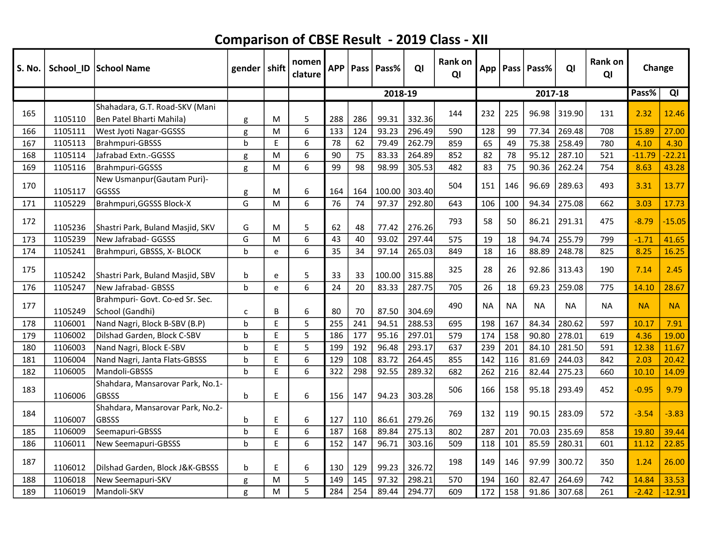| <b>S. No.</b> |         | School_ID   School Name                                    | gender   shift |    | nomen<br>clature | <b>APP</b> |     | Pass   Pass% | QI     | Rank on<br>QI | App       |           | Pass   Pass% | QI        | Rank on<br>QI | Change    |           |
|---------------|---------|------------------------------------------------------------|----------------|----|------------------|------------|-----|--------------|--------|---------------|-----------|-----------|--------------|-----------|---------------|-----------|-----------|
|               |         |                                                            |                |    |                  |            |     | 2018-19      |        |               |           |           | 2017-18      |           |               | Pass%     | QI        |
| 165           | 1105110 | Shahadara, G.T. Road-SKV (Mani<br>Ben Patel Bharti Mahila) | g              | M  | 5                | 288        | 286 | 99.31        | 332.36 | 144           | 232       | 225       | 96.98        | 319.90    | 131           | 2.32      | 12.46     |
| 166           | 1105111 | West Jyoti Nagar-GGSSS                                     | g              | M  | 6                | 133        | 124 | 93.23        | 296.49 | 590           | 128       | 99        | 77.34        | 269.48    | 708           | 15.89     | 27.00     |
| 167           | 1105113 | Brahmpuri-GBSSS                                            | <sub>b</sub>   | F  | 6                | 78         | 62  | 79.49        | 262.79 | 859           | 65        | 49        | 75.38        | 258.49    | 780           | 4.10      | 4.30      |
| 168           | 1105114 | Jafrabad Extn.-GGSSS                                       | g              | M  | 6                | 90         | 75  | 83.33        | 264.89 | 852           | 82        | 78        | 95.12        | 287.10    | 521           | $-11.79$  | $-22.21$  |
| 169           | 1105116 | Brahmpuri-GGSSS                                            | g              | M  | 6                | 99         | 98  | 98.99        | 305.53 | 482           | 83        | 75        | 90.36        | 262.24    | 754           | 8.63      | 43.28     |
| 170           | 1105117 | New Usmanpur (Gautam Puri)-<br>GGSSS                       | g              | M  | 6                | 164        | 164 | 100.00       | 303.40 | 504           | 151       | 146       | 96.69        | 289.63    | 493           | 3.31      | 13.77     |
| 171           | 1105229 | Brahmpuri, GGSSS Block-X                                   | G              | M  | 6                | 76         | 74  | 97.37        | 292.80 | 643           | 106       | 100       | 94.34        | 275.08    | 662           | 3.03      | 17.73     |
| 172           | 1105236 | Shastri Park, Buland Masjid, SKV                           | G              | M  | 5                | 62         | 48  | 77.42        | 276.26 | 793           | 58        | 50        | 86.21        | 291.31    | 475           | $-8.79$   | $-15.05$  |
| 173           | 1105239 | New Jafrabad- GGSSS                                        | G              | M  | 6                | 43         | 40  | 93.02        | 297.44 | 575           | 19        | 18        | 94.74        | 255.79    | 799           | $-1.71$   | 41.65     |
| 174           | 1105241 | Brahmpuri, GBSSS, X- BLOCK                                 | $\mathbf b$    | e  | 6                | 35         | 34  | 97.14        | 265.03 | 849           | 18        | 16        | 88.89        | 248.78    | 825           | 8.25      | 16.25     |
| 175           | 1105242 | Shastri Park, Buland Masjid, SBV                           | b              | e  | 5                | 33         | 33  | 100.00       | 315.88 | 325           | 28        | 26        | 92.86        | 313.43    | 190           | 7.14      | 2.45      |
| 176           | 1105247 | New Jafrabad- GBSSS                                        | $\mathbf b$    | e  | 6                | 24         | 20  | 83.33        | 287.75 | 705           | 26        | 18        | 69.23        | 259.08    | 775           | 14.10     | 28.67     |
| 177           | 1105249 | Brahmpuri- Govt. Co-ed Sr. Sec.<br>School (Gandhi)         | C              | B  | 6                | 80         | 70  | 87.50        | 304.69 | 490           | <b>NA</b> | <b>NA</b> | <b>NA</b>    | <b>NA</b> | <b>NA</b>     | <b>NA</b> | <b>NA</b> |
| 178           | 1106001 | Nand Nagri, Block B-SBV (B.P)                              | $\mathbf b$    | E  | 5                | 255        | 241 | 94.51        | 288.53 | 695           | 198       | 167       | 84.34        | 280.62    | 597           | 10.17     | 7.91      |
| 179           | 1106002 | Dilshad Garden, Block C-SBV                                | $\mathbf b$    | E  | 5                | 186        | 177 | 95.16        | 297.01 | 579           | 174       | 158       | 90.80        | 278.01    | 619           | 4.36      | 19.00     |
| 180           | 1106003 | Nand Nagri, Block E-SBV                                    | b              | E  | 5                | 199        | 192 | 96.48        | 293.17 | 637           | 239       | 201       | 84.10        | 281.50    | 591           | 12.38     | 11.67     |
| 181           | 1106004 | Nand Nagri, Janta Flats-GBSSS                              | h              | E. | 6                | 129        | 108 | 83.72        | 264.45 | 855           | 142       | 116       | 81.69        | 244.03    | 842           | 2.03      | 20.42     |
| 182           | 1106005 | Mandoli-GBSSS                                              | $\mathsf{b}$   | E  | 6                | 322        | 298 | 92.55        | 289.32 | 682           | 262       | 216       | 82.44        | 275.23    | 660           | 10.10     | 14.09     |
| 183           | 1106006 | Shahdara, Mansarovar Park, No.1-<br><b>GBSSS</b>           | b              | E  | 6                | 156        | 147 | 94.23        | 303.28 | 506           | 166       | 158       | 95.18        | 293.49    | 452           | $-0.95$   | 9.79      |
| 184           | 1106007 | Shahdara, Mansarovar Park, No.2-<br><b>GBSSS</b>           | b              | E  | 6                | 127        | 110 | 86.61        | 279.26 | 769           | 132       | 119       | 90.15        | 283.09    | 572           | $-3.54$   | $-3.83$   |
| 185           | 1106009 | Seemapuri-GBSSS                                            | h              | E  | 6                | 187        | 168 | 89.84        | 275.13 | 802           | 287       | 201       | 70.03        | 235.69    | 858           | 19.80     | 39.44     |
| 186           | 1106011 | <b>New Seemapuri-GBSSS</b>                                 | b              | E  | 6                | 152        | 147 | 96.71        | 303.16 | 509           | 118       | 101       | 85.59        | 280.31    | 601           | 11.12     | 22.85     |
| 187           | 1106012 | Dilshad Garden, Block J&K-GBSSS                            | b              | E  | 6                | 130        | 129 | 99.23        | 326.72 | 198           | 149       | 146       | 97.99        | 300.72    | 350           | 1.24      | 26.00     |
| 188           | 1106018 | New Seemapuri-SKV                                          | g              | M  | 5                | 149        | 145 | 97.32        | 298.21 | 570           | 194       | 160       | 82.47        | 264.69    | 742           | 14.84     | 33.53     |
| 189           | 1106019 | Mandoli-SKV                                                | g              | M  | 5                | 284        | 254 | 89.44        | 294.77 | 609           | 172       | 158       | 91.86        | 307.68    | 261           | $-2.42$   | $-12.91$  |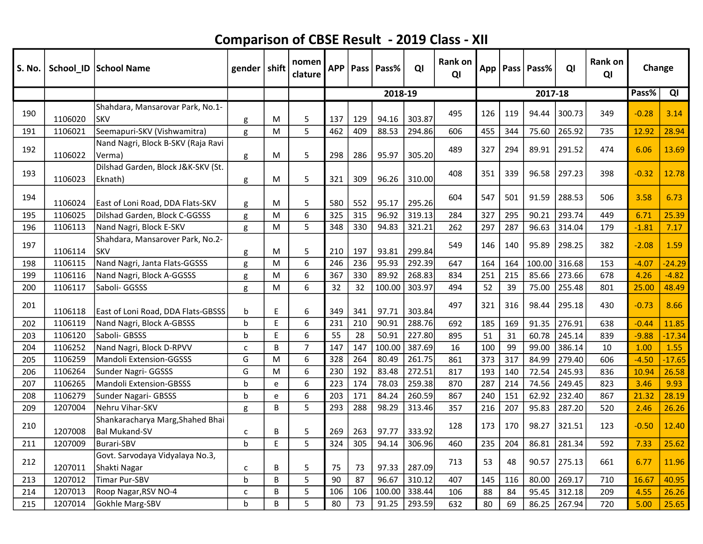| S. No. |         | School_ID   School Name                                  | gender $ $ shift |   | nomen<br>clature | <b>APP</b> |     | Pass   Pass% | QI     | Rank on<br>QI |     |     | App   Pass   Pass% | QI     | <b>Rank on</b><br>QI | Change  |          |
|--------|---------|----------------------------------------------------------|------------------|---|------------------|------------|-----|--------------|--------|---------------|-----|-----|--------------------|--------|----------------------|---------|----------|
|        |         |                                                          |                  |   |                  |            |     | 2018-19      |        |               |     |     | 2017-18            |        |                      | Pass%   | QI       |
| 190    | 1106020 | Shahdara, Mansarovar Park, No.1-<br><b>SKV</b>           | g                | м | 5                | 137        | 129 | 94.16        | 303.87 | 495           | 126 | 119 | 94.44              | 300.73 | 349                  | $-0.28$ | 3.14     |
| 191    | 1106021 | Seemapuri-SKV (Vishwamitra)                              | g                | M | 5                | 462        | 409 | 88.53        | 294.86 | 606           | 455 | 344 | 75.60              | 265.92 | 735                  | 12.92   | 28.94    |
| 192    | 1106022 | Nand Nagri, Block B-SKV (Raja Ravi<br>Verma)             | g                | М | 5                | 298        | 286 | 95.97        | 305.20 | 489           | 327 | 294 | 89.91              | 291.52 | 474                  | 6.06    | 13.69    |
| 193    | 1106023 | Dilshad Garden, Block J&K-SKV (St.<br>Eknath)            | g                | M | 5                | 321        | 309 | 96.26        | 310.00 | 408           | 351 | 339 | 96.58              | 297.23 | 398                  | $-0.32$ | 12.78    |
| 194    | 1106024 | East of Loni Road, DDA Flats-SKV                         | g                | M | 5                | 580        | 552 | 95.17        | 295.26 | 604           | 547 | 501 | 91.59              | 288.53 | 506                  | 3.58    | 6.73     |
| 195    | 1106025 | Dilshad Garden, Block C-GGSSS                            | g                | M | 6                | 325        | 315 | 96.92        | 319.13 | 284           | 327 | 295 | 90.21              | 293.74 | 449                  | 6.71    | 25.39    |
| 196    | 1106113 | Nand Nagri, Block E-SKV                                  | g                | M | 5                | 348        | 330 | 94.83        | 321.21 | 262           | 297 | 287 | 96.63              | 314.04 | 179                  | $-1.81$ | 7.17     |
| 197    | 1106114 | Shahdara, Mansarover Park, No.2-<br><b>SKV</b>           | g                | M | 5                | 210        | 197 | 93.81        | 299.84 | 549           | 146 | 140 | 95.89              | 298.25 | 382                  | $-2.08$ | 1.59     |
| 198    | 1106115 | Nand Nagri, Janta Flats-GGSSS                            | g                | M | 6                | 246        | 236 | 95.93        | 292.39 | 647           | 164 | 164 | 100.00             | 316.68 | 153                  | $-4.07$ | $-24.29$ |
| 199    | 1106116 | Nand Nagri, Block A-GGSSS                                | g                | M | 6                | 367        | 330 | 89.92        | 268.83 | 834           | 251 | 215 | 85.66              | 273.66 | 678                  | 4.26    | $-4.82$  |
| 200    | 1106117 | Saboli- GGSSS                                            | g                | M | 6                | 32         | 32  | 100.00       | 303.97 | 494           | 52  | 39  | 75.00              | 255.48 | 801                  | 25.00   | 48.49    |
| 201    | 1106118 | East of Loni Road, DDA Flats-GBSSS                       | $\mathbf b$      | E | 6                | 349        | 341 | 97.71        | 303.84 | 497           | 321 | 316 | 98.44              | 295.18 | 430                  | $-0.73$ | 8.66     |
| 202    | 1106119 | Nand Nagri, Block A-GBSSS                                | b                | E | 6                | 231        | 210 | 90.91        | 288.76 | 692           | 185 | 169 | 91.35              | 276.91 | 638                  | $-0.44$ | 11.85    |
| 203    | 1106120 | Saboli- GBSSS                                            | b                | E | 6                | 55         | 28  | 50.91        | 227.80 | 895           | 51  | 31  | 60.78              | 245.14 | 839                  | $-9.88$ | $-17.34$ |
| 204    | 1106252 | Nand Nagri, Block D-RPVV                                 | $\mathsf{C}$     | B | $\overline{7}$   | 147        | 147 | 100.00       | 387.69 | 16            | 100 | 99  | 99.00              | 386.14 | 10                   | 1.00    | 1.55     |
| 205    | 1106259 | <b>Mandoli Extension-GGSSS</b>                           | G                | M | 6                | 328        | 264 | 80.49        | 261.75 | 861           | 373 | 317 | 84.99              | 279.40 | 606                  | $-4.50$ | $-17.65$ |
| 206    | 1106264 | Sunder Nagri- GGSSS                                      | G                | М | 6                | 230        | 192 | 83.48        | 272.51 | 817           | 193 | 140 | 72.54              | 245.93 | 836                  | 10.94   | 26.58    |
| 207    | 1106265 | Mandoli Extension-GBSSS                                  | h                | е | 6                | 223        | 174 | 78.03        | 259.38 | 870           | 287 | 214 | 74.56              | 249.45 | 823                  | 3.46    | 9.93     |
| 208    | 1106279 | Sunder Nagari- GBSSS                                     | b                | e | 6                | 203        | 171 | 84.24        | 260.59 | 867           | 240 | 151 | 62.92              | 232.40 | 867                  | 21.32   | 28.19    |
| 209    | 1207004 | Nehru Vihar-SKV                                          | g                | B | 5                | 293        | 288 | 98.29        | 313.46 | 357           | 216 | 207 | 95.83              | 287.20 | 520                  | 2.46    | 26.26    |
| 210    | 1207008 | Shankaracharya Marg, Shahed Bhai<br><b>Bal Mukand-SV</b> | C                | B | 5                | 269        | 263 | 97.77        | 333.92 | 128           | 173 | 170 | 98.27              | 321.51 | 123                  | $-0.50$ | 12.40    |
| 211    | 1207009 | <b>Burari-SBV</b>                                        | $\mathbf b$      | E | 5                | 324        | 305 | 94.14        | 306.96 | 460           | 235 | 204 | 86.81              | 281.34 | 592                  | 7.33    | 25.62    |
| 212    | 1207011 | Govt. Sarvodaya Vidyalaya No.3,<br> Shakti Nagar         | c                | В | 5                | 75         | 73  | 97.33        | 287.09 | 713           | 53  | 48  | 90.57              | 275.13 | 661                  | 6.77    | 11.96    |
| 213    | 1207012 | <b>Timar Pur-SBV</b>                                     | b                | B | 5                | 90         | 87  | 96.67        | 310.12 | 407           | 145 | 116 | 80.00              | 269.17 | 710                  | 16.67   | 40.95    |
| 214    | 1207013 | Roop Nagar, RSV NO-4                                     | C                | B | 5                | 106        | 106 | 100.00       | 338.44 | 106           | 88  | 84  | 95.45              | 312.18 | 209                  | 4.55    | 26.26    |
| 215    | 1207014 | Gokhle Marg-SBV                                          | h                | B | 5                | 80         | 73  | 91.25        | 293.59 | 632           | 80  | 69  | 86.25              | 267.94 | 720                  | 5.00    | 25.65    |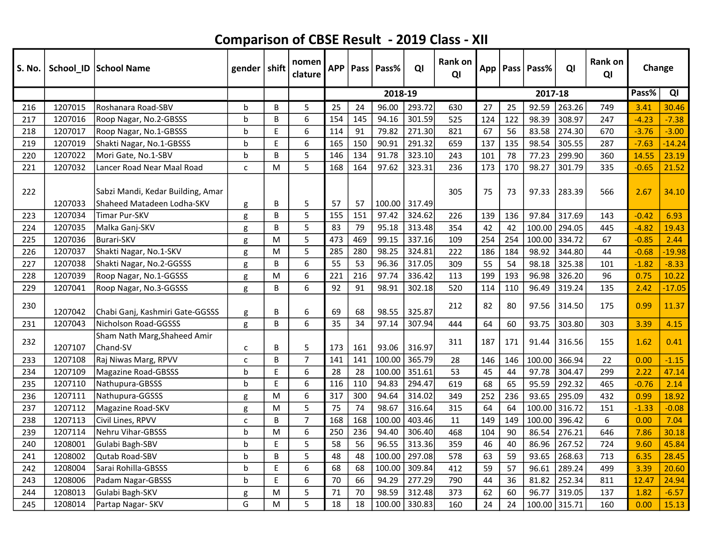| S. No. |         | School_ID   School Name                                         | gender   shift |           | nomen<br>clature | <b>APP</b> | Pass | Pass%   | QI     | <b>Rank on</b><br>QI |     |     | App   Pass   Pass% | QI     | Rank on<br>QI | Change  |          |
|--------|---------|-----------------------------------------------------------------|----------------|-----------|------------------|------------|------|---------|--------|----------------------|-----|-----|--------------------|--------|---------------|---------|----------|
|        |         |                                                                 |                |           |                  |            |      | 2018-19 |        |                      |     |     | 2017-18            |        |               | Pass%   | QI       |
| 216    | 1207015 | Roshanara Road-SBV                                              | b              | В         | 5                | 25         | 24   | 96.00   | 293.72 | 630                  | 27  | 25  | 92.59              | 263.26 | 749           | 3.41    | 30.46    |
| 217    | 1207016 | Roop Nagar, No.2-GBSSS                                          | b              | B         | 6                | 154        | 145  | 94.16   | 301.59 | 525                  | 124 | 122 | 98.39              | 308.97 | 247           | $-4.23$ | $-7.38$  |
| 218    | 1207017 | Roop Nagar, No.1-GBSSS                                          | b              | E         | 6                | 114        | 91   | 79.82   | 271.30 | 821                  | 67  | 56  | 83.58              | 274.30 | 670           | $-3.76$ | $-3.00$  |
| 219    | 1207019 | Shakti Nagar, No.1-GBSSS                                        | b              | E         | 6                | 165        | 150  | 90.91   | 291.32 | 659                  | 137 | 135 | 98.54              | 305.55 | 287           | $-7.63$ | $-14.24$ |
| 220    | 1207022 | Mori Gate, No.1-SBV                                             | b              | B         | 5                | 146        | 134  | 91.78   | 323.10 | 243                  | 101 | 78  | 77.23              | 299.90 | 360           | 14.55   | 23.19    |
| 221    | 1207032 | Lancer Road Near Maal Road                                      | $\mathsf{C}$   | M         | 5                | 168        | 164  | 97.62   | 323.31 | 236                  | 173 | 170 | 98.27              | 301.79 | 335           | $-0.65$ | 21.52    |
| 222    | 1207033 | Sabzi Mandi, Kedar Building, Amar<br>Shaheed Matadeen Lodha-SKV | g              | В         | 5                | 57         | 57   | 100.00  | 317.49 | 305                  | 75  | 73  | 97.33              | 283.39 | 566           | 2.67    | 34.10    |
| 223    | 1207034 | Timar Pur-SKV                                                   | g              | B         | 5                | 155        | 151  | 97.42   | 324.62 | 226                  | 139 | 136 | 97.84              | 317.69 | 143           | $-0.42$ | 6.93     |
| 224    | 1207035 | Malka Ganj-SKV                                                  | g              | B         | 5                | 83         | 79   | 95.18   | 313.48 | 354                  | 42  | 42  | 100.00             | 294.05 | 445           | $-4.82$ | 19.43    |
| 225    | 1207036 | Burari-SKV                                                      | g              | M         | 5                | 473        | 469  | 99.15   | 337.16 | 109                  | 254 | 254 | 100.00             | 334.72 | 67            | $-0.85$ | 2.44     |
| 226    | 1207037 | Shakti Nagar, No.1-SKV                                          | g              | M         | 5                | 285        | 280  | 98.25   | 324.81 | 222                  | 186 | 184 | 98.92              | 344.80 | 44            | $-0.68$ | $-19.98$ |
| 227    | 1207038 | Shakti Nagar, No.2-GGSSS                                        | g              | B         | 6                | 55         | 53   | 96.36   | 317.05 | 309                  | 55  | 54  | 98.18              | 325.38 | 101           | $-1.82$ | $-8.33$  |
| 228    | 1207039 | Roop Nagar, No.1-GGSSS                                          | g              | ${\sf M}$ | 6                | 221        | 216  | 97.74   | 336.42 | 113                  | 199 | 193 | 96.98              | 326.20 | 96            | 0.75    | 10.22    |
| 229    | 1207041 | Roop Nagar, No.3-GGSSS                                          | g              | B         | 6                | 92         | 91   | 98.91   | 302.18 | 520                  | 114 | 110 | 96.49              | 319.24 | 135           | 2.42    | $-17.05$ |
| 230    | 1207042 | Chabi Ganj, Kashmiri Gate-GGSSS                                 | g              | B         | 6                | 69         | 68   | 98.55   | 325.87 | 212                  | 82  | 80  | 97.56              | 314.50 | 175           | 0.99    | 11.37    |
| 231    | 1207043 | Nicholson Road-GGSSS                                            | g              | B         | 6                | 35         | 34   | 97.14   | 307.94 | 444                  | 64  | 60  | 93.75              | 303.80 | 303           | 3.39    | 4.15     |
| 232    | 1207107 | Sham Nath Marg, Shaheed Amir<br>Chand-SV                        | $\mathsf{C}$   | B         | 5                | 173        | 161  | 93.06   | 316.97 | 311                  | 187 | 171 | 91.44              | 316.56 | 155           | 1.62    | 0.41     |
| 233    | 1207108 | Raj Niwas Marg, RPVV                                            | C              | B         | $\overline{7}$   | 141        | 141  | 100.00  | 365.79 | 28                   | 146 | 146 | 100.00             | 366.94 | 22            | 0.00    | $-1.15$  |
| 234    | 1207109 | Magazine Road-GBSSS                                             | b              | E         | 6                | 28         | 28   | 100.00  | 351.61 | 53                   | 45  | 44  | 97.78              | 304.47 | 299           | 2.22    | 47.14    |
| 235    | 1207110 | Nathupura-GBSSS                                                 | b              | E         | 6                | 116        | 110  | 94.83   | 294.47 | 619                  | 68  | 65  | 95.59              | 292.32 | 465           | $-0.76$ | 2.14     |
| 236    | 1207111 | Nathupura-GGSSS                                                 | g              | M         | 6                | 317        | 300  | 94.64   | 314.02 | 349                  | 252 | 236 | 93.65              | 295.09 | 432           | 0.99    | 18.92    |
| 237    | 1207112 | Magazine Road-SKV                                               | g              | M         | 5                | 75         | 74   | 98.67   | 316.64 | 315                  | 64  | 64  | 100.00             | 316.72 | 151           | $-1.33$ | $-0.08$  |
| 238    | 1207113 | Civil Lines, RPVV                                               | c              | B         | $\overline{7}$   | 168        | 168  | 100.00  | 403.46 | 11                   | 149 | 149 | 100.00             | 396.42 | 6             | 0.00    | 7.04     |
| 239    | 1207114 | Nehru Vihar-GBSSS                                               | b              | M         | 6                | 250        | 236  | 94.40   | 306.40 | 468                  | 104 | 90  | 86.54              | 276.21 | 646           | 7.86    | 30.18    |
| 240    | 1208001 | Gulabi Bagh-SBV                                                 | b              | E         | 5                | 58         | 56   | 96.55   | 313.36 | 359                  | 46  | 40  | 86.96              | 267.52 | 724           | 9.60    | 45.84    |
| 241    | 1208002 | <b>Qutab Road-SBV</b>                                           | b              | B         | 5                | 48         | 48   | 100.00  | 297.08 | 578                  | 63  | 59  | 93.65              | 268.63 | 713           | 6.35    | 28.45    |
| 242    | 1208004 | Sarai Rohilla-GBSSS                                             | b              | E         | 6                | 68         | 68   | 100.00  | 309.84 | 412                  | 59  | 57  | 96.61              | 289.24 | 499           | 3.39    | 20.60    |
| 243    | 1208006 | Padam Nagar-GBSSS                                               | b              | E         | 6                | 70         | 66   | 94.29   | 277.29 | 790                  | 44  | 36  | 81.82              | 252.34 | 811           | 12.47   | 24.94    |
| 244    | 1208013 | Gulabi Bagh-SKV                                                 | g              | M         | 5                | 71         | 70   | 98.59   | 312.48 | 373                  | 62  | 60  | 96.77              | 319.05 | 137           | 1.82    | $-6.57$  |
| 245    | 1208014 | Partap Nagar-SKV                                                | G              | M         | 5                | 18         | 18   | 100.00  | 330.83 | 160                  | 24  | 24  | 100.00             | 315.71 | 160           | 0.00    | 15.13    |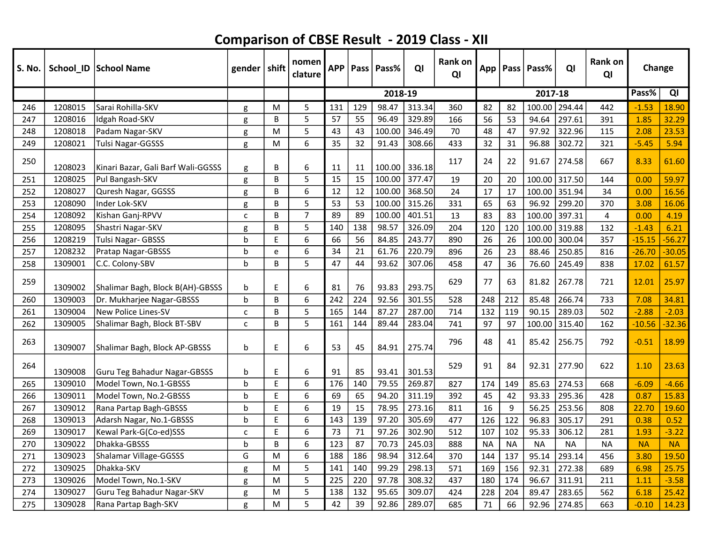| S. No. |         | School_ID   School Name            | gender $ $ shift |   | nomen<br>clature | <b>APP</b> |     | Pass   Pass% | QI     | <b>Rank on</b><br>QI |           |           | App   Pass   Pass% | QI        | Rank on<br>QI  | Change    |           |
|--------|---------|------------------------------------|------------------|---|------------------|------------|-----|--------------|--------|----------------------|-----------|-----------|--------------------|-----------|----------------|-----------|-----------|
|        |         |                                    |                  |   |                  |            |     | 2018-19      |        |                      |           |           | 2017-18            |           |                | Pass%     | QI        |
| 246    | 1208015 | Sarai Rohilla-SKV                  | g                | M | 5                | 131        | 129 | 98.47        | 313.34 | 360                  | 82        | 82        | 100.00             | 294.44    | 442            | $-1.53$   | 18.90     |
| 247    | 1208016 | Idgah Road-SKV                     | g                | B | 5                | 57         | 55  | 96.49        | 329.89 | 166                  | 56        | 53        | 94.64              | 297.61    | 391            | 1.85      | 32.29     |
| 248    | 1208018 | Padam Nagar-SKV                    | g                | M | 5                | 43         | 43  | 100.00       | 346.49 | 70                   | 48        | 47        | 97.92              | 322.96    | 115            | 2.08      | 23.53     |
| 249    | 1208021 | Tulsi Nagar-GGSSS                  | g                | M | 6                | 35         | 32  | 91.43        | 308.66 | 433                  | 32        | 31        | 96.88              | 302.72    | 321            | $-5.45$   | 5.94      |
| 250    | 1208023 | Kinari Bazar, Gali Barf Wali-GGSSS | g                | B | 6                | 11         | 11  | 100.00       | 336.18 | 117                  | 24        | 22        | 91.67              | 274.58    | 667            | 8.33      | 61.60     |
| 251    | 1208025 | Pul Bangash-SKV                    | g                | B | 5                | 15         | 15  | 100.00       | 377.47 | 19                   | 20        | 20        | 100.00 317.50      |           | 144            | 0.00      | 59.97     |
| 252    | 1208027 | Quresh Nagar, GGSSS                | g                | B | 6                | 12         | 12  | 100.00       | 368.50 | 24                   | 17        | 17        | 100.00 351.94      |           | 34             | 0.00      | 16.56     |
| 253    | 1208090 | Inder Lok-SKV                      | g                | B | 5                | 53         | 53  | 100.00       | 315.26 | 331                  | 65        | 63        | 96.92              | 299.20    | 370            | 3.08      | 16.06     |
| 254    | 1208092 | Kishan Ganj-RPVV                   | c                | B | $\overline{7}$   | 89         | 89  | 100.00       | 401.51 | 13                   | 83        | 83        | 100.00             | 397.31    | $\overline{4}$ | 0.00      | 4.19      |
| 255    | 1208095 | Shastri Nagar-SKV                  | g                | B | 5                | 140        | 138 | 98.57        | 326.09 | 204                  | 120       | 120       | 100.00 319.88      |           | 132            | $-1.43$   | 6.21      |
| 256    | 1208219 | Tulsi Nagar- GBSSS                 | b                | E | 6                | 66         | 56  | 84.85        | 243.77 | 890                  | 26        | 26        | 100.00             | 300.04    | 357            | $-15.15$  | $-56.27$  |
| 257    | 1208232 | Pratap Nagar-GBSSS                 | b                | e | 6                | 34         | 21  | 61.76        | 220.79 | 896                  | 26        | 23        | 88.46              | 250.85    | 816            | $-26.70$  | $-30.05$  |
| 258    | 1309001 | IC.C. Colony-SBV                   | b                | B | 5                | 47         | 44  | 93.62        | 307.06 | 458                  | 47        | 36        | 76.60              | 245.49    | 838            | 17.02     | 61.57     |
| 259    | 1309002 | Shalimar Bagh, Block B(AH)-GBSSS   | b                | E | 6                | 81         | 76  | 93.83        | 293.75 | 629                  | 77        | 63        | 81.82              | 267.78    | 721            | 12.01     | 25.97     |
| 260    | 1309003 | Dr. Mukharjee Nagar-GBSSS          | h                | В | 6                | 242        | 224 | 92.56        | 301.55 | 528                  | 248       | 212       | 85.48              | 266.74    | 733            | 7.08      | 34.81     |
| 261    | 1309004 | <b>New Police Lines-SV</b>         | $\mathsf{C}$     | B | 5                | 165        | 144 | 87.27        | 287.00 | 714                  | 132       | 119       | 90.15              | 289.03    | 502            | $-2.88$   | $-2.03$   |
| 262    | 1309005 | Shalimar Bagh, Block BT-SBV        | C                | B | 5                | 161        | 144 | 89.44        | 283.04 | 741                  | 97        | 97        | 100.00             | 315.40    | 162            | $-10.56$  | $-32.36$  |
| 263    | 1309007 | Shalimar Bagh, Block AP-GBSSS      | b                | E | 6                | 53         | 45  | 84.91        | 275.74 | 796                  | 48        | 41        | 85.42              | 256.75    | 792            | $-0.51$   | 18.99     |
| 264    | 1309008 | Guru Teg Bahadur Nagar-GBSSS       | b                | E | 6                | 91         | 85  | 93.41        | 301.53 | 529                  | 91        | 84        | 92.31              | 277.90    | 622            | 1.10      | 23.63     |
| 265    | 1309010 | Model Town, No.1-GBSSS             | b                | E | 6                | 176        | 140 | 79.55        | 269.87 | 827                  | 174       | 149       | 85.63              | 274.53    | 668            | $-6.09$   | $-4.66$   |
| 266    | 1309011 | Model Town, No.2-GBSSS             | b                | E | 6                | 69         | 65  | 94.20        | 311.19 | 392                  | 45        | 42        | 93.33              | 295.36    | 428            | 0.87      | 15.83     |
| 267    | 1309012 | Rana Partap Bagh-GBSSS             | b                | E | 6                | 19         | 15  | 78.95        | 273.16 | 811                  | 16        | 9         | 56.25              | 253.56    | 808            | 22.70     | 19.60     |
| 268    | 1309013 | Adarsh Nagar, No.1-GBSSS           | b                | E | 6                | 143        | 139 | 97.20        | 305.69 | 477                  | 126       | 122       | 96.83              | 305.17    | 291            | 0.38      | 0.52      |
| 269    | 1309017 | Kewal Park-G(Co-ed)SSS             | C                | E | 6                | 73         | 71  | 97.26        | 302.90 | 512                  | 107       | 102       | 95.33              | 306.12    | 281            | 1.93      | $-3.22$   |
| 270    | 1309022 | Dhakka-GBSSS                       | b                | B | 6                | 123        | 87  | 70.73        | 245.03 | 888                  | <b>NA</b> | <b>NA</b> | <b>NA</b>          | <b>NA</b> | <b>NA</b>      | <b>NA</b> | <b>NA</b> |
| 271    | 1309023 | Shalamar Village-GGSSS             | G                | M | 6                | 188        | 186 | 98.94        | 312.64 | 370                  | 144       | 137       | 95.14              | 293.14    | 456            | 3.80      | 19.50     |
| 272    | 1309025 | Dhakka-SKV                         | g                | M | 5                | 141        | 140 | 99.29        | 298.13 | 571                  | 169       | 156       | 92.31              | 272.38    | 689            | 6.98      | 25.75     |
| 273    | 1309026 | Model Town, No.1-SKV               | g                | M | 5                | 225        | 220 | 97.78        | 308.32 | 437                  | 180       | 174       | 96.67              | 311.91    | 211            | 1.11      | $-3.58$   |
| 274    | 1309027 | Guru Teg Bahadur Nagar-SKV         | g                | M | 5                | 138        | 132 | 95.65        | 309.07 | 424                  | 228       | 204       | 89.47              | 283.65    | 562            | 6.18      | 25.42     |
| 275    | 1309028 | Rana Partap Bagh-SKV               | g                | M | 5                | 42         | 39  | 92.86        | 289.07 | 685                  | 71        | 66        | 92.96              | 274.85    | 663            | $-0.10$   | 14.23     |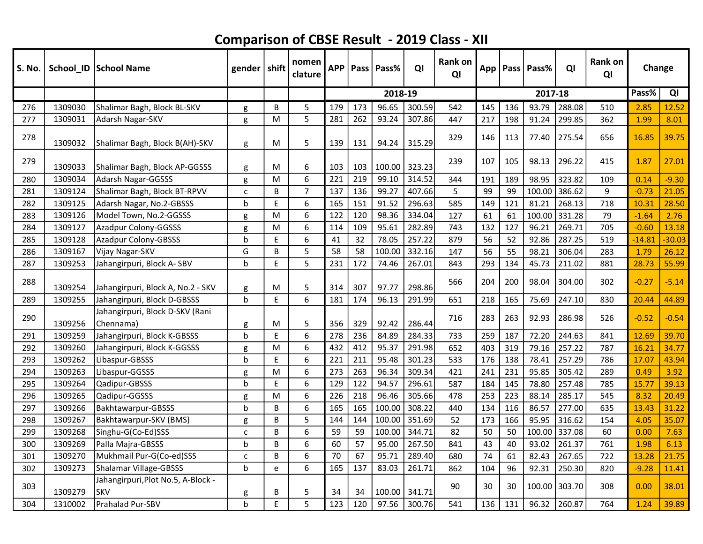| S. No. |         | School_ID School Name                            | gender   shift |    | nomen<br>clature | <b>APP</b> |     | Pass   Pass% | QI     | <b>Rank on</b><br>QI |     |     | App   Pass   Pass% | QI     | Rank on<br>QI | Change   |          |
|--------|---------|--------------------------------------------------|----------------|----|------------------|------------|-----|--------------|--------|----------------------|-----|-----|--------------------|--------|---------------|----------|----------|
|        |         |                                                  |                |    |                  |            |     | 2018-19      |        |                      |     |     | 2017-18            |        |               | Pass%    | QI       |
| 276    | 1309030 | Shalimar Bagh, Block BL-SKV                      | g              | B  | 5                | 179        | 173 | 96.65        | 300.59 | 542                  | 145 | 136 | 93.79              | 288.08 | 510           | 2.85     | 12.52    |
| 277    | 1309031 | Adarsh Nagar-SKV                                 | g              | M  | 5                | 281        | 262 | 93.24        | 307.86 | 447                  | 217 | 198 | 91.24              | 299.85 | 362           | 1.99     | 8.01     |
| 278    | 1309032 | Shalimar Bagh, Block B(AH)-SKV                   | g              | M  | 5                | 139        | 131 | 94.24        | 315.29 | 329                  | 146 | 113 | 77.40              | 275.54 | 656           | 16.85    | 39.75    |
| 279    | 1309033 | Shalimar Bagh, Block AP-GGSSS                    | g              | M  | 6                | 103        | 103 | 100.00       | 323.23 | 239                  | 107 | 105 | 98.13              | 296.22 | 415           | 1.87     | 27.01    |
| 280    | 1309034 | Adarsh Nagar-GGSSS                               | g              | M  | 6                | 221        | 219 | 99.10        | 314.52 | 344                  | 191 | 189 | 98.95              | 323.82 | 109           | 0.14     | $-9.30$  |
| 281    | 1309124 | Shalimar Bagh, Block BT-RPVV                     | $\mathsf{C}$   | B  | $\overline{7}$   | 137        | 136 | 99.27        | 407.66 | 5                    | 99  | 99  | 100.00             | 386.62 | 9             | $-0.73$  | 21.05    |
| 282    | 1309125 | Adarsh Nagar, No.2-GBSSS                         | $\sf b$        | E  | 6                | 165        | 151 | 91.52        | 296.63 | 585                  | 149 | 121 | 81.21              | 268.13 | 718           | 10.31    | 28.50    |
| 283    | 1309126 | Model Town, No.2-GGSSS                           | g              | M  | 6                | 122        | 120 | 98.36        | 334.04 | 127                  | 61  | 61  | 100.00             | 331.28 | 79            | $-1.64$  | 2.76     |
| 284    | 1309127 | Azadpur Colony-GGSSS                             | g              | M  | 6                | 114        | 109 | 95.61        | 282.89 | 743                  | 132 | 127 | 96.21              | 269.71 | 705           | $-0.60$  | 13.18    |
| 285    | 1309128 | Azadpur Colony-GBSSS                             | b              | E  | 6                | 41         | 32  | 78.05        | 257.22 | 879                  | 56  | 52  | 92.86              | 287.25 | 519           | $-14.81$ | $-30.03$ |
| 286    | 1309167 | Vijay Nagar-SKV                                  | G              | B  | 5                | 58         | 58  | 100.00       | 332.16 | 147                  | 56  | 55  | 98.21              | 306.04 | 283           | 1.79     | 26.12    |
| 287    | 1309253 | Jahangirpuri, Block A-SBV                        | b              | E  | 5                | 231        | 172 | 74.46        | 267.01 | 843                  | 293 | 134 | 45.73              | 211.02 | 881           | 28.73    | 55.99    |
| 288    | 1309254 | Jahangirpuri, Block A, No.2 - SKV                | g              | M  | 5                | 314        | 307 | 97.77        | 298.86 | 566                  | 204 | 200 | 98.04              | 304.00 | 302           | $-0.27$  | $-5.14$  |
| 289    | 1309255 | Jahangirpuri, Block D-GBSSS                      | $\mathbf b$    | E. | 6                | 181        | 174 | 96.13        | 291.99 | 651                  | 218 | 165 | 75.69              | 247.10 | 830           | 20.44    | 44.89    |
| 290    | 1309256 | Jahangirpuri, Block D-SKV (Rani<br>Chennama)     | g              | M  | 5                | 356        | 329 | 92.42        | 286.44 | 716                  | 283 | 263 | 92.93              | 286.98 | 526           | $-0.52$  | $-0.54$  |
| 291    | 1309259 | Jahangirpuri, Block K-GBSSS                      | b              | E  | 6                | 278        | 236 | 84.89        | 284.33 | 733                  | 259 | 187 | 72.20              | 244.63 | 841           | 12.69    | 39.70    |
| 292    | 1309260 | Jahangirpuri, Block K-GGSSS                      | g              | M  | 6                | 432        | 412 | 95.37        | 291.98 | 652                  | 403 | 319 | 79.16              | 257.22 | 787           | 16.21    | 34.77    |
| 293    | 1309262 | Libaspur-GBSSS                                   | b              | E  | 6                | 221        | 211 | 95.48        | 301.23 | 533                  | 176 | 138 | 78.41              | 257.29 | 786           | 17.07    | 43.94    |
| 294    | 1309263 | Libaspur-GGSSS                                   | g              | M  | 6                | 273        | 263 | 96.34        | 309.34 | 421                  | 241 | 231 | 95.85              | 305.42 | 289           | 0.49     | 3.92     |
| 295    | 1309264 | Qadipur-GBSSS                                    | b              | E  | 6                | 129        | 122 | 94.57        | 296.61 | 587                  | 184 | 145 | 78.80              | 257.48 | 785           | 15.77    | 39.13    |
| 296    | 1309265 | Qadipur-GGSSS                                    | g              | M  | 6                | 226        | 218 | 96.46        | 305.66 | 478                  | 253 | 223 | 88.14              | 285.17 | 545           | 8.32     | 20.49    |
| 297    | 1309266 | Bakhtawarpur-GBSSS                               | $\mathsf b$    | B  | 6                | 165        | 165 | 100.00       | 308.22 | 440                  | 134 | 116 | 86.57              | 277.00 | 635           | 13.43    | 31.22    |
| 298    | 1309267 | Bakhtawarpur-SKV (BMS)                           | g              | B  | 5                | 144        | 144 | 100.00       | 351.69 | 52                   | 173 | 166 | 95.95              | 316.62 | 154           | 4.05     | 35.07    |
| 299    | 1309268 | Singhu-G(Co-Ed)SSS                               | C              | B  | 6                | 59         | 59  | 100.00       | 344.71 | 82                   | 50  | 50  | 100.00             | 337.08 | 60            | 0.00     | 7.63     |
| 300    | 1309269 | Palla Majra-GBSSS                                | b              | B  | 6                | 60         | 57  | 95.00        | 267.50 | 841                  | 43  | 40  | 93.02              | 261.37 | 761           | 1.98     | 6.13     |
| 301    | 1309270 | Mukhmail Pur-G(Co-ed)SSS                         | C              | B  | 6                | 70         | 67  | 95.71        | 289.40 | 680                  | 74  | 61  | 82.43              | 267.65 | 722           | 13.28    | 21.75    |
| 302    | 1309273 | Shalamar Village-GBSSS                           | b              | e  | 6                | 165        | 137 | 83.03        | 261.71 | 862                  | 104 | 96  | 92.31              | 250.30 | 820           | $-9.28$  | 11.41    |
| 303    | 1309279 | Jahangirpuri, Plot No.5, A-Block -<br><b>SKV</b> | g              | B  | 5                | 34         | 34  | 100.00       | 341.71 | 90                   | 30  | 30  | 100.00             | 303.70 | 308           | 0.00     | 38.01    |
| 304    | 1310002 | Prahalad Pur-SBV                                 | h              | E  | 5                | 123        | 120 | 97.56        | 300.76 | 541                  | 136 | 131 | 96.32              | 260.87 | 764           | 1.24     | 39.89    |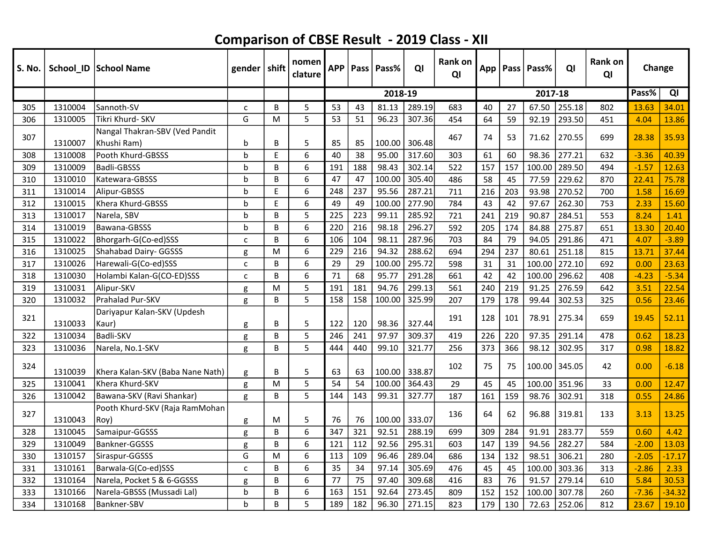| S. No. |         | School_ID   School Name                       | gender   shift |   | nomen<br>clature | <b>APP</b> | Pass | Pass%   | QI     | <b>Rank on</b><br>QI |     |     | App   Pass   Pass% | QI     | Rank on<br>QI | Change  |          |
|--------|---------|-----------------------------------------------|----------------|---|------------------|------------|------|---------|--------|----------------------|-----|-----|--------------------|--------|---------------|---------|----------|
|        |         |                                               |                |   |                  |            |      | 2018-19 |        |                      |     |     | 2017-18            |        |               | Pass%   | QI       |
| 305    | 1310004 | Sannoth-SV                                    | $\mathsf{C}$   | B | 5                | 53         | 43   | 81.13   | 289.19 | 683                  | 40  | 27  | 67.50              | 255.18 | 802           | 13.63   | 34.01    |
| 306    | 1310005 | Tikri Khurd- SKV                              | G              | M | 5                | 53         | 51   | 96.23   | 307.36 | 454                  | 64  | 59  | 92.19              | 293.50 | 451           | 4.04    | 13.86    |
| 307    | 1310007 | Nangal Thakran-SBV (Ved Pandit<br>Khushi Ram) | b              | В | 5                | 85         | 85   | 100.00  | 306.48 | 467                  | 74  | 53  | 71.62              | 270.55 | 699           | 28.38   | 35.93    |
| 308    | 1310008 | Pooth Khurd-GBSSS                             | b              | E | 6                | 40         | 38   | 95.00   | 317.60 | 303                  | 61  | 60  | 98.36              | 277.21 | 632           | $-3.36$ | 40.39    |
| 309    | 1310009 | Badli-GBSSS                                   | $\mathbf b$    | B | 6                | 191        | 188  | 98.43   | 302.14 | 522                  | 157 | 157 | 100.00             | 289.50 | 494           | $-1.57$ | 12.63    |
| 310    | 1310010 | Katewara-GBSSS                                | $\mathbf b$    | B | 6                | 47         | 47   | 100.00  | 305.40 | 486                  | 58  | 45  | 77.59              | 229.62 | 870           | 22.41   | 75.78    |
| 311    | 1310014 | Alipur-GBSSS                                  | b              | E | 6                | 248        | 237  | 95.56   | 287.21 | 711                  | 216 | 203 | 93.98              | 270.52 | 700           | 1.58    | 16.69    |
| 312    | 1310015 | Khera Khurd-GBSSS                             | b              | E | 6                | 49         | 49   | 100.00  | 277.90 | 784                  | 43  | 42  | 97.67              | 262.30 | 753           | 2.33    | 15.60    |
| 313    | 1310017 | Narela, SBV                                   | b              | B | 5                | 225        | 223  | 99.11   | 285.92 | 721                  | 241 | 219 | 90.87              | 284.51 | 553           | 8.24    | 1.41     |
| 314    | 1310019 | Bawana-GBSSS                                  | b              | B | 6                | 220        | 216  | 98.18   | 296.27 | 592                  | 205 | 174 | 84.88              | 275.87 | 651           | 13.30   | 20.40    |
| 315    | 1310022 | Bhorgarh-G(Co-ed)SSS                          | $\mathsf{C}$   | B | 6                | 106        | 104  | 98.11   | 287.96 | 703                  | 84  | 79  | 94.05              | 291.86 | 471           | 4.07    | $-3.89$  |
| 316    | 1310025 | Shahabad Dairy- GGSSS                         | g              | M | 6                | 229        | 216  | 94.32   | 288.62 | 694                  | 294 | 237 | 80.61              | 251.18 | 815           | 13.71   | 37.44    |
| 317    | 1310026 | Harewali-G(Co-ed)SSS                          | $\mathsf{C}$   | B | 6                | 29         | 29   | 100.00  | 295.72 | 598                  | 31  | 31  | 100.00             | 272.10 | 692           | 0.00    | 23.63    |
| 318    | 1310030 | Holambi Kalan-G(CO-ED)SSS                     | C              | B | 6                | 71         | 68   | 95.77   | 291.28 | 661                  | 42  | 42  | 100.00             | 296.62 | 408           | $-4.23$ | $-5.34$  |
| 319    | 1310031 | Alipur-SKV                                    | g              | M | 5                | 191        | 181  | 94.76   | 299.13 | 561                  | 240 | 219 | 91.25              | 276.59 | 642           | 3.51    | 22.54    |
| 320    | 1310032 | Prahalad Pur-SKV                              | g              | B | 5                | 158        | 158  | 100.00  | 325.99 | 207                  | 179 | 178 | 99.44              | 302.53 | 325           | 0.56    | 23.46    |
| 321    | 1310033 | Dariyapur Kalan-SKV (Updesh<br>Kaur)          | g              | B | 5                | 122        | 120  | 98.36   | 327.44 | 191                  | 128 | 101 | 78.91              | 275.34 | 659           | 19.45   | 52.11    |
| 322    | 1310034 | Badli-SKV                                     | g              | B | 5                | 246        | 241  | 97.97   | 309.37 | 419                  | 226 | 220 | 97.35              | 291.14 | 478           | 0.62    | 18.23    |
| 323    | 1310036 | Narela, No.1-SKV                              | g              | B | 5                | 444        | 440  | 99.10   | 321.77 | 256                  | 373 | 366 | 98.12              | 302.95 | 317           | 0.98    | 18.82    |
| 324    | 1310039 | Khera Kalan-SKV (Baba Nane Nath)              | g              | В | 5                | 63         | 63   | 100.00  | 338.87 | 102                  | 75  | 75  | 100.00             | 345.05 | 42            | 0.00    | $-6.18$  |
| 325    | 1310041 | Khera Khurd-SKV                               | g              | M | 5                | 54         | 54   | 100.00  | 364.43 | 29                   | 45  | 45  | 100.00             | 351.96 | 33            | 0.00    | 12.47    |
| 326    | 1310042 | Bawana-SKV (Ravi Shankar)                     | g              | B | 5                | 144        | 143  | 99.31   | 327.77 | 187                  | 161 | 159 | 98.76              | 302.91 | 318           | 0.55    | 24.86    |
| 327    | 1310043 | Pooth Khurd-SKV (Raja RamMohan<br>(Roy        | g              | M | 5                | 76         | 76   | 100.00  | 333.07 | 136                  | 64  | 62  | 96.88              | 319.81 | 133           | 3.13    | 13.25    |
| 328    | 1310045 | Samaipur-GGSSS                                | g              | B | 6                | 347        | 321  | 92.51   | 288.19 | 699                  | 309 | 284 | 91.91              | 283.77 | 559           | 0.60    | 4.42     |
| 329    | 1310049 | Bankner-GGSSS                                 | g              | B | 6                | 121        | 112  | 92.56   | 295.31 | 603                  | 147 | 139 | 94.56              | 282.27 | 584           | $-2.00$ | 13.03    |
| 330    | 1310157 | Siraspur-GGSSS                                | G              | M | 6                | 113        | 109  | 96.46   | 289.04 | 686                  | 134 | 132 | 98.51              | 306.21 | 280           | $-2.05$ | $-17.17$ |
| 331    | 1310161 | Barwala-G(Co-ed)SSS                           | C              | B | 6                | 35         | 34   | 97.14   | 305.69 | 476                  | 45  | 45  | 100.00             | 303.36 | 313           | $-2.86$ | 2.33     |
| 332    | 1310164 | Narela, Pocket 5 & 6-GGSSS                    | g              | B | 6                | 77         | 75   | 97.40   | 309.68 | 416                  | 83  | 76  | 91.57              | 279.14 | 610           | 5.84    | 30.53    |
| 333    | 1310166 | Narela-GBSSS (Mussadi Lal)                    | b              | B | 6                | 163        | 151  | 92.64   | 273.45 | 809                  | 152 | 152 | 100.00             | 307.78 | 260           | $-7.36$ | $-34.32$ |
| 334    | 1310168 | Bankner-SBV                                   | $\mathbf b$    | B | 5                | 189        | 182  | 96.30   | 271.15 | 823                  | 179 | 130 | 72.63              | 252.06 | 812           | 23.67   | 19.10    |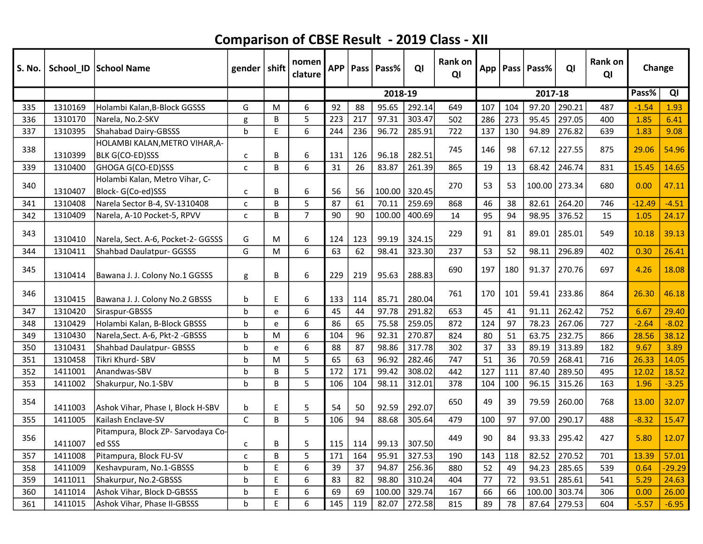| S. No. |         | School_ID   School Name                             | gender   shift |   | nomen<br>clature | <b>APP</b> |     | Pass   Pass% | QI     | <b>Rank on</b><br>QI | App |     | Pass   Pass% | QI     | <b>Rank on</b><br>QI | Change   |          |
|--------|---------|-----------------------------------------------------|----------------|---|------------------|------------|-----|--------------|--------|----------------------|-----|-----|--------------|--------|----------------------|----------|----------|
|        |         |                                                     |                |   |                  |            |     | 2018-19      |        |                      |     |     | 2017-18      |        |                      | Pass%    | QI       |
| 335    | 1310169 | Holambi Kalan, B-Block GGSSS                        | G              | M | 6                | 92         | 88  | 95.65        | 292.14 | 649                  | 107 | 104 | 97.20        | 290.21 | 487                  | $-1.54$  | 1.93     |
| 336    | 1310170 | Narela, No.2-SKV                                    | g              | B | 5                | 223        | 217 | 97.31        | 303.47 | 502                  | 286 | 273 | 95.45        | 297.05 | 400                  | 1.85     | 6.41     |
| 337    | 1310395 | <b>Shahabad Dairy-GBSSS</b>                         | $\mathbf b$    | E | 6                | 244        | 236 | 96.72        | 285.91 | 722                  | 137 | 130 | 94.89        | 276.82 | 639                  | 1.83     | 9.08     |
| 338    | 1310399 | HOLAMBI KALAN, METRO VIHAR, A-<br>BLK G(CO-ED)SSS   | $\mathsf{C}$   | В | 6                | 131        | 126 | 96.18        | 282.51 | 745                  | 146 | 98  | 67.12        | 227.55 | 875                  | 29.06    | 54.96    |
| 339    | 1310400 | GHOGA G(CO-ED)SSS                                   | $\mathsf{C}$   | B | 6                | 31         | 26  | 83.87        | 261.39 | 865                  | 19  | 13  | 68.42        | 246.74 | 831                  | 15.45    | 14.65    |
| 340    | 1310407 | Holambi Kalan, Metro Vihar, C-<br>Block-G(Co-ed)SSS | C              | B | 6                | 56         | 56  | 100.00       | 320.45 | 270                  | 53  | 53  | 100.00       | 273.34 | 680                  | 0.00     | 47.11    |
| 341    | 1310408 | Narela Sector B-4, SV-1310408                       | $\mathsf{C}$   | B | 5                | 87         | 61  | 70.11        | 259.69 | 868                  | 46  | 38  | 82.61        | 264.20 | 746                  | $-12.49$ | $-4.51$  |
| 342    | 1310409 | Narela, A-10 Pocket-5, RPVV                         | C              | B | $\overline{7}$   | 90         | 90  | 100.00       | 400.69 | 14                   | 95  | 94  | 98.95        | 376.52 | 15                   | 1.05     | 24.17    |
| 343    | 1310410 | Narela, Sect. A-6, Pocket-2- GGSSS                  | G              | M | $\boldsymbol{6}$ | 124        | 123 | 99.19        | 324.15 | 229                  | 91  | 81  | 89.01        | 285.01 | 549                  | 10.18    | 39.13    |
| 344    | 1310411 | <b>Shahbad Daulatpur- GGSSS</b>                     | G              | M | 6                | 63         | 62  | 98.41        | 323.30 | 237                  | 53  | 52  | 98.11        | 296.89 | 402                  | 0.30     | 26.41    |
| 345    | 1310414 | Bawana J. J. Colony No.1 GGSSS                      | g              | В | 6                | 229        | 219 | 95.63        | 288.83 | 690                  | 197 | 180 | 91.37        | 270.76 | 697                  | 4.26     | 18.08    |
| 346    | 1310415 | Bawana J. J. Colony No.2 GBSSS                      | b              | E | 6                | 133        | 114 | 85.71        | 280.04 | 761                  | 170 | 101 | 59.41        | 233.86 | 864                  | 26.30    | 46.18    |
| 347    | 1310420 | Siraspur-GBSSS                                      | $\mathbf b$    | e | 6                | 45         | 44  | 97.78        | 291.82 | 653                  | 45  | 41  | 91.11        | 262.42 | 752                  | 6.67     | 29.40    |
| 348    | 1310429 | Holambi Kalan, B-Block GBSSS                        | b              | e | 6                | 86         | 65  | 75.58        | 259.05 | 872                  | 124 | 97  | 78.23        | 267.06 | 727                  | $-2.64$  | $-8.02$  |
| 349    | 1310430 | Narela, Sect. A-6, Pkt-2 - GBSSS                    | b              | M | 6                | 104        | 96  | 92.31        | 270.87 | 824                  | 80  | 51  | 63.75        | 232.75 | 866                  | 28.56    | 38.12    |
| 350    | 1310431 | <b>Shahbad Daulatpur- GBSSS</b>                     | h              | e | 6                | 88         | 87  | 98.86        | 317.78 | 302                  | 37  | 33  | 89.19        | 313.89 | 182                  | 9.67     | 3.89     |
| 351    | 1310458 | Tikri Khurd- SBV                                    | b              | M | 5                | 65         | 63  | 96.92        | 282.46 | 747                  | 51  | 36  | 70.59        | 268.41 | 716                  | 26.33    | 14.05    |
| 352    | 1411001 | Anandwas-SBV                                        | b              | B | 5                | 172        | 171 | 99.42        | 308.02 | 442                  | 127 | 111 | 87.40        | 289.50 | 495                  | 12.02    | 18.52    |
| 353    | 1411002 | Shakurpur, No.1-SBV                                 | b              | B | 5                | 106        | 104 | 98.11        | 312.01 | 378                  | 104 | 100 | 96.15        | 315.26 | 163                  | 1.96     | $-3.25$  |
| 354    | 1411003 | Ashok Vihar, Phase I, Block H-SBV                   | b              | E | 5                | 54         | 50  | 92.59        | 292.07 | 650                  | 49  | 39  | 79.59        | 260.00 | 768                  | 13.00    | 32.07    |
| 355    | 1411005 | Kailash Enclave-SV                                  | $\mathsf{C}$   | B | 5                | 106        | 94  | 88.68        | 305.64 | 479                  | 100 | 97  | 97.00        | 290.17 | 488                  | $-8.32$  | 15.47    |
| 356    | 1411007 | Pitampura, Block ZP- Sarvodaya Co-<br>ed SSS        | C              | B | 5                | 115        | 114 | 99.13        | 307.50 | 449                  | 90  | 84  | 93.33        | 295.42 | 427                  | 5.80     | 12.07    |
| 357    | 1411008 | Pitampura, Block FU-SV                              | $\mathsf{C}$   | B | 5                | 171        | 164 | 95.91        | 327.53 | 190                  | 143 | 118 | 82.52        | 270.52 | 701                  | 13.39    | 57.01    |
| 358    | 1411009 | Keshavpuram, No.1-GBSSS                             | b              | E | 6                | 39         | 37  | 94.87        | 256.36 | 880                  | 52  | 49  | 94.23        | 285.65 | 539                  | 0.64     | $-29.29$ |
| 359    | 1411011 | Shakurpur, No.2-GBSSS                               | b              | E | 6                | 83         | 82  | 98.80        | 310.24 | 404                  | 77  | 72  | 93.51        | 285.61 | 541                  | 5.29     | 24.63    |
| 360    | 1411014 | Ashok Vihar, Block D-GBSSS                          | b              | E | 6                | 69         | 69  | 100.00       | 329.74 | 167                  | 66  | 66  | 100.00       | 303.74 | 306                  | 0.00     | 26.00    |
| 361    | 1411015 | Ashok Vihar, Phase II-GBSSS                         | h              | E | 6                | 145        | 119 | 82.07        | 272.58 | 815                  | 89  | 78  | 87.64        | 279.53 | 604                  | $-5.57$  | $-6.95$  |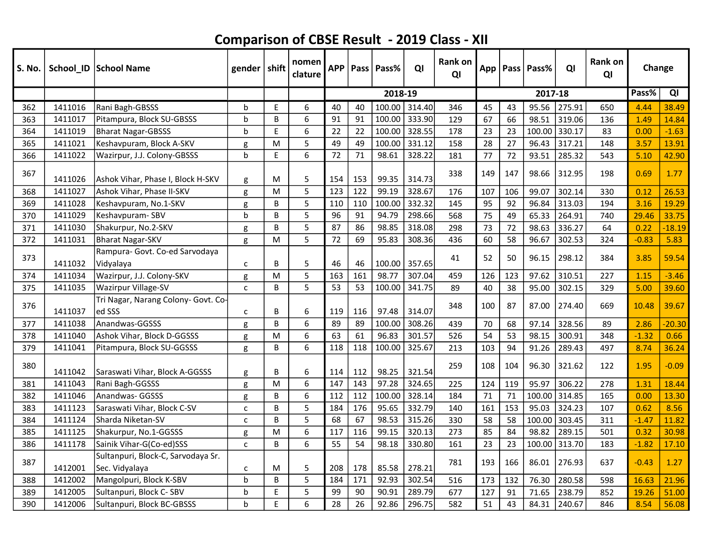| S. No. |         | School ID School Name                                | gender $ $ shift |   | nomen<br>clature | <b>APP</b> |     | Pass   Pass% | QI     | Rank on<br>QI |     |     | App   Pass   Pass% | QI     | Rank on<br>QI | Change  |          |
|--------|---------|------------------------------------------------------|------------------|---|------------------|------------|-----|--------------|--------|---------------|-----|-----|--------------------|--------|---------------|---------|----------|
|        |         |                                                      |                  |   |                  |            |     | 2018-19      |        |               |     |     | 2017-18            |        |               | Pass%   | QI       |
| 362    | 1411016 | Rani Bagh-GBSSS                                      | b                | E | 6                | 40         | 40  | 100.00       | 314.40 | 346           | 45  | 43  | 95.56              | 275.91 | 650           | 4.44    | 38.49    |
| 363    | 1411017 | Pitampura, Block SU-GBSSS                            | b                | B | 6                | 91         | 91  | 100.00       | 333.90 | 129           | 67  | 66  | 98.51              | 319.06 | 136           | 1.49    | 14.84    |
| 364    | 1411019 | <b>Bharat Nagar-GBSSS</b>                            | b                | E | 6                | 22         | 22  | 100.00       | 328.55 | 178           | 23  | 23  | 100.00 330.17      |        | 83            | 0.00    | $-1.63$  |
| 365    | 1411021 | Keshavpuram, Block A-SKV                             | g                | M | 5                | 49         | 49  | 100.00       | 331.12 | 158           | 28  | 27  | 96.43              | 317.21 | 148           | 3.57    | 13.91    |
| 366    | 1411022 | Wazirpur, J.J. Colony-GBSSS                          | b                | E | 6                | 72         | 71  | 98.61        | 328.22 | 181           | 77  | 72  | 93.51              | 285.32 | 543           | 5.10    | 42.90    |
| 367    | 1411026 | Ashok Vihar, Phase I, Block H-SKV                    | g                | м | 5                | 154        | 153 | 99.35        | 314.73 | 338           | 149 | 147 | 98.66              | 312.95 | 198           | 0.69    | 1.77     |
| 368    | 1411027 | Ashok Vihar, Phase II-SKV                            | g                | M | 5                | 123        | 122 | 99.19        | 328.67 | 176           | 107 | 106 | 99.07              | 302.14 | 330           | 0.12    | 26.53    |
| 369    | 1411028 | Keshavpuram, No.1-SKV                                | g                | B | 5                | 110        | 110 | 100.00       | 332.32 | 145           | 95  | 92  | 96.84              | 313.03 | 194           | 3.16    | 19.29    |
| 370    | 1411029 | Keshavpuram-SBV                                      | b                | B | 5                | 96         | 91  | 94.79        | 298.66 | 568           | 75  | 49  | 65.33              | 264.91 | 740           | 29.46   | 33.75    |
| 371    | 1411030 | Shakurpur, No.2-SKV                                  | g                | B | 5                | 87         | 86  | 98.85        | 318.08 | 298           | 73  | 72  | 98.63              | 336.27 | 64            | 0.22    | $-18.19$ |
| 372    | 1411031 | <b>Bharat Nagar-SKV</b>                              | g                | M | 5                | 72         | 69  | 95.83        | 308.36 | 436           | 60  | 58  | 96.67              | 302.53 | 324           | $-0.83$ | 5.83     |
| 373    | 1411032 | Rampura- Govt. Co-ed Sarvodaya<br>Vidyalaya          | C                | B | 5                | 46         | 46  | 100.00       | 357.65 | 41            | 52  | 50  | 96.15              | 298.12 | 384           | 3.85    | 59.54    |
| 374    | 1411034 | Wazirpur, J.J. Colony-SKV                            | g                | M | 5                | 163        | 161 | 98.77        | 307.04 | 459           | 126 | 123 | 97.62              | 310.51 | 227           | 1.15    | $-3.46$  |
| 375    | 1411035 | Wazirpur Village-SV                                  | $\mathsf{C}$     | B | 5                | 53         | 53  | 100.00       | 341.75 | 89            | 40  | 38  | 95.00              | 302.15 | 329           | 5.00    | 39.60    |
| 376    | 1411037 | Tri Nagar, Narang Colony- Govt. Co-<br>ed SSS        | C                | B | 6                | 119        | 116 | 97.48        | 314.07 | 348           | 100 | 87  | 87.00              | 274.40 | 669           | 10.48   | 39.67    |
| 377    | 1411038 | Anandwas-GGSSS                                       | g                | B | 6                | 89         | 89  | 100.00       | 308.26 | 439           | 70  | 68  | 97.14              | 328.56 | 89            | 2.86    | $-20.30$ |
| 378    | 1411040 | Ashok Vihar, Block D-GGSSS                           | g                | M | 6                | 63         | 61  | 96.83        | 301.57 | 526           | 54  | 53  | 98.15              | 300.91 | 348           | $-1.32$ | 0.66     |
| 379    | 1411041 | Pitampura, Block SU-GGSSS                            | g                | B | 6                | 118        | 118 | 100.00       | 325.67 | 213           | 103 | 94  | 91.26              | 289.43 | 497           | 8.74    | 36.24    |
| 380    | 1411042 | Saraswati Vihar, Block A-GGSSS                       | g                | B | 6                | 114        | 112 | 98.25        | 321.54 | 259           | 108 | 104 | 96.30              | 321.62 | 122           | 1.95    | $-0.09$  |
| 381    | 1411043 | Rani Bagh-GGSSS                                      | g                | M | 6                | 147        | 143 | 97.28        | 324.65 | 225           | 124 | 119 | 95.97              | 306.22 | 278           | 1.31    | 18.44    |
| 382    | 1411046 | Anandwas- GGSSS                                      | g                | B | 6                | 112        | 112 | 100.00       | 328.14 | 184           | 71  | 71  | 100.00             | 314.85 | 165           | 0.00    | 13.30    |
| 383    | 1411123 | Saraswati Vihar, Block C-SV                          | C                | B | 5                | 184        | 176 | 95.65        | 332.79 | 140           | 161 | 153 | 95.03              | 324.23 | 107           | 0.62    | 8.56     |
| 384    | 1411124 | Sharda Niketan-SV                                    | C                | B | 5                | 68         | 67  | 98.53        | 315.26 | 330           | 58  | 58  | 100.00             | 303.45 | 311           | $-1.47$ | 11.82    |
| 385    | 1411125 | Shakurpur, No.1-GGSSS                                | g                | M | 6                | 117        | 116 | 99.15        | 320.13 | 273           | 85  | 84  | 98.82              | 289.15 | 501           | 0.32    | 30.98    |
| 386    | 1411178 | Sainik Vihar-G(Co-ed)SSS                             | $\mathsf{C}$     | B | 6                | 55         | 54  | 98.18        | 330.80 | 161           | 23  | 23  | 100.00             | 313.70 | 183           | $-1.82$ | 17.10    |
| 387    | 1412001 | Sultanpuri, Block-C, Sarvodaya Sr.<br>Sec. Vidyalaya | c                | M | 5                | 208        | 178 | 85.58        | 278.21 | 781           | 193 | 166 | 86.01              | 276.93 | 637           | $-0.43$ | 1.27     |
| 388    | 1412002 | Mangolpuri, Block K-SBV                              | b                | B | 5                | 184        | 171 | 92.93        | 302.54 | 516           | 173 | 132 | 76.30              | 280.58 | 598           | 16.63   | 21.96    |
| 389    | 1412005 | Sultanpuri, Block C-SBV                              | b                | E | 5                | 99         | 90  | 90.91        | 289.79 | 677           | 127 | 91  | 71.65              | 238.79 | 852           | 19.26   | 51.00    |
| 390    | 1412006 | Sultanpuri, Block BC-GBSSS                           | h                | E | 6                | 28         | 26  | 92.86        | 296.75 | 582           | 51  | 43  | 84.31              | 240.67 | 846           | 8.54    | 56.08    |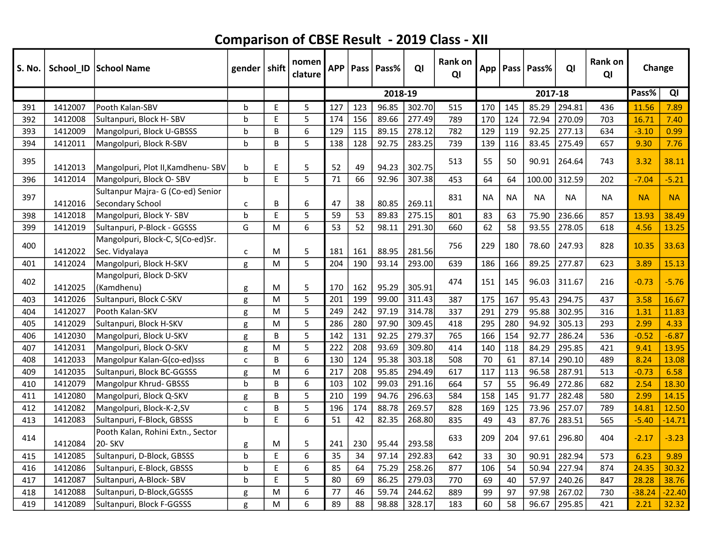| <b>S. No.</b> |         | School_ID   School Name                               | gender   shift |                                                | nomen<br>clature | <b>APP</b> |     | Pass   Pass% | QI     | Rank on<br>QI |           |           | App   Pass   Pass% | QI        | <b>Rank on</b><br>QI | Change    |           |
|---------------|---------|-------------------------------------------------------|----------------|------------------------------------------------|------------------|------------|-----|--------------|--------|---------------|-----------|-----------|--------------------|-----------|----------------------|-----------|-----------|
|               |         |                                                       |                |                                                |                  |            |     | 2018-19      |        |               |           |           | 2017-18            |           |                      | Pass%     | QI        |
| 391           | 1412007 | Pooth Kalan-SBV                                       | b              | E                                              | 5                | 127        | 123 | 96.85        | 302.70 | 515           | 170       | 145       | 85.29              | 294.81    | 436                  | 11.56     | 7.89      |
| 392           | 1412008 | Sultanpuri, Block H-SBV                               | b              | E                                              | 5                | 174        | 156 | 89.66        | 277.49 | 789           | 170       | 124       | 72.94              | 270.09    | 703                  | 16.71     | 7.40      |
| 393           | 1412009 | Mangolpuri, Block U-GBSSS                             | b              | B                                              | 6                | 129        | 115 | 89.15        | 278.12 | 782           | 129       | 119       | 92.25              | 277.13    | 634                  | $-3.10$   | 0.99      |
| 394           | 1412011 | Mangolpuri, Block R-SBV                               | $\mathsf{b}$   | B                                              | 5                | 138        | 128 | 92.75        | 283.25 | 739           | 139       | 116       | 83.45              | 275.49    | 657                  | 9.30      | 7.76      |
| 395           | 1412013 | Mangolpuri, Plot II, Kamdhenu-SBV                     | b              | E                                              | 5                | 52         | 49  | 94.23        | 302.75 | 513           | 55        | 50        | 90.91              | 264.64    | 743                  | 3.32      | 38.11     |
| 396           | 1412014 | Mangolpuri, Block O-SBV                               | $\mathbf b$    | E                                              | 5                | 71         | 66  | 92.96        | 307.38 | 453           | 64        | 64        | 100.00             | 312.59    | 202                  | $-7.04$   | $-5.21$   |
| 397           | 1412016 | Sultanpur Majra- G (Co-ed) Senior<br>Secondary School | c              | B                                              | 6                | 47         | 38  | 80.85        | 269.11 | 831           | <b>NA</b> | <b>NA</b> | <b>NA</b>          | <b>NA</b> | <b>NA</b>            | <b>NA</b> | <b>NA</b> |
| 398           | 1412018 | Mangolpuri, Block Y-SBV                               | $\mathbf b$    | E                                              | 5                | 59         | 53  | 89.83        | 275.15 | 801           | 83        | 63        | 75.90              | 236.66    | 857                  | 13.93     | 38.49     |
| 399           | 1412019 | Sultanpuri, P-Block - GGSSS                           | G              | M                                              | 6                | 53         | 52  | 98.11        | 291.30 | 660           | 62        | 58        | 93.55              | 278.05    | 618                  | 4.56      | 13.25     |
| 400           | 1412022 | Mangolpuri, Block-C, S(Co-ed)Sr.<br>Sec. Vidyalaya    | $\mathsf{C}$   | M                                              | 5                | 181        | 161 | 88.95        | 281.56 | 756           | 229       | 180       | 78.60              | 247.93    | 828                  | 10.35     | 33.63     |
| 401           | 1412024 | Mangolpuri, Block H-SKV                               | g              | M                                              | 5                | 204        | 190 | 93.14        | 293.00 | 639           | 186       | 166       | 89.25              | 277.87    | 623                  | 3.89      | 15.13     |
| 402           | 1412025 | Mangolpuri, Block D-SKV<br>(Kamdhenu)                 | g              | M                                              | 5                | 170        | 162 | 95.29        | 305.91 | 474           | 151       | 145       | 96.03              | 311.67    | 216                  | $-0.73$   | $-5.76$   |
| 403           | 1412026 | Sultanpuri, Block C-SKV                               | g              | M                                              | 5                | 201        | 199 | 99.00        | 311.43 | 387           | 175       | 167       | 95.43              | 294.75    | 437                  | 3.58      | 16.67     |
| 404           | 1412027 | Pooth Kalan-SKV                                       | g              | M                                              | 5                | 249        | 242 | 97.19        | 314.78 | 337           | 291       | 279       | 95.88              | 302.95    | 316                  | 1.31      | 11.83     |
| 405           | 1412029 | Sultanpuri, Block H-SKV                               | g              | M                                              | 5                | 286        | 280 | 97.90        | 309.45 | 418           | 295       | 280       | 94.92              | 305.13    | 293                  | 2.99      | 4.33      |
| 406           | 1412030 | Mangolpuri, Block U-SKV                               | g              | B                                              | 5                | 142        | 131 | 92.25        | 279.37 | 765           | 166       | 154       | 92.77              | 286.24    | 536                  | $-0.52$   | $-6.87$   |
| 407           | 1412031 | Mangolpuri, Block O-SKV                               | g              | M                                              | 5                | 222        | 208 | 93.69        | 309.80 | 414           | 140       | 118       | 84.29              | 295.85    | 421                  | 9.41      | 13.95     |
| 408           | 1412033 | Mangolpur Kalan-G(co-ed)sss                           | $\mathsf{C}$   | B                                              | 6                | 130        | 124 | 95.38        | 303.18 | 508           | 70        | 61        | 87.14              | 290.10    | 489                  | 8.24      | 13.08     |
| 409           | 1412035 | Sultanpuri, Block BC-GGSSS                            | g              | M                                              | 6                | 217        | 208 | 95.85        | 294.49 | 617           | 117       | 113       | 96.58              | 287.91    | 513                  | $-0.73$   | 6.58      |
| 410           | 1412079 | Mangolpur Khrud- GBSSS                                | $\mathbf b$    | B                                              | 6                | 103        | 102 | 99.03        | 291.16 | 664           | 57        | 55        | 96.49              | 272.86    | 682                  | 2.54      | 18.30     |
| 411           | 1412080 | Mangolpuri, Block Q-SKV                               | g              | B                                              | 5                | 210        | 199 | 94.76        | 296.63 | 584           | 158       | 145       | 91.77              | 282.48    | 580                  | 2.99      | 14.15     |
| 412           | 1412082 | Mangolpuri, Block-K-2,SV                              | $\mathsf{C}$   | B                                              | 5                | 196        | 174 | 88.78        | 269.57 | 828           | 169       | 125       | 73.96              | 257.07    | 789                  | 14.81     | 12.50     |
| 413           | 1412083 | Sultanpuri, F-Block, GBSSS                            | $\mathbf b$    | E                                              | 6                | 51         | 42  | 82.35        | 268.80 | 835           | 49        | 43        | 87.76              | 283.51    | 565                  | $-5.40$   | $-14.71$  |
| 414           | 1412084 | Pooth Kalan, Rohini Extn., Sector<br>20- SKV          | g              | M                                              | 5                | 241        | 230 | 95.44        | 293.58 | 633           | 209       | 204       | 97.61              | 296.80    | 404                  | $-2.17$   | $-3.23$   |
| 415           | 1412085 | Sultanpuri, D-Block, GBSSS                            | $\mathbf b$    | E                                              | 6                | 35         | 34  | 97.14        | 292.83 | 642           | 33        | 30        | 90.91              | 282.94    | 573                  | 6.23      | 9.89      |
| 416           | 1412086 | Sultanpuri, E-Block, GBSSS                            | b              | $\mathsf{E}% _{0}\left( \mathsf{E}_{0}\right)$ | 6                | 85         | 64  | 75.29        | 258.26 | 877           | 106       | 54        | 50.94              | 227.94    | 874                  | 24.35     | 30.32     |
| 417           | 1412087 | Sultanpuri, A-Block-SBV                               | b              | E                                              | 5                | 80         | 69  | 86.25        | 279.03 | 770           | 69        | 40        | 57.97              | 240.26    | 847                  | 28.28     | 38.76     |
| 418           | 1412088 | Sultanpuri, D-Block, GGSSS                            | g              | M                                              | 6                | 77         | 46  | 59.74        | 244.62 | 889           | 99        | 97        | 97.98              | 267.02    | 730                  | $-38.24$  | $-22.40$  |
| 419           | 1412089 | Sultanpuri, Block F-GGSSS                             | g              | M                                              | 6                | 89         | 88  | 98.88        | 328.17 | 183           | 60        | 58        | 96.67              | 295.85    | 421                  | 2.21      | 32.32     |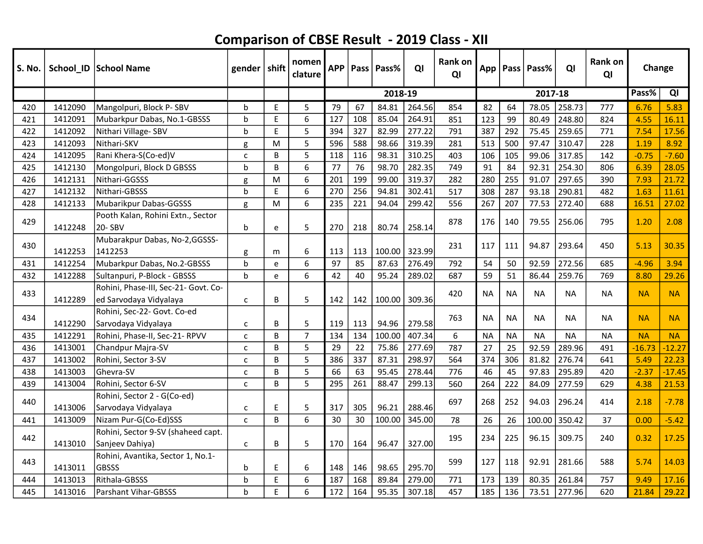| S. No. |         | School_ID School Name                        | gender $ $ shift |    | nomen<br>clature | <b>APP</b> |     | Pass   Pass% | QI     | Rank on<br>QI | App       |           | Pass Pass% | QI        | <b>Rank on</b><br>QI | Change    |           |
|--------|---------|----------------------------------------------|------------------|----|------------------|------------|-----|--------------|--------|---------------|-----------|-----------|------------|-----------|----------------------|-----------|-----------|
|        |         |                                              |                  |    |                  |            |     | 2018-19      |        |               |           |           | 2017-18    |           |                      | Pass%     | QI        |
| 420    | 1412090 | Mangolpuri, Block P-SBV                      | b                | E  | 5                | 79         | 67  | 84.81        | 264.56 | 854           | 82        | 64        | 78.05      | 258.73    | 777                  | 6.76      | 5.83      |
| 421    | 1412091 | Mubarkpur Dabas, No.1-GBSSS                  | b                | E  | 6                | 127        | 108 | 85.04        | 264.91 | 851           | 123       | 99        | 80.49      | 248.80    | 824                  | 4.55      | 16.11     |
| 422    | 1412092 | Nithari Village-SBV                          | h                | E  | 5                | 394        | 327 | 82.99        | 277.22 | 791           | 387       | 292       | 75.45      | 259.65    | 771                  | 7.54      | 17.56     |
| 423    | 1412093 | Nithari-SKV                                  | g                | M  | 5                | 596        | 588 | 98.66        | 319.39 | 281           | 513       | 500       | 97.47      | 310.47    | 228                  | 1.19      | 8.92      |
| 424    | 1412095 | Rani Khera-S(Co-ed)V                         | $\mathsf{C}$     | B  | 5                | 118        | 116 | 98.31        | 310.25 | 403           | 106       | 105       | 99.06      | 317.85    | 142                  | $-0.75$   | $-7.60$   |
| 425    | 1412130 | Mongolpuri, Block D GBSSS                    | h                | B  | 6                | 77         | 76  | 98.70        | 282.35 | 749           | 91        | 84        | 92.31      | 254.30    | 806                  | 6.39      | 28.05     |
| 426    | 1412131 | lNithari-GGSSS                               | g                | M  | 6                | 201        | 199 | 99.00        | 319.37 | 282           | 280       | 255       | 91.07      | 297.65    | 390                  | 7.93      | 21.72     |
| 427    | 1412132 | Nithari-GBSSS                                | b                | E  | 6                | 270        | 256 | 94.81        | 302.41 | 517           | 308       | 287       | 93.18      | 290.81    | 482                  | 1.63      | 11.61     |
| 428    | 1412133 | Mubarikpur Dabas-GGSSS                       | g                | M  | 6                | 235        | 221 | 94.04        | 299.42 | 556           | 267       | 207       | 77.53      | 272.40    | 688                  | 16.51     | 27.02     |
| 429    | 1412248 | Pooth Kalan, Rohini Extn., Sector<br>20- SBV | b                |    | 5                | 270        |     | 80.74        | 258.14 | 878           | 176       | 140       | 79.55      | 256.06    | 795                  | 1.20      | 2.08      |
|        |         | Mubarakpur Dabas, No-2,GGSSS-                |                  | e  |                  |            | 218 |              |        |               |           |           |            |           |                      |           |           |
| 430    | 1412253 | 1412253                                      | g                | m  | 6                | 113        | 113 | 100.00       | 323.99 | 231           | 117       | 111       | 94.87      | 293.64    | 450                  | 5.13      | 30.35     |
| 431    | 1412254 | Mubarkpur Dabas, No.2-GBSSS                  | $\mathbf b$      | e  | 6                | 97         | 85  | 87.63        | 276.49 | 792           | 54        | 50        | 92.59      | 272.56    | 685                  | $-4.96$   | 3.94      |
| 432    | 1412288 | Sultanpuri, P-Block - GBSSS                  | h                | e  | 6                | 42         | 40  | 95.24        | 289.02 | 687           | 59        | 51        | 86.44      | 259.76    | 769                  | 8.80      | 29.26     |
|        |         | Rohini, Phase-III, Sec-21- Govt. Co-         |                  |    |                  |            |     |              |        |               |           |           |            |           |                      |           |           |
| 433    | 1412289 | ed Sarvodaya Vidyalaya                       | $\mathsf{C}$     | B  | 5                | 142        | 142 | 100.00       | 309.36 | 420           | <b>NA</b> | <b>NA</b> | <b>NA</b>  | <b>NA</b> | <b>NA</b>            | <b>NA</b> | <b>NA</b> |
| 434    |         | Rohini, Sec-22- Govt. Co-ed                  |                  |    |                  |            |     |              |        | 763           | <b>NA</b> | <b>NA</b> | <b>NA</b>  | <b>NA</b> | <b>NA</b>            | <b>NA</b> | <b>NA</b> |
|        | 1412290 | Sarvodaya Vidyalaya                          | C                | B  | 5                | 119        | 113 | 94.96        | 279.58 |               |           |           |            |           |                      |           |           |
| 435    | 1412291 | Rohini, Phase-II, Sec-21- RPVV               | $\mathsf{C}$     | B  | $\overline{7}$   | 134        | 134 | 100.00       | 407.34 | 6             | <b>NA</b> | <b>NA</b> | <b>NA</b>  | <b>NA</b> | <b>NA</b>            | <b>NA</b> | <b>NA</b> |
| 436    | 1413001 | Chandpur Majra-SV                            | C                | B  | 5                | 29         | 22  | 75.86        | 277.69 | 787           | 27        | 25        | 92.59      | 289.96    | 491                  | $-16.73$  | $-12.27$  |
| 437    | 1413002 | Rohini, Sector 3-SV                          | C                | B  | 5                | 386        | 337 | 87.31        | 298.97 | 564           | 374       | 306       | 81.82      | 276.74    | 641                  | 5.49      | 22.23     |
| 438    | 1413003 | Ghevra-SV                                    | $\mathsf{C}$     | B  | 5                | 66         | 63  | 95.45        | 278.44 | 776           | 46        | 45        | 97.83      | 295.89    | 420                  | $-2.37$   | $-17.45$  |
| 439    | 1413004 | Rohini, Sector 6-SV                          | $\mathsf{C}$     | B  | 5                | 295        | 261 | 88.47        | 299.13 | 560           | 264       | 222       | 84.09      | 277.59    | 629                  | 4.38      | 21.53     |
| 440    |         | Rohini, Sector 2 - G(Co-ed)                  |                  |    |                  |            |     |              |        | 697           | 268       | 252       | 94.03      | 296.24    | 414                  | 2.18      | $-7.78$   |
|        | 1413006 | Sarvodaya Vidyalaya                          | C                | E  | 5                | 317        | 305 | 96.21        | 288.46 |               |           |           |            |           |                      |           |           |
| 441    | 1413009 | Nizam Pur-G(Co-Ed)SSS                        | $\mathsf{C}$     | B  | 6                | 30         | 30  | 100.00       | 345.00 | 78            | 26        | 26        | 100.00     | 350.42    | 37                   | 0.00      | $-5.42$   |
| 442    |         | Rohini, Sector 9-SV (shaheed capt.           |                  |    |                  |            |     |              |        | 195           | 234       | 225       | 96.15      | 309.75    | 240                  | 0.32      | 17.25     |
|        | 1413010 | Sanjeev Dahiya)                              | C                | B  | 5                | 170        | 164 | 96.47        | 327.00 |               |           |           |            |           |                      |           |           |
| 443    |         | Rohini, Avantika, Sector 1, No.1-            |                  |    |                  |            |     |              |        | 599           | 127       | 118       | 92.91      | 281.66    | 588                  | 5.74      | 14.03     |
|        | 1413011 | lGBSSS                                       | b                | E  | 6                | 148        | 146 | 98.65        | 295.70 |               |           |           |            |           |                      |           |           |
| 444    | 1413013 | Rithala-GBSSS                                | b                | E  | 6                | 187        | 168 | 89.84        | 279.00 | 771           | 173       | 139       | 80.35      | 261.84    | 757                  | 9.49      | 17.16     |
| 445    | 1413016 | Parshant Vihar-GBSSS                         | b                | E. | 6                | 172        | 164 | 95.35        | 307.18 | 457           | 185       | 136       | 73.51      | 277.96    | 620                  | 21.84     | 29.22     |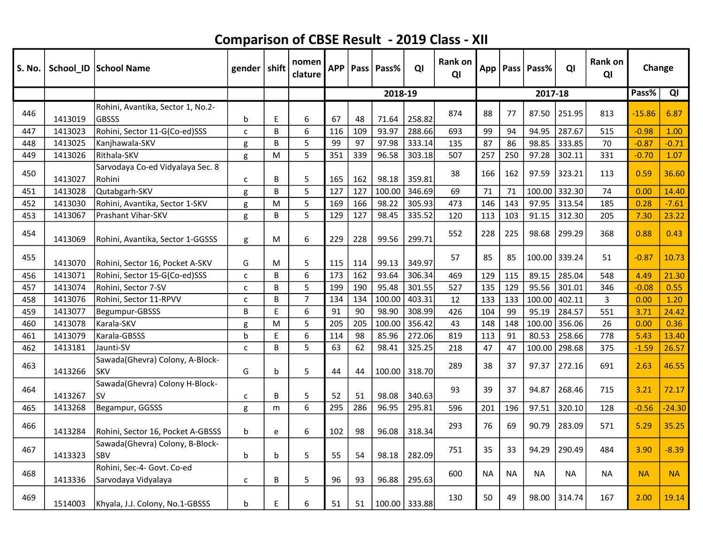| S. No. |         | School_ID School Name                             | gender   shift |   | nomen<br>clature | <b>APP</b> |     | Pass   Pass% | QI            | Rank on<br>QI |           |           | App   Pass   Pass% | QI     | <b>Rank on</b><br>QI | Change    |           |
|--------|---------|---------------------------------------------------|----------------|---|------------------|------------|-----|--------------|---------------|---------------|-----------|-----------|--------------------|--------|----------------------|-----------|-----------|
|        |         |                                                   |                |   |                  |            |     | 2018-19      |               |               |           |           | 2017-18            |        |                      | Pass%     | QI        |
| 446    | 1413019 | Rohini, Avantika, Sector 1, No.2-<br><b>GBSSS</b> | b              | E | 6                | 67         | 48  | 71.64        | 258.82        | 874           | 88        | 77        | 87.50              | 251.95 | 813                  | $-15.86$  | 6.87      |
| 447    | 1413023 | Rohini, Sector 11-G(Co-ed)SSS                     | C              | B | 6                | 116        | 109 | 93.97        | 288.66        | 693           | 99        | 94        | 94.95              | 287.67 | 515                  | $-0.98$   | 1.00      |
| 448    | 1413025 | Kanjhawala-SKV                                    | g              | B | 5                | 99         | 97  | 97.98        | 333.14        | 135           | 87        | 86        | 98.85              | 333.85 | 70                   | $-0.87$   | $-0.71$   |
| 449    | 1413026 | Rithala-SKV                                       | g              | M | 5                | 351        | 339 | 96.58        | 303.18        | 507           | 257       | 250       | 97.28              | 302.11 | 331                  | $-0.70$   | 1.07      |
| 450    | 1413027 | Sarvodaya Co-ed Vidyalaya Sec. 8<br>Rohini        | $\mathsf{C}$   | B | 5                | 165        | 162 | 98.18        | 359.81        | 38            | 166       | 162       | 97.59              | 323.21 | 113                  | 0.59      | 36.60     |
| 451    | 1413028 | Qutabgarh-SKV                                     | g              | B | 5                | 127        | 127 | 100.00       | 346.69        | 69            | 71        | 71        | 100.00             | 332.30 | 74                   | 0.00      | 14.40     |
| 452    | 1413030 | Rohini, Avantika, Sector 1-SKV                    | g              | M | 5                | 169        | 166 | 98.22        | 305.93        | 473           | 146       | 143       | 97.95              | 313.54 | 185                  | 0.28      | $-7.61$   |
| 453    | 1413067 | <b>Prashant Vihar-SKV</b>                         | g              | B | 5                | 129        | 127 | 98.45        | 335.52        | 120           | 113       | 103       | 91.15              | 312.30 | 205                  | 7.30      | 23.22     |
| 454    | 1413069 | Rohini, Avantika, Sector 1-GGSSS                  | g              | M | 6                | 229        | 228 | 99.56        | 299.71        | 552           | 228       | 225       | 98.68              | 299.29 | 368                  | 0.88      | 0.43      |
| 455    | 1413070 | Rohini, Sector 16, Pocket A-SKV                   | G              | M | 5                | 115        | 114 | 99.13        | 349.97        | 57            | 85        | 85        | 100.00             | 339.24 | 51                   | $-0.87$   | 10.73     |
| 456    | 1413071 | Rohini, Sector 15-G(Co-ed)SSS                     | C              | B | 6                | 173        | 162 | 93.64        | 306.34        | 469           | 129       | 115       | 89.15              | 285.04 | 548                  | 4.49      | 21.30     |
| 457    | 1413074 | Rohini, Sector 7-SV                               | $\mathsf{C}$   | B | 5                | 199        | 190 | 95.48        | 301.55        | 527           | 135       | 129       | 95.56              | 301.01 | 346                  | $-0.08$   | 0.55      |
| 458    | 1413076 | Rohini, Sector 11-RPVV                            | $\mathsf{C}$   | B | $\overline{7}$   | 134        | 134 | 100.00       | 403.31        | 12            | 133       | 133       | 100.00             | 402.11 | 3                    | 0.00      | 1.20      |
| 459    | 1413077 | Begumpur-GBSSS                                    | B              | F | 6                | 91         | 90  | 98.90        | 308.99        | 426           | 104       | 99        | 95.19              | 284.57 | 551                  | 3.71      | 24.42     |
| 460    | 1413078 | Karala-SKV                                        | g              | M | 5                | 205        | 205 | 100.00       | 356.42        | 43            | 148       | 148       | 100.00             | 356.06 | 26                   | 0.00      | 0.36      |
| 461    | 1413079 | Karala-GBSSS                                      | b              | E | 6                | 114        | 98  | 85.96        | 272.06        | 819           | 113       | 91        | 80.53              | 258.66 | 778                  | 5.43      | 13.40     |
| 462    | 1413181 | Jaunti-SV                                         | $\mathsf{C}$   | B | 5                | 63         | 62  | 98.41        | 325.25        | 218           | 47        | 47        | 100.00             | 298.68 | 375                  | $-1.59$   | 26.57     |
| 463    | 1413266 | Sawada(Ghevra) Colony, A-Block-<br><b>SKV</b>     | G              | b | 5                | 44         | 44  | 100.00       | 318.70        | 289           | 38        | 37        | 97.37              | 272.16 | 691                  | 2.63      | 46.55     |
| 464    | 1413267 | Sawada(Ghevra) Colony H-Block-<br><b>SV</b>       | C              | B | 5                | 52         | 51  | 98.08        | 340.63        | 93            | 39        | 37        | 94.87              | 268.46 | 715                  | 3.21      | 72.17     |
| 465    | 1413268 | Begampur, GGSSS                                   | g              | m | 6                | 295        | 286 | 96.95        | 295.81        | 596           | 201       | 196       | 97.51              | 320.10 | 128                  | $-0.56$   | $-24.30$  |
| 466    | 1413284 | Rohini, Sector 16, Pocket A-GBSSS                 | $\mathbf b$    | e | 6                | 102        | 98  | 96.08        | 318.34        | 293           | 76        | 69        | 90.79              | 283.09 | 571                  | 5.29      | 35.25     |
| 467    | 1413323 | Sawada(Ghevra) Colony, B-Block-<br>SBV            | $\mathbf b$    | b | 5                | 55         | 54  | 98.18        | 282.09        | 751           | 35        | 33        | 94.29              | 290.49 | 484                  | 3.90      | $-8.39$   |
| 468    | 1413336 | Rohini, Sec-4- Govt. Co-ed<br>Sarvodaya Vidyalaya | $\mathsf{C}$   | B | 5                | 96         | 93  | 96.88        | 295.63        | 600           | <b>NA</b> | <b>NA</b> | <b>NA</b>          | NA     | <b>NA</b>            | <b>NA</b> | <b>NA</b> |
| 469    | 1514003 | Khyala, J.J. Colony, No.1-GBSSS                   | b              | E | 6                | 51         | 51  |              | 100.00 333.88 | 130           | 50        | 49        | 98.00              | 314.74 | 167                  | 2.00      | 19.14     |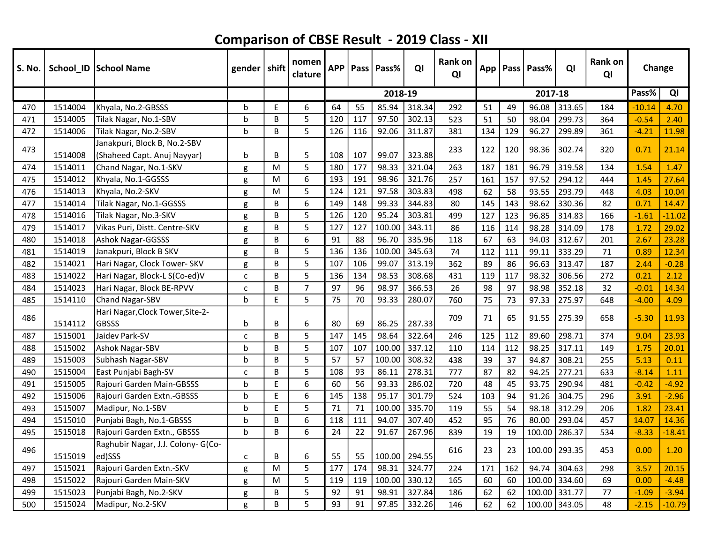| S. No. |         | School_ID School Name                            | gender $\vert$ shift |   | nomen<br>clature | <b>APP</b> |     | Pass   Pass% | QI     | <b>Rank on</b><br>QI |     |     | App   Pass   Pass% | QI     | Rank on<br>QI | Change   |          |
|--------|---------|--------------------------------------------------|----------------------|---|------------------|------------|-----|--------------|--------|----------------------|-----|-----|--------------------|--------|---------------|----------|----------|
|        |         |                                                  |                      |   |                  |            |     | 2018-19      |        |                      |     |     | 2017-18            |        |               | Pass%    | QI       |
| 470    | 1514004 | Khyala, No.2-GBSSS                               | b                    | E | 6                | 64         | 55  | 85.94        | 318.34 | 292                  | 51  | 49  | 96.08              | 313.65 | 184           | $-10.14$ | 4.70     |
| 471    | 1514005 | Tilak Nagar, No.1-SBV                            | h                    | B | 5                | 120        | 117 | 97.50        | 302.13 | 523                  | 51  | 50  | 98.04              | 299.73 | 364           | $-0.54$  | 2.40     |
| 472    | 1514006 | Tilak Nagar, No.2-SBV                            | b                    | B | 5                | 126        | 116 | 92.06        | 311.87 | 381                  | 134 | 129 | 96.27              | 299.89 | 361           | $-4.21$  | 11.98    |
| 473    |         | Janakpuri, Block B, No.2-SBV                     |                      |   |                  |            |     |              |        | 233                  | 122 | 120 | 98.36              | 302.74 | 320           | 0.71     | 21.14    |
|        | 1514008 | (Shaheed Capt. Anuj Nayyar)                      | b                    | B | 5                | 108        | 107 | 99.07        | 323.88 |                      |     |     |                    |        |               |          |          |
| 474    | 1514011 | Chand Nagar, No.1-SKV                            | g                    | M | 5                | 180        | 177 | 98.33        | 321.04 | 263                  | 187 | 181 | 96.79              | 319.58 | 134           | 1.54     | 1.47     |
| 475    | 1514012 | Khyala, No.1-GGSSS                               | g                    | M | 6                | 193        | 191 | 98.96        | 321.76 | 257                  | 161 | 157 | 97.52              | 294.12 | 444           | 1.45     | 27.64    |
| 476    | 1514013 | Khyala, No.2-SKV                                 | g                    | M | 5                | 124        | 121 | 97.58        | 303.83 | 498                  | 62  | 58  | 93.55              | 293.79 | 448           | 4.03     | 10.04    |
| 477    | 1514014 | Tilak Nagar, No.1-GGSSS                          | g                    | B | 6                | 149        | 148 | 99.33        | 344.83 | 80                   | 145 | 143 | 98.62              | 330.36 | 82            | 0.71     | 14.47    |
| 478    | 1514016 | Tilak Nagar, No.3-SKV                            | g                    | B | 5                | 126        | 120 | 95.24        | 303.81 | 499                  | 127 | 123 | 96.85              | 314.83 | 166           | $-1.61$  | $-11.02$ |
| 479    | 1514017 | Vikas Puri, Distt. Centre-SKV                    | g                    | B | 5                | 127        | 127 | 100.00       | 343.11 | 86                   | 116 | 114 | 98.28              | 314.09 | 178           | 1.72     | 29.02    |
| 480    | 1514018 | <b>Ashok Nagar-GGSSS</b>                         | g                    | B | 6                | 91         | 88  | 96.70        | 335.96 | 118                  | 67  | 63  | 94.03              | 312.67 | 201           | 2.67     | 23.28    |
| 481    | 1514019 | Janakpuri, Block B SKV                           | g                    | B | 5                | 136        | 136 | 100.00       | 345.63 | 74                   | 112 | 111 | 99.11              | 333.29 | 71            | 0.89     | 12.34    |
| 482    | 1514021 | Hari Nagar, Clock Tower- SKV                     | g                    | B | 5                | 107        | 106 | 99.07        | 313.19 | 362                  | 89  | 86  | 96.63              | 313.47 | 187           | 2.44     | $-0.28$  |
| 483    | 1514022 | Hari Nagar, Block-L S(Co-ed)V                    | C                    | B | 5                | 136        | 134 | 98.53        | 308.68 | 431                  | 119 | 117 | 98.32              | 306.56 | 272           | 0.21     | 2.12     |
| 484    | 1514023 | Hari Nagar, Block BE-RPVV                        | C                    | B | $\overline{7}$   | 97         | 96  | 98.97        | 366.53 | 26                   | 98  | 97  | 98.98              | 352.18 | 32            | $-0.01$  | 14.34    |
| 485    | 1514110 | Chand Nagar-SBV                                  | $\mathbf b$          | E | 5                | 75         | 70  | 93.33        | 280.07 | 760                  | 75  | 73  | 97.33              | 275.97 | 648           | $-4.00$  | 4.09     |
| 486    | 1514112 | Hari Nagar, Clock Tower, Site-2-<br><b>GBSSS</b> | b                    | B | 6                | 80         | 69  | 86.25        | 287.33 | 709                  | 71  | 65  | 91.55              | 275.39 | 658           | $-5.30$  | 11.93    |
| 487    | 1515001 | Jaidev Park-SV                                   | C                    | B | 5                | 147        | 145 | 98.64        | 322.64 | 246                  | 125 | 112 | 89.60              | 298.71 | 374           | 9.04     | 23.93    |
| 488    | 1515002 | Ashok Nagar-SBV                                  | h                    | B | 5                | 107        | 107 | 100.00       | 337.12 | 110                  | 114 | 112 | 98.25              | 317.11 | 149           | 1.75     | 20.01    |
| 489    | 1515003 | Subhash Nagar-SBV                                | h                    | B | 5                | 57         | 57  | 100.00       | 308.32 | 438                  | 39  | 37  | 94.87              | 308.21 | 255           | 5.13     | 0.11     |
| 490    | 1515004 | East Punjabi Bagh-SV                             | C                    | B | 5                | 108        | 93  | 86.11        | 278.31 | 777                  | 87  | 82  | 94.25              | 277.21 | 633           | $-8.14$  | 1.11     |
| 491    | 1515005 | Rajouri Garden Main-GBSSS                        | b                    | E | 6                | 60         | 56  | 93.33        | 286.02 | 720                  | 48  | 45  | 93.75              | 290.94 | 481           | $-0.42$  | $-4.92$  |
| 492    | 1515006 | Rajouri Garden Extn.-GBSSS                       | h                    | E | 6                | 145        | 138 | 95.17        | 301.79 | 524                  | 103 | 94  | 91.26              | 304.75 | 296           | 3.91     | $-2.96$  |
| 493    | 1515007 | Madipur, No.1-SBV                                | h                    | E | 5                | 71         | 71  | 100.00       | 335.70 | 119                  | 55  | 54  | 98.18              | 312.29 | 206           | 1.82     | 23.41    |
| 494    | 1515010 | Punjabi Bagh, No.1-GBSSS                         | $\mathsf{b}$         | B | 6                | 118        | 111 | 94.07        | 307.40 | 452                  | 95  | 76  | 80.00              | 293.04 | 457           | 14.07    | 14.36    |
| 495    | 1515018 | Rajouri Garden Extn., GBSSS                      | h                    | B | 6                | 24         | 22  | 91.67        | 267.96 | 839                  | 19  | 19  | 100.00             | 286.37 | 534           | $-8.33$  | $-18.41$ |
| 496    | 1515019 | Raghubir Nagar, J.J. Colony- G(Co-<br>ed)SSS     | C                    | B | 6                | 55         | 55  | 100.00       | 294.55 | 616                  | 23  | 23  | 100.00             | 293.35 | 453           | 0.00     | 1.20     |
| 497    | 1515021 | Rajouri Garden Extn.-SKV                         | g                    | M | 5                | 177        | 174 | 98.31        | 324.77 | 224                  | 171 | 162 | 94.74              | 304.63 | 298           | 3.57     | 20.15    |
| 498    | 1515022 | Rajouri Garden Main-SKV                          | g                    | M | 5                | 119        | 119 | 100.00       | 330.12 | 165                  | 60  | 60  | 100.00             | 334.60 | 69            | 0.00     | $-4.48$  |
| 499    | 1515023 | Punjabi Bagh, No.2-SKV                           | g                    | B | 5                | 92         | 91  | 98.91        | 327.84 | 186                  | 62  | 62  | 100.00             | 331.77 | 77            | $-1.09$  | $-3.94$  |
| 500    | 1515024 | Madipur, No.2-SKV                                | g                    | B | 5                | 93         | 91  | 97.85        | 332.26 | 146                  | 62  | 62  | 100.00             | 343.05 | 48            | $-2.15$  | $-10.79$ |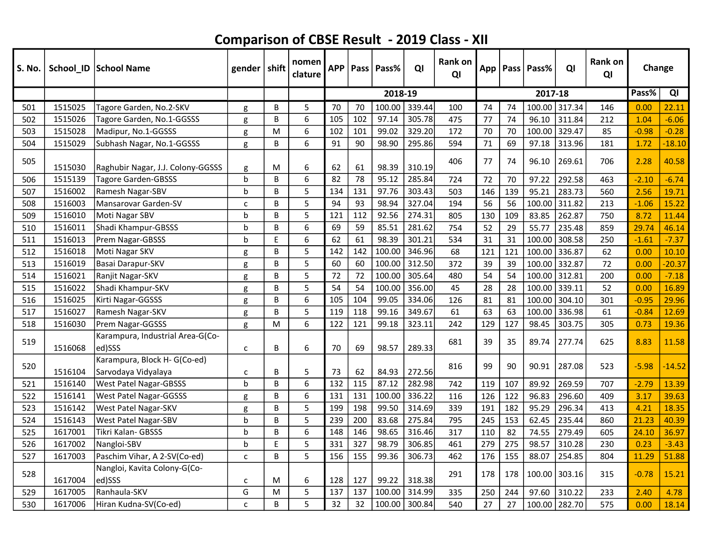| S. No. |         | School_ID School Name                              | gender $ $ shift |   | nomen<br>clature | <b>APP</b> |     | Pass   Pass% | QI     | Rank on<br>QI |     |     | App   Pass   Pass% | QI     | Rank on<br>QI | Change  |          |
|--------|---------|----------------------------------------------------|------------------|---|------------------|------------|-----|--------------|--------|---------------|-----|-----|--------------------|--------|---------------|---------|----------|
|        |         |                                                    |                  |   |                  |            |     | 2018-19      |        |               |     |     | 2017-18            |        |               | Pass%   | QI       |
| 501    | 1515025 | Tagore Garden, No.2-SKV                            | g                | B | 5                | 70         | 70  | 100.00       | 339.44 | 100           | 74  | 74  | 100.00             | 317.34 | 146           | 0.00    | 22.11    |
| 502    | 1515026 | Tagore Garden, No.1-GGSSS                          | g                | B | 6                | 105        | 102 | 97.14        | 305.78 | 475           | 77  | 74  | 96.10              | 311.84 | 212           | 1.04    | $-6.06$  |
| 503    | 1515028 | Madipur, No.1-GGSSS                                | g                | M | 6                | 102        | 101 | 99.02        | 329.20 | 172           | 70  | 70  | 100.00 329.47      |        | 85            | $-0.98$ | $-0.28$  |
| 504    | 1515029 | Subhash Nagar, No.1-GGSSS                          | g                | B | 6                | 91         | 90  | 98.90        | 295.86 | 594           | 71  | 69  | 97.18              | 313.96 | 181           | 1.72    | $-18.10$ |
| 505    | 1515030 | Raghubir Nagar, J.J. Colony-GGSSS                  | g                | M | 6                | 62         | 61  | 98.39        | 310.19 | 406           | 77  | 74  | 96.10              | 269.61 | 706           | 2.28    | 40.58    |
| 506    | 1515139 | <b>Tagore Garden-GBSSS</b>                         | $\mathbf b$      | B | 6                | 82         | 78  | 95.12        | 285.84 | 724           | 72  | 70  | 97.22              | 292.58 | 463           | $-2.10$ | $-6.74$  |
| 507    | 1516002 | Ramesh Nagar-SBV                                   | b                | B | 5                | 134        | 131 | 97.76        | 303.43 | 503           | 146 | 139 | 95.21              | 283.73 | 560           | 2.56    | 19.71    |
| 508    | 1516003 | Mansarovar Garden-SV                               | $\mathsf{C}$     | B | 5                | 94         | 93  | 98.94        | 327.04 | 194           | 56  | 56  | 100.00 311.82      |        | 213           | $-1.06$ | 15.22    |
| 509    | 1516010 | Moti Nagar SBV                                     | b                | B | 5                | 121        | 112 | 92.56        | 274.31 | 805           | 130 | 109 | 83.85              | 262.87 | 750           | 8.72    | 11.44    |
| 510    | 1516011 | Shadi Khampur-GBSSS                                | b                | B | 6                | 69         | 59  | 85.51        | 281.62 | 754           | 52  | 29  | 55.77              | 235.48 | 859           | 29.74   | 46.14    |
| 511    | 1516013 | Prem Nagar-GBSSS                                   | h                | E | 6                | 62         | 61  | 98.39        | 301.21 | 534           | 31  | 31  | 100.00             | 308.58 | 250           | $-1.61$ | $-7.37$  |
| 512    | 1516018 | Moti Nagar SKV                                     | g                | B | 5                | 142        | 142 | 100.00       | 346.96 | 68            | 121 | 121 | 100.00             | 336.87 | 62            | 0.00    | 10.10    |
| 513    | 1516019 | Basai Darapur-SKV                                  | g                | B | 5                | 60         | 60  | 100.00       | 312.50 | 372           | 39  | 39  | 100.00             | 332.87 | 72            | 0.00    | $-20.37$ |
| 514    | 1516021 | Ranjit Nagar-SKV                                   | g                | B | 5                | 72         | 72  | 100.00       | 305.64 | 480           | 54  | 54  | 100.00             | 312.81 | 200           | 0.00    | $-7.18$  |
| 515    | 1516022 | Shadi Khampur-SKV                                  | g                | B | 5                | 54         | 54  | 100.00       | 356.00 | 45            | 28  | 28  | 100.00             | 339.11 | 52            | 0.00    | 16.89    |
| 516    | 1516025 | Kirti Nagar-GGSSS                                  | g                | B | 6                | 105        | 104 | 99.05        | 334.06 | 126           | 81  | 81  | 100.00             | 304.10 | 301           | $-0.95$ | 29.96    |
| 517    | 1516027 | Ramesh Nagar-SKV                                   | g                | B | 5                | 119        | 118 | 99.16        | 349.67 | 61            | 63  | 63  | 100.00             | 336.98 | 61            | $-0.84$ | 12.69    |
| 518    | 1516030 | Prem Nagar-GGSSS                                   | g                | M | 6                | 122        | 121 | 99.18        | 323.11 | 242           | 129 | 127 | 98.45              | 303.75 | 305           | 0.73    | 19.36    |
| 519    | 1516068 | Karampura, Industrial Area-G(Co-<br>ed)SSS         | $\mathsf{C}$     | В | 6                | 70         | 69  | 98.57        | 289.33 | 681           | 39  | 35  | 89.74              | 277.74 | 625           | 8.83    | 11.58    |
| 520    | 1516104 | Karampura, Block H-G(Co-ed)<br>Sarvodaya Vidyalaya | $\mathsf{C}$     | B | 5                | 73         | 62  | 84.93        | 272.56 | 816           | 99  | 90  | 90.91              | 287.08 | 523           | $-5.98$ | $-14.52$ |
| 521    | 1516140 | <b>West Patel Nagar-GBSSS</b>                      | h                | B | 6                | 132        | 115 | 87.12        | 282.98 | 742           | 119 | 107 | 89.92              | 269.59 | 707           | $-2.79$ | 13.39    |
| 522    | 1516141 | <b>West Patel Nagar-GGSSS</b>                      | g                | B | 6                | 131        | 131 | 100.00       | 336.22 | 116           | 126 | 122 | 96.83              | 296.60 | 409           | 3.17    | 39.63    |
| 523    | 1516142 | West Patel Nagar-SKV                               | g                | B | 5                | 199        | 198 | 99.50        | 314.69 | 339           | 191 | 182 | 95.29              | 296.34 | 413           | 4.21    | 18.35    |
| 524    | 1516143 | West Patel Nagar-SBV                               | b                | B | 5                | 239        | 200 | 83.68        | 275.84 | 795           | 245 | 153 | 62.45              | 235.44 | 860           | 21.23   | 40.39    |
| 525    | 1617001 | Tikri Kalan- GBSSS                                 | b                | B | 6                | 148        | 146 | 98.65        | 316.46 | 317           | 110 | 82  | 74.55              | 279.49 | 605           | 24.10   | 36.97    |
| 526    | 1617002 | Nangloi-SBV                                        | b                | E | 5                | 331        | 327 | 98.79        | 306.85 | 461           | 279 | 275 | 98.57              | 310.28 | 230           | 0.23    | $-3.43$  |
| 527    | 1617003 | Paschim Vihar, A 2-SV(Co-ed)                       | $\mathsf{C}$     | B | 5                | 156        | 155 | 99.36        | 306.73 | 462           | 176 | 155 | 88.07              | 254.85 | 804           | 11.29   | 51.88    |
| 528    | 1617004 | Nangloi, Kavita Colony-G(Co-<br>ed)SSS             | C                | M | 6                | 128        | 127 | 99.22        | 318.38 | 291           | 178 | 178 | 100.00             | 303.16 | 315           | $-0.78$ | 15.21    |
| 529    | 1617005 | Ranhaula-SKV                                       | G                | M | 5                | 137        | 137 | 100.00       | 314.99 | 335           | 250 | 244 | 97.60              | 310.22 | 233           | 2.40    | 4.78     |
| 530    | 1617006 | Hiran Kudna-SV(Co-ed)                              | C                | B | 5                | 32         | 32  | 100.00       | 300.84 | 540           | 27  | 27  | 100.00             | 282.70 | 575           | 0.00    | 18.14    |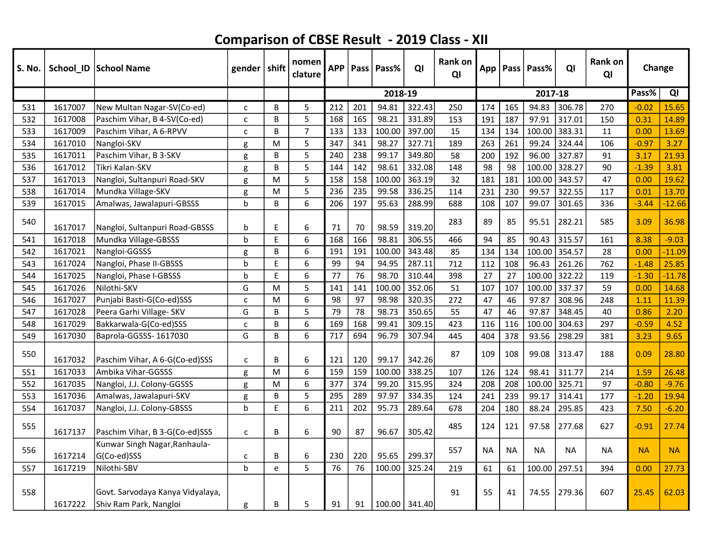| <b>S. No.</b> |         | School_ID School Name                                      | gender   shift |   | nomen<br>clature | <b>APP</b> | Pass | Pass%   | QI            | <b>Rank on</b><br>QI | App       |           | Pass   Pass% | QI     | <b>Rank on</b><br>QI | Change    |           |
|---------------|---------|------------------------------------------------------------|----------------|---|------------------|------------|------|---------|---------------|----------------------|-----------|-----------|--------------|--------|----------------------|-----------|-----------|
|               |         |                                                            |                |   |                  |            |      | 2018-19 |               |                      |           |           | 2017-18      |        |                      | Pass%     | QI        |
| 531           | 1617007 | New Multan Nagar-SV(Co-ed)                                 | C              | B | 5                | 212        | 201  | 94.81   | 322.43        | 250                  | 174       | 165       | 94.83        | 306.78 | 270                  | $-0.02$   | 15.65     |
| 532           | 1617008 | Paschim Vihar, B 4-SV(Co-ed)                               | C              | B | 5                | 168        | 165  | 98.21   | 331.89        | 153                  | 191       | 187       | 97.91        | 317.01 | 150                  | 0.31      | 14.89     |
| 533           | 1617009 | Paschim Vihar, A 6-RPVV                                    | C              | B | $\overline{7}$   | 133        | 133  | 100.00  | 397.00        | 15                   | 134       | 134       | 100.00       | 383.31 | 11                   | 0.00      | 13.69     |
| 534           | 1617010 | Nangloi-SKV                                                | g              | M | 5                | 347        | 341  | 98.27   | 327.71        | 189                  | 263       | 261       | 99.24        | 324.44 | 106                  | $-0.97$   | 3.27      |
| 535           | 1617011 | Paschim Vihar, B 3-SKV                                     | g              | B | 5                | 240        | 238  | 99.17   | 349.80        | 58                   | 200       | 192       | 96.00        | 327.87 | 91                   | 3.17      | 21.93     |
| 536           | 1617012 | Tikri Kalan-SKV                                            | g              | B | 5                | 144        | 142  | 98.61   | 332.08        | 148                  | 98        | 98        | 100.00       | 328.27 | 90                   | $-1.39$   | 3.81      |
| 537           | 1617013 | Nangloi, Sultanpuri Road-SKV                               | g              | M | 5                | 158        | 158  | 100.00  | 363.19        | 32                   | 181       | 181       | 100.00       | 343.57 | 47                   | 0.00      | 19.62     |
| 538           | 1617014 | Mundka Village-SKV                                         | g              | M | 5                | 236        | 235  | 99.58   | 336.25        | 114                  | 231       | 230       | 99.57        | 322.55 | 117                  | 0.01      | 13.70     |
| 539           | 1617015 | Amalwas, Jawalapuri-GBSSS                                  | $\mathbf b$    | B | 6                | 206        | 197  | 95.63   | 288.99        | 688                  | 108       | 107       | 99.07        | 301.65 | 336                  | $-3.44$   | $-12.66$  |
| 540           | 1617017 | Nangloi, Sultanpuri Road-GBSSS                             | b              | E | 6                | 71         | 70   | 98.59   | 319.20        | 283                  | 89        | 85        | 95.51        | 282.21 | 585                  | 3.09      | 36.98     |
| 541           | 1617018 | Mundka Village-GBSSS                                       | b              | E | 6                | 168        | 166  | 98.81   | 306.55        | 466                  | 94        | 85        | 90.43        | 315.57 | 161                  | 8.38      | $-9.03$   |
| 542           | 1617021 | Nangloi-GGSSS                                              | g              | В | 6                | 191        | 191  | 100.00  | 343.48        | 85                   | 134       | 134       | 100.00       | 354.57 | 28                   | 0.00      | $-11.09$  |
| 543           | 1617024 | Nangloi, Phase II-GBSSS                                    | b              | E | 6                | 99         | 94   | 94.95   | 287.11        | 712                  | 112       | 108       | 96.43        | 261.26 | 762                  | $-1.48$   | 25.85     |
| 544           | 1617025 | Nangloi, Phase I-GBSSS                                     | þ              | E | 6                | 77         | 76   | 98.70   | 310.44        | 398                  | 27        | 27        | 100.00       | 322.22 | 119                  | $-1.30$   | $-11.78$  |
| 545           | 1617026 | Nilothi-SKV                                                | G              | M | 5                | 141        | 141  | 100.00  | 352.06        | 51                   | 107       | 107       | 100.00       | 337.37 | 59                   | 0.00      | 14.68     |
| 546           | 1617027 | Punjabi Basti-G(Co-ed)SSS                                  | C              | M | 6                | 98         | 97   | 98.98   | 320.35        | 272                  | 47        | 46        | 97.87        | 308.96 | 248                  | 1.11      | 11.39     |
| 547           | 1617028 | Peera Garhi Village- SKV                                   | G              | B | 5                | 79         | 78   | 98.73   | 350.65        | 55                   | 47        | 46        | 97.87        | 348.45 | 40                   | 0.86      | 2.20      |
| 548           | 1617029 | Bakkarwala-G(Co-ed)SSS                                     | C              | B | 6                | 169        | 168  | 99.41   | 309.15        | 423                  | 116       | 116       | 100.00       | 304.63 | 297                  | $-0.59$   | 4.52      |
| 549           | 1617030 | Baprola-GGSSS-1617030                                      | G              | B | 6                | 717        | 694  | 96.79   | 307.94        | 445                  | 404       | 378       | 93.56        | 298.29 | 381                  | 3.23      | 9.65      |
| 550           | 1617032 | Paschim Vihar, A 6-G(Co-ed)SSS                             | C              | B | 6                | 121        | 120  | 99.17   | 342.26        | 87                   | 109       | 108       | 99.08        | 313.47 | 188                  | 0.09      | 28.80     |
| 551           | 1617033 | Ambika Vihar-GGSSS                                         | g              | M | 6                | 159        | 159  | 100.00  | 338.25        | 107                  | 126       | 124       | 98.41        | 311.77 | 214                  | 1.59      | 26.48     |
| 552           | 1617035 | Nangloi, J.J. Colony-GGSSS                                 | g              | M | 6                | 377        | 374  | 99.20   | 315.95        | 324                  | 208       | 208       | 100.00       | 325.71 | 97                   | $-0.80$   | $-9.76$   |
| 553           | 1617036 | Amalwas, Jawalapuri-SKV                                    | g              | B | 5                | 295        | 289  | 97.97   | 334.35        | 124                  | 241       | 239       | 99.17        | 314.41 | 177                  | $-1.20$   | 19.94     |
| 554           | 1617037 | Nangloi, J.J. Colony-GBSSS                                 | $\mathbf b$    | E | 6                | 211        | 202  | 95.73   | 289.64        | 678                  | 204       | 180       | 88.24        | 295.85 | 423                  | 7.50      | $-6.20$   |
| 555           | 1617137 | Paschim Vihar, B 3-G(Co-ed)SSS                             | C              | B | 6                | 90         | 87   | 96.67   | 305.42        | 485                  | 124       | 121       | 97.58        | 277.68 | 627                  | $-0.91$   | 27.74     |
| 556           | 1617214 | Kunwar Singh Nagar, Ranhaula-<br>G(Co-ed)SSS               | с              | B | 6                | 230        | 220  | 95.65   | 299.37        | 557                  | <b>NA</b> | <b>NA</b> | <b>NA</b>    | ΝA     | <b>NA</b>            | <b>NA</b> | <b>NA</b> |
| 557           | 1617219 | Nilothi-SBV                                                | $\mathbf b$    | e | 5                | 76         | 76   | 100.00  | 325.24        | 219                  | 61        | 61        | 100.00       | 297.51 | 394                  | 0.00      | 27.73     |
| 558           | 1617222 | Govt. Sarvodaya Kanya Vidyalaya,<br>Shiv Ram Park, Nangloi | g              | В | 5                | 91         | 91   |         | 100.00 341.40 | 91                   | 55        | 41        | 74.55        | 279.36 | 607                  | 25.45     | 62.03     |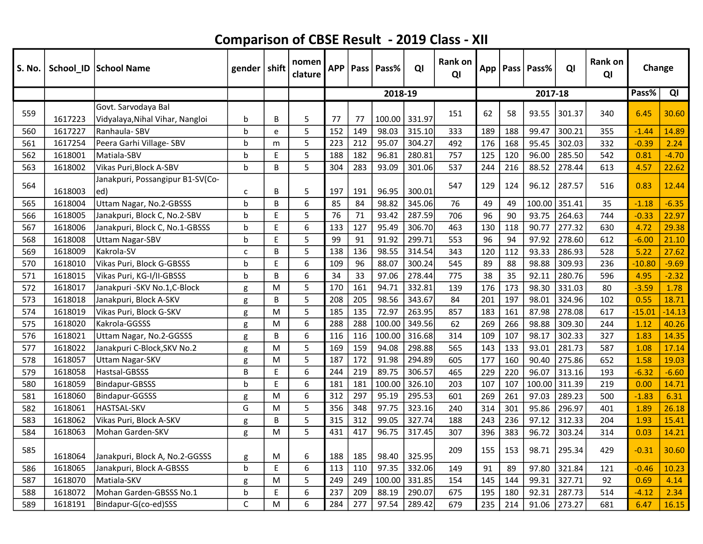| S. No. |         | School_ID School Name            | gender $ $ shift |   | nomen<br>clature | <b>APP</b> |     | <b>Pass   Pass%</b> | QI     | Rank on<br>QI | App |     | Pass Pass% | QI     | <b>Rank on</b><br>QI | Change   |          |
|--------|---------|----------------------------------|------------------|---|------------------|------------|-----|---------------------|--------|---------------|-----|-----|------------|--------|----------------------|----------|----------|
|        |         |                                  |                  |   |                  |            |     | 2018-19             |        |               |     |     | 2017-18    |        |                      | Pass%    | QI       |
| 559    |         | Govt. Sarvodava Bal              |                  |   |                  |            |     |                     |        | 151           | 62  | 58  | 93.55      | 301.37 | 340                  | 6.45     | 30.60    |
|        | 1617223 | Vidyalaya, Nihal Vihar, Nangloi  | b                | B | 5                | 77         | 77  | 100.00              | 331.97 |               |     |     |            |        |                      |          |          |
| 560    | 1617227 | Ranhaula-SBV                     | b                | e | 5                | 152        | 149 | 98.03               | 315.10 | 333           | 189 | 188 | 99.47      | 300.21 | 355                  | $-1.44$  | 14.89    |
| 561    | 1617254 | Peera Garhi Village- SBV         | b                | m | 5                | 223        | 212 | 95.07               | 304.27 | 492           | 176 | 168 | 95.45      | 302.03 | 332                  | $-0.39$  | 2.24     |
| 562    | 1618001 | Matiala-SBV                      | b                | E | 5                | 188        | 182 | 96.81               | 280.81 | 757           | 125 | 120 | 96.00      | 285.50 | 542                  | 0.81     | $-4.70$  |
| 563    | 1618002 | Vikas Puri, Block A-SBV          | h                | B | 5                | 304        | 283 | 93.09               | 301.06 | 537           | 244 | 216 | 88.52      | 278.44 | 613                  | 4.57     | 22.62    |
| 564    |         | Janakpuri, Possangipur B1-SV(Co- |                  |   |                  |            |     |                     |        | 547           | 129 | 124 | 96.12      | 287.57 | 516                  | 0.83     | 12.44    |
|        | 1618003 | ed)                              | C                | B | 5                | 197        | 191 | 96.95               | 300.01 |               |     |     |            |        |                      |          |          |
| 565    | 1618004 | Uttam Nagar, No.2-GBSSS          | b                | B | 6                | 85         | 84  | 98.82               | 345.06 | 76            | 49  | 49  | 100.00     | 351.41 | 35                   | $-1.18$  | $-6.35$  |
| 566    | 1618005 | Janakpuri, Block C, No.2-SBV     | h                | E | 5                | 76         | 71  | 93.42               | 287.59 | 706           | 96  | 90  | 93.75      | 264.63 | 744                  | $-0.33$  | 22.97    |
| 567    | 1618006 | Janakpuri, Block C, No.1-GBSSS   | h                | E | 6                | 133        | 127 | 95.49               | 306.70 | 463           | 130 | 118 | 90.77      | 277.32 | 630                  | 4.72     | 29.38    |
| 568    | 1618008 | <b>Uttam Nagar-SBV</b>           | b                | E | 5                | 99         | 91  | 91.92               | 299.71 | 553           | 96  | 94  | 97.92      | 278.60 | 612                  | $-6.00$  | 21.10    |
| 569    | 1618009 | Kakrola-SV                       | c                | В | 5                | 138        | 136 | 98.55               | 314.54 | 343           | 120 | 112 | 93.33      | 286.93 | 528                  | 5.22     | 27.62    |
| 570    | 1618010 | Vikas Puri, Block G-GBSSS        | h                | E | 6                | 109        | 96  | 88.07               | 300.24 | 545           | 89  | 88  | 98.88      | 309.93 | 236                  | $-10.80$ | $-9.69$  |
| 571    | 1618015 | Vikas Puri, KG-I/II-GBSSS        | h                | B | 6                | 34         | 33  | 97.06               | 278.44 | 775           | 38  | 35  | 92.11      | 280.76 | 596                  | 4.95     | $-2.32$  |
| 572    | 1618017 | Janakpuri - SKV No.1, C-Block    | g                | M | 5                | 170        | 161 | 94.71               | 332.81 | 139           | 176 | 173 | 98.30      | 331.03 | 80                   | $-3.59$  | 1.78     |
| 573    | 1618018 | Janakpuri, Block A-SKV           | g                | B | 5                | 208        | 205 | 98.56               | 343.67 | 84            | 201 | 197 | 98.01      | 324.96 | 102                  | 0.55     | 18.71    |
| 574    | 1618019 | Vikas Puri, Block G-SKV          | g                | M | 5                | 185        | 135 | 72.97               | 263.95 | 857           | 183 | 161 | 87.98      | 278.08 | 617                  | $-15.01$ | $-14.13$ |
| 575    | 1618020 | Kakrola-GGSSS                    | g                | M | 6                | 288        | 288 | 100.00              | 349.56 | 62            | 269 | 266 | 98.88      | 309.30 | 244                  | 1.12     | 40.26    |
| 576    | 1618021 | Uttam Nagar, No.2-GGSSS          | g                | B | 6                | 116        | 116 | 100.00              | 316.68 | 314           | 109 | 107 | 98.17      | 302.33 | 327                  | 1.83     | 14.35    |
| 577    | 1618022 | Janakpuri C-Block, SKV No.2      | g                | M | 5                | 169        | 159 | 94.08               | 298.88 | 565           | 143 | 133 | 93.01      | 281.73 | 587                  | 1.08     | 17.14    |
| 578    | 1618057 | <b>Uttam Nagar-SKV</b>           | g                | M | 5                | 187        | 172 | 91.98               | 294.89 | 605           | 177 | 160 | 90.40      | 275.86 | 652                  | 1.58     | 19.03    |
| 579    | 1618058 | Hastsal-GBSSS                    | B                | E | 6                | 244        | 219 | 89.75               | 306.57 | 465           | 229 | 220 | 96.07      | 313.16 | 193                  | $-6.32$  | $-6.60$  |
| 580    | 1618059 | Bindapur-GBSSS                   | h                | F | 6                | 181        | 181 | 100.00              | 326.10 | 203           | 107 | 107 | 100.00     | 311.39 | 219                  | 0.00     | 14.71    |
| 581    | 1618060 | <b>Bindapur-GGSSS</b>            | g                | M | 6                | 312        | 297 | 95.19               | 295.53 | 601           | 269 | 261 | 97.03      | 289.23 | 500                  | $-1.83$  | 6.31     |
| 582    | 1618061 | <b>HASTSAL-SKV</b>               | G                | M | 5                | 356        | 348 | 97.75               | 323.16 | 240           | 314 | 301 | 95.86      | 296.97 | 401                  | 1.89     | 26.18    |
| 583    | 1618062 | Vikas Puri, Block A-SKV          | g                | B | 5                | 315        | 312 | 99.05               | 327.74 | 188           | 243 | 236 | 97.12      | 312.33 | 204                  | 1.93     | 15.41    |
| 584    | 1618063 | Mohan Garden-SKV                 | g                | M | 5                | 431        | 417 | 96.75               | 317.45 | 307           | 396 | 383 | 96.72      | 303.24 | 314                  | 0.03     | 14.21    |
| 585    | 1618064 | Janakpuri, Block A, No.2-GGSSS   | g                | M | 6                | 188        | 185 | 98.40               | 325.95 | 209           | 155 | 153 | 98.71      | 295.34 | 429                  | $-0.31$  | 30.60    |
| 586    | 1618065 | Janakpuri, Block A-GBSSS         | b                | E | 6                | 113        | 110 | 97.35               | 332.06 | 149           | 91  | 89  | 97.80      | 321.84 | 121                  | $-0.46$  | 10.23    |
| 587    | 1618070 | Matiala-SKV                      | g                | M | 5                | 249        | 249 | 100.00              | 331.85 | 154           | 145 | 144 | 99.31      | 327.71 | 92                   | 0.69     | 4.14     |
| 588    | 1618072 | Mohan Garden-GBSSS No.1          | h                | E | 6                | 237        | 209 | 88.19               | 290.07 | 675           | 195 | 180 | 92.31      | 287.73 | 514                  | $-4.12$  | 2.34     |
| 589    | 1618191 | Bindapur-G(co-ed)SSS             | C                | M | 6                | 284        | 277 | 97.54               | 289.42 | 679           | 235 | 214 | 91.06      | 273.27 | 681                  | 6.47     | 16.15    |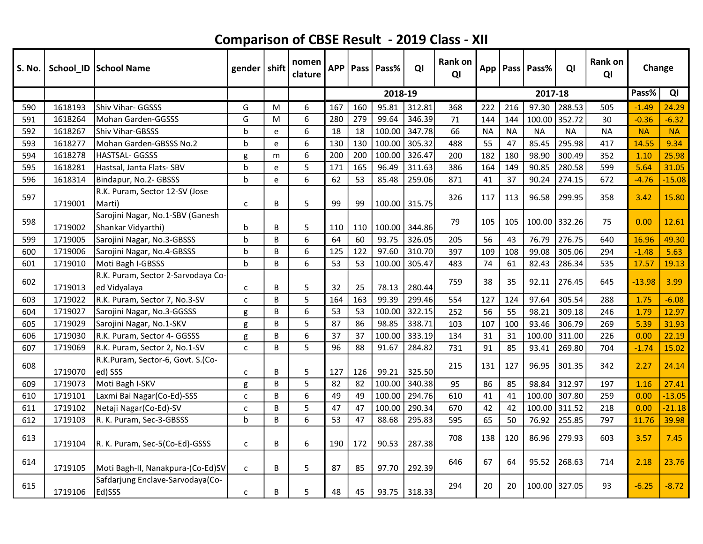| S. No. |         | School_ID School Name                      | gender $ $ shift |   | nomen<br>clature | <b>APP</b> |     | Pass   Pass% | QI     | <b>Rank on</b><br>QI |           |           | App   Pass   Pass% | QI        | Rank on<br>QI | Change    |           |
|--------|---------|--------------------------------------------|------------------|---|------------------|------------|-----|--------------|--------|----------------------|-----------|-----------|--------------------|-----------|---------------|-----------|-----------|
|        |         |                                            |                  |   |                  |            |     | 2018-19      |        |                      |           |           | 2017-18            |           |               | Pass%     | QI        |
| 590    | 1618193 | Shiv Vihar- GGSSS                          | G                | M | 6                | 167        | 160 | 95.81        | 312.81 | 368                  | 222       | 216       | 97.30              | 288.53    | 505           | $-1.49$   | 24.29     |
| 591    | 1618264 | Mohan Garden-GGSSS                         | G                | M | 6                | 280        | 279 | 99.64        | 346.39 | 71                   | 144       | 144       | 100.00             | 352.72    | 30            | $-0.36$   | $-6.32$   |
| 592    | 1618267 | <b>Shiv Vihar-GBSSS</b>                    | $\mathbf b$      | e | 6                | 18         | 18  | 100.00       | 347.78 | 66                   | <b>NA</b> | <b>NA</b> | <b>NA</b>          | <b>NA</b> | <b>NA</b>     | <b>NA</b> | <b>NA</b> |
| 593    | 1618277 | Mohan Garden-GBSSS No.2                    | $\mathbf b$      | e | 6                | 130        | 130 | 100.00       | 305.32 | 488                  | 55        | 47        | 85.45              | 295.98    | 417           | 14.55     | 9.34      |
| 594    | 1618278 | <b>HASTSAL-GGSSS</b>                       | g                | m | 6                | 200        | 200 | 100.00       | 326.47 | 200                  | 182       | 180       | 98.90              | 300.49    | 352           | 1.10      | 25.98     |
| 595    | 1618281 | Hastsal, Janta Flats- SBV                  | b                | e | 5                | 171        | 165 | 96.49        | 311.63 | 386                  | 164       | 149       | 90.85              | 280.58    | 599           | 5.64      | 31.05     |
| 596    | 1618314 | Bindapur, No.2- GBSSS                      | b                | e | 6                | 62         | 53  | 85.48        | 259.06 | 871                  | 41        | 37        | 90.24              | 274.15    | 672           | $-4.76$   | $-15.08$  |
| 597    |         | R.K. Puram, Sector 12-SV (Jose             |                  |   |                  |            |     |              |        | 326                  | 117       | 113       | 96.58              | 299.95    | 358           | 3.42      | 15.80     |
|        | 1719001 | Marti)                                     | $\mathsf{C}$     | В | 5                | 99         | 99  | 100.00       | 315.75 |                      |           |           |                    |           |               |           |           |
| 598    |         | Sarojini Nagar, No.1-SBV (Ganesh           |                  |   |                  |            |     |              |        | 79                   | 105       | 105       | 100.00             | 332.26    | 75            | 0.00      | 12.61     |
|        | 1719002 | Shankar Vidyarthi)                         | b                | В | 5                | 110        | 110 | 100.00       | 344.86 |                      |           |           |                    |           |               |           |           |
| 599    | 1719005 | Sarojini Nagar, No.3-GBSSS                 | $\mathbf b$      | B | 6                | 64         | 60  | 93.75        | 326.05 | 205                  | 56        | 43        | 76.79              | 276.75    | 640           | 16.96     | 49.30     |
| 600    | 1719006 | Sarojini Nagar, No.4-GBSSS                 | $\mathbf b$      | B | 6                | 125        | 122 | 97.60        | 310.70 | 397                  | 109       | 108       | 99.08              | 305.06    | 294           | $-1.48$   | 5.63      |
| 601    | 1719010 | Moti Bagh I-GBSSS                          | $\mathsf{h}$     | B | 6                | 53         | 53  | 100.00       | 305.47 | 483                  | 74        | 61        | 82.43              | 286.34    | 535           | 17.57     | 19.13     |
| 602    |         | R.K. Puram, Sector 2-Sarvodaya Co-         |                  |   |                  |            |     |              |        | 759                  | 38        |           |                    |           |               | $-13.98$  | 3.99      |
|        | 1719013 | ed Vidyalaya                               | C                | B | 5                | 32         | 25  | 78.13        | 280.44 |                      |           | 35        | 92.11              | 276.45    | 645           |           |           |
| 603    | 1719022 | R.K. Puram, Sector 7, No.3-SV              | $\mathsf{C}$     | B | 5                | 164        | 163 | 99.39        | 299.46 | 554                  | 127       | 124       | 97.64              | 305.54    | 288           | 1.75      | $-6.08$   |
| 604    | 1719027 | Sarojini Nagar, No.3-GGSSS                 | g                | B | 6                | 53         | 53  | 100.00       | 322.15 | 252                  | 56        | 55        | 98.21              | 309.18    | 246           | 1.79      | 12.97     |
| 605    | 1719029 | Sarojini Nagar, No.1-SKV                   | g                | B | 5                | 87         | 86  | 98.85        | 338.71 | 103                  | 107       | 100       | 93.46              | 306.79    | 269           | 5.39      | 31.93     |
| 606    | 1719030 | R.K. Puram, Sector 4- GGSSS                | g                | B | 6                | 37         | 37  | 100.00       | 333.19 | 134                  | 31        | 31        | 100.00             | 311.00    | 226           | 0.00      | 22.19     |
| 607    | 1719069 | R.K. Puram, Sector 2, No.1-SV              | $\mathsf{C}$     | B | 5                | 96         | 88  | 91.67        | 284.82 | 731                  | 91        | 85        | 93.41              | 269.80    | 704           | $-1.74$   | 15.02     |
| 608    |         | R.K.Puram, Sector-6, Govt. S.(Co-          |                  |   |                  |            |     |              |        | 215                  | 131       | 127       | 96.95              | 301.35    | 342           | 2.27      | 24.14     |
|        | 1719070 | ed) SSS                                    | C                | В | 5                | 127        | 126 | 99.21        | 325.50 |                      |           |           |                    |           |               |           |           |
| 609    | 1719073 | Moti Bagh I-SKV                            | g                | B | 5                | 82         | 82  | 100.00       | 340.38 | 95                   | 86        | 85        | 98.84              | 312.97    | 197           | 1.16      | 27.41     |
| 610    | 1719101 | Laxmi Bai Nagar(Co-Ed)-SSS                 | C                | В | 6                | 49         | 49  | 100.00       | 294.76 | 610                  | 41        | 41        | 100.00             | 307.80    | 259           | 0.00      | $-13.05$  |
| 611    | 1719102 | Netaji Nagar (Co-Ed)-SV                    | c                | B | 5                | 47         | 47  | 100.00       | 290.34 | 670                  | 42        | 42        | 100.00             | 311.52    | 218           | 0.00      | $-21.18$  |
| 612    | 1719103 | R. K. Puram, Sec-3-GBSSS                   | b                | B | 6                | 53         | 47  | 88.68        | 295.83 | 595                  | 65        | 50        | 76.92              | 255.85    | 797           | 11.76     | 39.98     |
| 613    | 1719104 | R. K. Puram, Sec-5(Co-Ed)-GSSS             | $\mathsf{C}$     | В | 6                | 190        | 172 | 90.53        | 287.38 | 708                  | 138       | 120       | 86.96              | 279.93    | 603           | 3.57      | 7.45      |
| 614    | 1719105 | Moti Bagh-II, Nanakpura-(Co-Ed)SV          | $\mathsf{C}$     | В | 5                | 87         | 85  | 97.70        | 292.39 | 646                  | 67        | 64        | 95.52              | 268.63    | 714           | 2.18      | 23.76     |
| 615    | 1719106 | Safdarjung Enclave-Sarvodaya(Co-<br>Ed)SSS | C                | В | 5                | 48         | 45  | 93.75        | 318.33 | 294                  | 20        | 20        | 100.00             | 327.05    | 93            | $-6.25$   | $-8.72$   |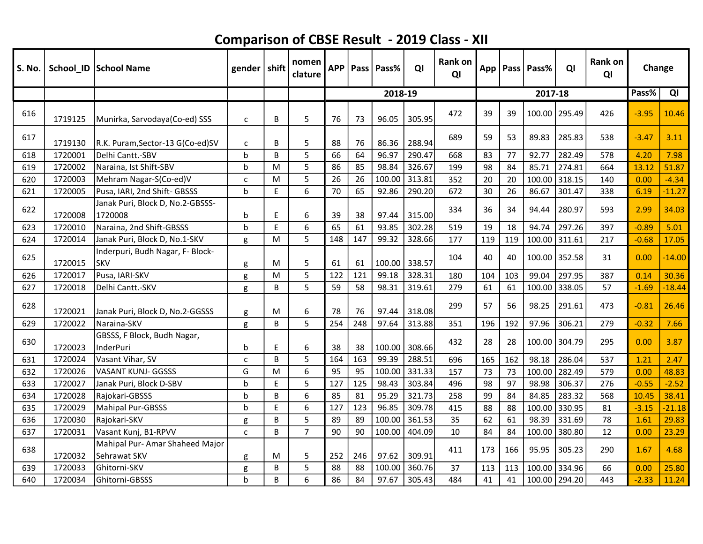| S. No. |         | School_ID   School Name                         | gender       | $\vert$ shift | nomen<br>clature | <b>APP</b> |     | Pass   Pass% | QI     | <b>Rank on</b><br>QI |     |     | App   Pass   Pass% | QI     | Rank on<br>QI | Change  |          |
|--------|---------|-------------------------------------------------|--------------|---------------|------------------|------------|-----|--------------|--------|----------------------|-----|-----|--------------------|--------|---------------|---------|----------|
|        |         |                                                 |              |               |                  |            |     | 2018-19      |        |                      |     |     | 2017-18            |        |               | Pass%   | QI       |
| 616    | 1719125 | Munirka, Sarvodaya(Co-ed) SSS                   | $\mathsf{C}$ | B             | 5                | 76         | 73  | 96.05        | 305.95 | 472                  | 39  | 39  | 100.00             | 295.49 | 426           | $-3.95$ | 10.46    |
| 617    | 1719130 | R.K. Puram, Sector-13 G(Co-ed)SV                | $\mathsf{C}$ | B             | 5                | 88         | 76  | 86.36        | 288.94 | 689                  | 59  | 53  | 89.83              | 285.83 | 538           | $-3.47$ | 3.11     |
| 618    | 1720001 | Delhi Cantt.-SBV                                | $\mathsf{b}$ | B             | 5                | 66         | 64  | 96.97        | 290.47 | 668                  | 83  | 77  | 92.77              | 282.49 | 578           | 4.20    | 7.98     |
| 619    | 1720002 | Naraina, Ist Shift-SBV                          | $\mathbf b$  | M             | 5                | 86         | 85  | 98.84        | 326.67 | 199                  | 98  | 84  | 85.71              | 274.81 | 664           | 13.12   | 51.87    |
| 620    | 1720003 | Mehram Nagar-S(Co-ed)V                          | C            | M             | 5                | 26         | 26  | 100.00       | 313.81 | 352                  | 20  | 20  | 100.00             | 318.15 | 140           | 0.00    | $-4.34$  |
| 621    | 1720005 | Pusa, IARI, 2nd Shift- GBSSS                    | b            | E             | 6                | 70         | 65  | 92.86        | 290.20 | 672                  | 30  | 26  | 86.67              | 301.47 | 338           | 6.19    | $-11.27$ |
| 622    | 1720008 | Janak Puri, Block D, No.2-GBSSS-<br>1720008     | b            | $\mathsf E$   | 6                | 39         | 38  | 97.44        | 315.00 | 334                  | 36  | 34  | 94.44              | 280.97 | 593           | 2.99    | 34.03    |
| 623    | 1720010 | Naraina, 2nd Shift-GBSSS                        | b            | $\mathsf E$   | 6                | 65         | 61  | 93.85        | 302.28 | 519                  | 19  | 18  | 94.74              | 297.26 | 397           | $-0.89$ | 5.01     |
| 624    | 1720014 | Janak Puri, Block D, No.1-SKV                   | g            | M             | 5                | 148        | 147 | 99.32        | 328.66 | 177                  | 119 | 119 | 100.00             | 311.61 | 217           | $-0.68$ | 17.05    |
| 625    | 1720015 | Inderpuri, Budh Nagar, F- Block-<br><b>SKV</b>  | g            | M             | 5                | 61         | 61  | 100.00       | 338.57 | 104                  | 40  | 40  | 100.00             | 352.58 | 31            | 0.00    | $-14.00$ |
| 626    | 1720017 | Pusa, IARI-SKV                                  | g            | M             | 5                | 122        | 121 | 99.18        | 328.31 | 180                  | 104 | 103 | 99.04              | 297.95 | 387           | 0.14    | 30.36    |
| 627    | 1720018 | Delhi Cantt.-SKV                                | g            | B             | 5                | 59         | 58  | 98.31        | 319.61 | 279                  | 61  | 61  | 100.00             | 338.05 | 57            | $-1.69$ | $-18.44$ |
| 628    | 1720021 | Janak Puri, Block D, No.2-GGSSS                 | g            | M             | 6                | 78         | 76  | 97.44        | 318.08 | 299                  | 57  | 56  | 98.25              | 291.61 | 473           | $-0.81$ | 26.46    |
| 629    | 1720022 | Naraina-SKV                                     | g            | B             | 5                | 254        | 248 | 97.64        | 313.88 | 351                  | 196 | 192 | 97.96              | 306.21 | 279           | $-0.32$ | 7.66     |
| 630    | 1720023 | GBSSS, F Block, Budh Nagar,<br>InderPuri        | b            | E             | 6                | 38         | 38  | 100.00       | 308.66 | 432                  | 28  | 28  | 100.00             | 304.79 | 295           | 0.00    | 3.87     |
| 631    | 1720024 | Vasant Vihar, SV                                | C            | B             | 5                | 164        | 163 | 99.39        | 288.51 | 696                  | 165 | 162 | 98.18              | 286.04 | 537           | 1.21    | 2.47     |
| 632    | 1720026 | <b>VASANT KUNJ- GGSSS</b>                       | G            | M             | 6                | 95         | 95  | 100.00       | 331.33 | 157                  | 73  | 73  | 100.00             | 282.49 | 579           | 0.00    | 48.83    |
| 633    | 1720027 | Janak Puri, Block D-SBV                         | $\mathbf b$  | E             | 5                | 127        | 125 | 98.43        | 303.84 | 496                  | 98  | 97  | 98.98              | 306.37 | 276           | $-0.55$ | $-2.52$  |
| 634    | 1720028 | Rajokari-GBSSS                                  | $\mathbf b$  | B             | 6                | 85         | 81  | 95.29        | 321.73 | 258                  | 99  | 84  | 84.85              | 283.32 | 568           | 10.45   | 38.41    |
| 635    | 1720029 | Mahipal Pur-GBSSS                               | b            | E             | 6                | 127        | 123 | 96.85        | 309.78 | 415                  | 88  | 88  | 100.00             | 330.95 | 81            | $-3.15$ | $-21.18$ |
| 636    | 1720030 | Rajokari-SKV                                    | g            | B             | 5                | 89         | 89  | 100.00       | 361.53 | 35                   | 62  | 61  | 98.39              | 331.69 | 78            | 1.61    | 29.83    |
| 637    | 1720031 | Vasant Kunj, B1-RPVV                            | $\mathsf{C}$ | B             | $\overline{7}$   | 90         | 90  | 100.00       | 404.09 | 10                   | 84  | 84  | 100.00             | 380.80 | 12            | 0.00    | 23.29    |
| 638    | 1720032 | Mahipal Pur- Amar Shaheed Major<br>Sehrawat SKV | g            | M             | 5                | 252        | 246 | 97.62        | 309.91 | 411                  | 173 | 166 | 95.95              | 305.23 | 290           | 1.67    | 4.68     |
| 639    | 1720033 | Ghitorni-SKV                                    | g            | B             | 5                | 88         | 88  | 100.00       | 360.76 | 37                   | 113 | 113 | 100.00             | 334.96 | 66            | 0.00    | 25.80    |
| 640    | 1720034 | Ghitorni-GBSSS                                  | $\mathbf b$  | B             | 6                | 86         | 84  | 97.67        | 305.43 | 484                  | 41  | 41  | 100.00             | 294.20 | 443           | $-2.33$ | 11.24    |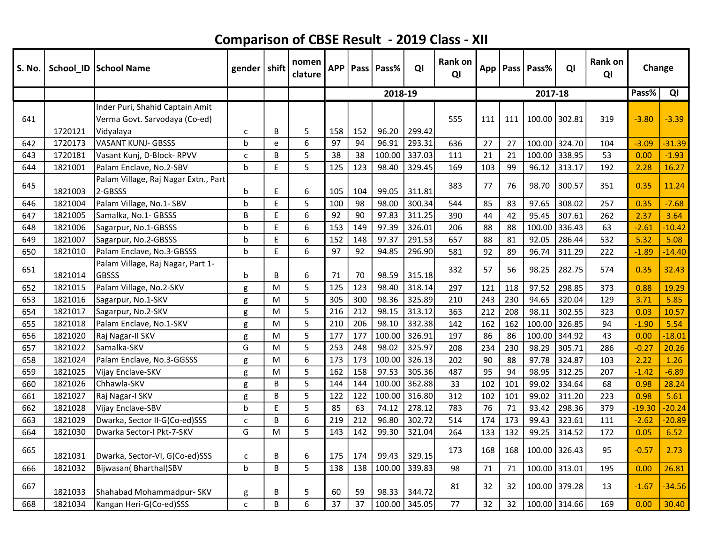| S. No. |         | School_ID School Name                                                         | gender $ $ shift |    | nomen<br>clature | <b>APP</b> |     | Pass   Pass% | QI     | <b>Rank on</b><br>QI | App |     | Pass Pass%    | QI            | <b>Rank on</b><br>QI | Change   |          |
|--------|---------|-------------------------------------------------------------------------------|------------------|----|------------------|------------|-----|--------------|--------|----------------------|-----|-----|---------------|---------------|----------------------|----------|----------|
|        |         |                                                                               |                  |    |                  |            |     | 2018-19      |        |                      |     |     | 2017-18       |               |                      | Pass%    | QI       |
| 641    | 1720121 | Inder Puri, Shahid Captain Amit<br>Verma Govt. Sarvodaya (Co-ed)<br>Vidyalaya | С                | B  | 5                | 158        | 152 | 96.20        | 299.42 | 555                  | 111 | 111 | 100.00        | 302.81        | 319                  | $-3.80$  | $-3.39$  |
| 642    | 1720173 | <b>VASANT KUNJ- GBSSS</b>                                                     | $\mathbf b$      | e  | 6                | 97         | 94  | 96.91        | 293.31 | 636                  | 27  | 27  | 100.00 324.70 |               | 104                  | $-3.09$  | $-31.39$ |
| 643    | 1720181 | Vasant Kunj, D-Block-RPVV                                                     | $\mathsf{C}$     | B  | 5                | 38         | 38  | 100.00       | 337.03 | 111                  | 21  | 21  |               | 100.00 338.95 | 53                   | 0.00     | $-1.93$  |
| 644    | 1821001 | Palam Enclave, No.2-SBV                                                       | $\mathsf{b}$     | E  | 5                | 125        | 123 | 98.40        | 329.45 | 169                  | 103 | 99  | 96.12         | 313.17        | 192                  | 2.28     | 16.27    |
| 645    | 1821003 | Palam Village, Raj Nagar Extn., Part<br>2-GBSSS                               | b                | E  | 6                | 105        | 104 | 99.05        | 311.81 | 383                  | 77  | 76  | 98.70         | 300.57        | 351                  | 0.35     | 11.24    |
| 646    | 1821004 | Palam Village, No.1- SBV                                                      | b                | E  | 5                | 100        | 98  | 98.00        | 300.34 | 544                  | 85  | 83  | 97.65         | 308.02        | 257                  | 0.35     | $-7.68$  |
| 647    | 1821005 | Samalka, No.1- GBSSS                                                          | B                | E. | 6                | 92         | 90  | 97.83        | 311.25 | 390                  | 44  | 42  | 95.45         | 307.61        | 262                  | 2.37     | 3.64     |
| 648    | 1821006 | Sagarpur, No.1-GBSSS                                                          | h                | E  | 6                | 153        | 149 | 97.39        | 326.01 | 206                  | 88  | 88  | 100.00        | 336.43        | 63                   | $-2.61$  | $-10.42$ |
| 649    | 1821007 | Sagarpur, No.2-GBSSS                                                          | h                | E  | 6                | 152        | 148 | 97.37        | 291.53 | 657                  | 88  | 81  | 92.05         | 286.44        | 532                  | 5.32     | 5.08     |
| 650    | 1821010 | Palam Enclave, No.3-GBSSS                                                     | $\mathsf{b}$     | E  | 6                | 97         | 92  | 94.85        | 296.90 | 581                  | 92  | 89  | 96.74         | 311.29        | 222                  | $-1.89$  | $-14.40$ |
| 651    | 1821014 | Palam Village, Raj Nagar, Part 1-<br><b>GBSSS</b>                             | b                | B  | 6                | 71         | 70  | 98.59        | 315.18 | 332                  | 57  | 56  | 98.25         | 282.75        | 574                  | 0.35     | 32.43    |
| 652    | 1821015 | Palam Village, No.2-SKV                                                       | g                | M  | 5                | 125        | 123 | 98.40        | 318.14 | 297                  | 121 | 118 | 97.52         | 298.85        | 373                  | 0.88     | 19.29    |
| 653    | 1821016 | Sagarpur, No.1-SKV                                                            | g                | M  | 5                | 305        | 300 | 98.36        | 325.89 | 210                  | 243 | 230 | 94.65         | 320.04        | 129                  | 3.71     | 5.85     |
| 654    | 1821017 | Sagarpur, No.2-SKV                                                            | g                | M  | 5                | 216        | 212 | 98.15        | 313.12 | 363                  | 212 | 208 | 98.11         | 302.55        | 323                  | 0.03     | 10.57    |
| 655    | 1821018 | Palam Enclave, No.1-SKV                                                       | g                | M  | 5                | 210        | 206 | 98.10        | 332.38 | 142                  | 162 | 162 | 100.00        | 326.85        | 94                   | $-1.90$  | 5.54     |
| 656    | 1821020 | Raj Nagar-II SKV                                                              | g                | M  | 5                | 177        | 177 | 100.00       | 326.91 | 197                  | 86  | 86  | 100.00        | 344.92        | 43                   | 0.00     | $-18.01$ |
| 657    | 1821022 | Samalka-SKV                                                                   | G                | M  | 5                | 253        | 248 | 98.02        | 325.97 | 208                  | 234 | 230 | 98.29         | 305.71        | 286                  | $-0.27$  | 20.26    |
| 658    | 1821024 | Palam Enclave, No.3-GGSSS                                                     | g                | M  | 6                | 173        | 173 | 100.00       | 326.13 | 202                  | 90  | 88  | 97.78         | 324.87        | 103                  | 2.22     | 1.26     |
| 659    | 1821025 | Vijay Enclave-SKV                                                             | g                | M  | 5                | 162        | 158 | 97.53        | 305.36 | 487                  | 95  | 94  | 98.95         | 312.25        | 207                  | $-1.42$  | $-6.89$  |
| 660    | 1821026 | Chhawla-SKV                                                                   | g                | B  | 5                | 144        | 144 | 100.00       | 362.88 | 33                   | 102 | 101 | 99.02         | 334.64        | 68                   | 0.98     | 28.24    |
| 661    | 1821027 | Raj Nagar-I SKV                                                               | g                | B  | 5                | 122        | 122 | 100.00       | 316.80 | 312                  | 102 | 101 | 99.02         | 311.20        | 223                  | 0.98     | 5.61     |
| 662    | 1821028 | Vijay Enclave-SBV                                                             | b                | E  | 5                | 85         | 63  | 74.12        | 278.12 | 783                  | 76  | 71  | 93.42         | 298.36        | 379                  | $-19.30$ | $-20.24$ |
| 663    | 1821029 | Dwarka, Sector II-G(Co-ed)SSS                                                 | C                | B  | 6                | 219        | 212 | 96.80        | 302.72 | 514                  | 174 | 173 | 99.43         | 323.61        | 111                  | $-2.62$  | $-20.89$ |
| 664    | 1821030 | Dwarka Sector-I Pkt-7-SKV                                                     | G                | M  | 5                | 143        | 142 | 99.30        | 321.04 | 264                  | 133 | 132 | 99.25         | 314.52        | 172                  | 0.05     | 6.52     |
| 665    | 1821031 | Dwarka, Sector-VI, G(Co-ed)SSS                                                | с                | B  | 6                | 175        | 174 | 99.43        | 329.15 | 173                  | 168 | 168 | 100.00        | 326.43        | 95                   | $-0.57$  | 2.73     |
| 666    | 1821032 | Bijwasan (Bharthal)SBV                                                        | $\mathbf b$      | B  | 5                | 138        | 138 | 100.00       | 339.83 | 98                   | 71  | 71  | 100.00        | 313.01        | 195                  | 0.00     | 26.81    |
| 667    | 1821033 | Shahabad Mohammadpur- SKV                                                     | g                | B  | 5                | 60         | 59  | 98.33        | 344.72 | 81                   | 32  | 32  | 100.00 379.28 |               | 13                   | $-1.67$  | $-34.56$ |
| 668    | 1821034 | Kangan Heri-G(Co-ed)SSS                                                       | $\mathsf{C}$     | B  | 6                | 37         | 37  | 100.00       | 345.05 | 77                   | 32  | 32  | 100.00 314.66 |               | 169                  | 0.00     | 30.40    |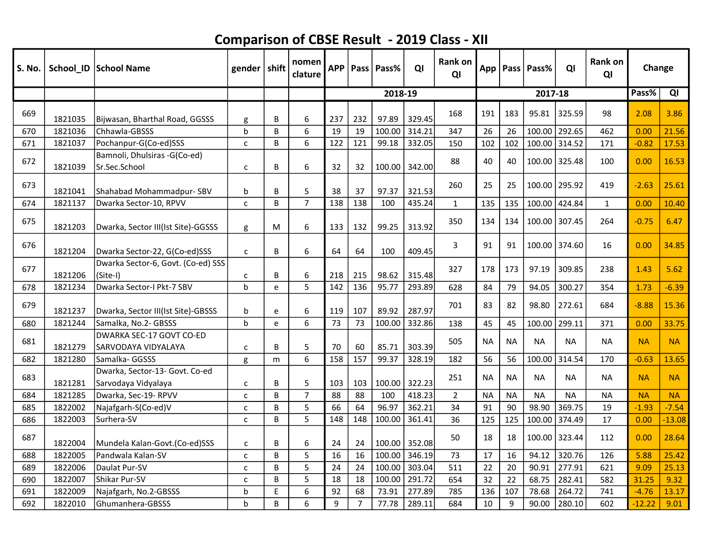| S. No. |         | School_ID   School Name                               | gender $ $ shift |   | nomen<br>clature | <b>APP</b> |                | Pass   Pass% | QI     | Rank on<br>QI  | App       |           | Pass   Pass% | QI            | Rank on<br>QI | Change    |           |
|--------|---------|-------------------------------------------------------|------------------|---|------------------|------------|----------------|--------------|--------|----------------|-----------|-----------|--------------|---------------|---------------|-----------|-----------|
|        |         |                                                       |                  |   |                  |            |                | 2018-19      |        |                |           |           | 2017-18      |               |               | Pass%     | QI        |
| 669    | 1821035 | Bijwasan, Bharthal Road, GGSSS                        | g                | В | 6                | 237        | 232            | 97.89        | 329.45 | 168            | 191       | 183       | 95.81        | 325.59        | 98            | 2.08      | 3.86      |
| 670    | 1821036 | Chhawla-GBSSS                                         | $\mathbf b$      | B | 6                | 19         | 19             | 100.00       | 314.21 | 347            | 26        | 26        | 100.00       | 292.65        | 462           | 0.00      | 21.56     |
| 671    | 1821037 | Pochanpur-G(Co-ed)SSS                                 | $\mathsf{C}$     | B | 6                | 122        | 121            | 99.18        | 332.05 | 150            | 102       | 102       | 100.00       | 314.52        | 171           | $-0.82$   | 17.53     |
| 672    | 1821039 | Bamnoli, Dhulsiras -G(Co-ed)<br>Sr.Sec.School         | C                | B | 6                | 32         | 32             | 100.00       | 342.00 | 88             | 40        | 40        | 100.00       | 325.48        | 100           | 0.00      | 16.53     |
| 673    | 1821041 | Shahabad Mohammadpur- SBV                             | b                | В | 5                | 38         | 37             | 97.37        | 321.53 | 260            | 25        | 25        | 100.00       | 295.92        | 419           | $-2.63$   | 25.61     |
| 674    | 1821137 | Dwarka Sector-10, RPVV                                | $\mathsf{C}$     | B | $\overline{7}$   | 138        | 138            | 100          | 435.24 | $\mathbf{1}$   | 135       | 135       | 100.00       | 424.84        | $\mathbf{1}$  | 0.00      | 10.40     |
| 675    | 1821203 | Dwarka, Sector III(Ist Site)-GGSSS                    | g                | M | 6                | 133        | 132            | 99.25        | 313.92 | 350            | 134       | 134       | 100.00       | 307.45        | 264           | $-0.75$   | 6.47      |
| 676    | 1821204 | Dwarka Sector-22, G(Co-ed)SSS                         | $\mathsf{C}$     | B | 6                | 64         | 64             | 100          | 409.45 | 3              | 91        | 91        |              | 100.00 374.60 | 16            | 0.00      | 34.85     |
| 677    | 1821206 | Dwarka Sector-6, Govt. (Co-ed) SSS<br>(Site-I)        | C                | В | 6                | 218        | 215            | 98.62        | 315.48 | 327            | 178       | 173       | 97.19        | 309.85        | 238           | 1.43      | 5.62      |
| 678    | 1821234 | Dwarka Sector-I Pkt-7 SBV                             | $\mathbf b$      | e | $\overline{5}$   | 142        | 136            | 95.77        | 293.89 | 628            | 84        | 79        | 94.05        | 300.27        | 354           | 1.73      | $-6.39$   |
| 679    | 1821237 | Dwarka, Sector III(Ist Site)-GBSSS                    | b                | e | 6                | 119        | 107            | 89.92        | 287.97 | 701            | 83        | 82        | 98.80        | 272.61        | 684           | $-8.88$   | 15.36     |
| 680    | 1821244 | Samalka, No.2- GBSSS                                  | $\mathbf b$      | e | 6                | 73         | 73             | 100.00       | 332.86 | 138            | 45        | 45        | 100.00       | 299.11        | 371           | 0.00      | 33.75     |
| 681    | 1821279 | DWARKA SEC-17 GOVT CO-ED<br>SARVODAYA VIDYALAYA       | $\mathsf{C}$     | B | 5                | 70         | 60             | 85.71        | 303.39 | 505            | <b>NA</b> | <b>NA</b> | <b>NA</b>    | <b>NA</b>     | <b>NA</b>     | <b>NA</b> | <b>NA</b> |
| 682    | 1821280 | Samalka- GGSSS                                        | g                | m | 6                | 158        | 157            | 99.37        | 328.19 | 182            | 56        | 56        | 100.00       | 314.54        | 170           | $-0.63$   | 13.65     |
| 683    | 1821281 | Dwarka, Sector-13- Govt. Co-ed<br>Sarvodaya Vidyalaya | C                | B | 5                | 103        | 103            | 100.00       | 322.23 | 251            | <b>NA</b> | <b>NA</b> | <b>NA</b>    | <b>NA</b>     | <b>NA</b>     | <b>NA</b> | <b>NA</b> |
| 684    | 1821285 | Dwarka, Sec-19- RPVV                                  | $\mathsf{C}$     | B | $\overline{7}$   | 88         | 88             | 100          | 418.23 | $\overline{2}$ | <b>NA</b> | <b>NA</b> | <b>NA</b>    | <b>NA</b>     | <b>NA</b>     | <b>NA</b> | <b>NA</b> |
| 685    | 1822002 | Najafgarh-S(Co-ed)V                                   | C                | B | 5                | 66         | 64             | 96.97        | 362.21 | 34             | 91        | 90        | 98.90        | 369.75        | 19            | $-1.93$   | $-7.54$   |
| 686    | 1822003 | Surhera-SV                                            | $\mathsf{C}$     | B | 5                | 148        | 148            | 100.00       | 361.41 | 36             | 125       | 125       | 100.00       | 374.49        | 17            | 0.00      | $-13.08$  |
| 687    | 1822004 | Mundela Kalan-Govt.(Co-ed)SSS                         | $\mathsf{C}$     | B | 6                | 24         | 24             | 100.00       | 352.08 | 50             | 18        | 18        | 100.00       | 323.44        | 112           | 0.00      | 28.64     |
| 688    | 1822005 | Pandwala Kalan-SV                                     | $\mathsf{C}$     | B | 5                | 16         | 16             | 100.00       | 346.19 | 73             | 17        | 16        | 94.12        | 320.76        | 126           | 5.88      | 25.42     |
| 689    | 1822006 | Daulat Pur-SV                                         | C                | B | 5                | 24         | 24             | 100.00       | 303.04 | 511            | 22        | 20        | 90.91        | 277.91        | 621           | 9.09      | 25.13     |
| 690    | 1822007 | Shikar Pur-SV                                         | C                | B | 5                | 18         | 18             | 100.00       | 291.72 | 654            | 32        | 22        | 68.75        | 282.41        | 582           | 31.25     | 9.32      |
| 691    | 1822009 | Najafgarh, No.2-GBSSS                                 | b                | E | 6                | 92         | 68             | 73.91        | 277.89 | 785            | 136       | 107       | 78.68        | 264.72        | 741           | $-4.76$   | 13.17     |
| 692    | 1822010 | Ghumanhera-GBSSS                                      | h                | B | 6                | 9          | $\overline{7}$ | 77.78        | 289.11 | 684            | 10        | 9         | 90.00        | 280.10        | 602           | $-12.22$  | 9.01      |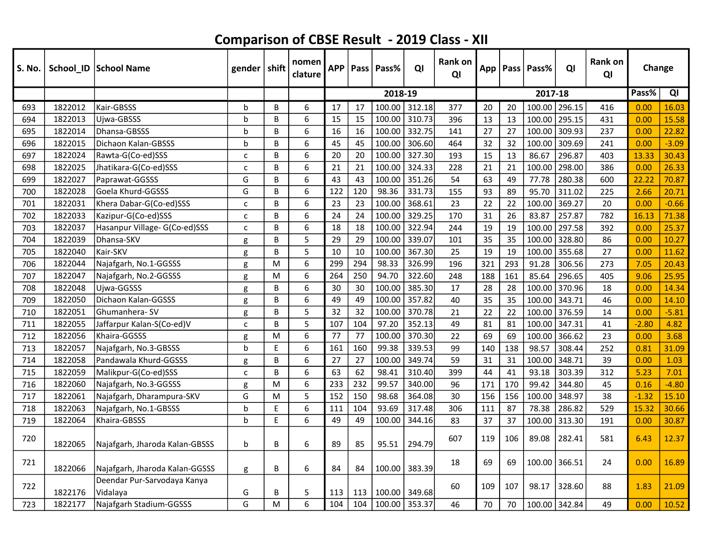| S. No. |         | School_ID   School Name                 | gender   shift |   | nomen<br>clature | <b>APP</b> |     | Pass   Pass% | QI     | Rank on<br>QI | App |     | Pass   Pass% | QI     | Rank on<br>QI | Change  |         |
|--------|---------|-----------------------------------------|----------------|---|------------------|------------|-----|--------------|--------|---------------|-----|-----|--------------|--------|---------------|---------|---------|
|        |         |                                         |                |   |                  |            |     | 2018-19      |        |               |     |     | 2017-18      |        |               | Pass%   | QI      |
| 693    | 1822012 | Kair-GBSSS                              | b              | B | 6                | 17         | 17  | 100.00       | 312.18 | 377           | 20  | 20  | 100.00       | 296.15 | 416           | 0.00    | 16.03   |
| 694    | 1822013 | Ujwa-GBSSS                              | h              | B | 6                | 15         | 15  | 100.00       | 310.73 | 396           | 13  | 13  | 100.00       | 295.15 | 431           | 0.00    | 15.58   |
| 695    | 1822014 | Dhansa-GBSSS                            | b              | B | 6                | 16         | 16  | 100.00       | 332.75 | 141           | 27  | 27  | 100.00       | 309.93 | 237           | 0.00    | 22.82   |
| 696    | 1822015 | Dichaon Kalan-GBSSS                     | h              | B | 6                | 45         | 45  | 100.00       | 306.60 | 464           | 32  | 32  | 100.00       | 309.69 | 241           | 0.00    | $-3.09$ |
| 697    | 1822024 | Rawta-G(Co-ed)SSS                       | c              | B | 6                | 20         | 20  | 100.00       | 327.30 | 193           | 15  | 13  | 86.67        | 296.87 | 403           | 13.33   | 30.43   |
| 698    | 1822025 | Jhatikara-G(Co-ed)SSS                   | $\mathbf{C}$   | B | 6                | 21         | 21  | 100.00       | 324.33 | 228           | 21  | 21  | 100.00       | 298.00 | 386           | 0.00    | 26.33   |
| 699    | 1822027 | Paprawat-GGSSS                          | G              | B | 6                | 43         | 43  | 100.00       | 351.26 | 54            | 63  | 49  | 77.78        | 280.38 | 600           | 22.22   | 70.87   |
| 700    | 1822028 | Goela Khurd-GGSSS                       | G              | B | 6                | 122        | 120 | 98.36        | 331.73 | 155           | 93  | 89  | 95.70        | 311.02 | 225           | 2.66    | 20.71   |
| 701    | 1822031 | Khera Dabar-G(Co-ed)SSS                 | C              | B | 6                | 23         | 23  | 100.00       | 368.61 | 23            | 22  | 22  | 100.00       | 369.27 | 20            | 0.00    | $-0.66$ |
| 702    | 1822033 | Kazipur-G(Co-ed)SSS                     | C              | B | 6                | 24         | 24  | 100.00       | 329.25 | 170           | 31  | 26  | 83.87        | 257.87 | 782           | 16.13   | 71.38   |
| 703    | 1822037 | Hasanpur Village- G(Co-ed)SSS           | C              | B | 6                | 18         | 18  | 100.00       | 322.94 | 244           | 19  | 19  | 100.00       | 297.58 | 392           | 0.00    | 25.37   |
| 704    | 1822039 | Dhansa-SKV                              | g              | B | 5                | 29         | 29  | 100.00       | 339.07 | 101           | 35  | 35  | 100.00       | 328.80 | 86            | 0.00    | 10.27   |
| 705    | 1822040 | Kair-SKV                                | g              | B | 5                | 10         | 10  | 100.00       | 367.30 | 25            | 19  | 19  | 100.00       | 355.68 | 27            | 0.00    | 11.62   |
| 706    | 1822044 | Najafgarh, No.1-GGSSS                   | g              | M | 6                | 299        | 294 | 98.33        | 326.99 | 196           | 321 | 293 | 91.28        | 306.56 | 273           | 7.05    | 20.43   |
| 707    | 1822047 | Najafgarh, No.2-GGSSS                   | g              | M | 6                | 264        | 250 | 94.70        | 322.60 | 248           | 188 | 161 | 85.64        | 296.65 | 405           | 9.06    | 25.95   |
| 708    | 1822048 | Ujwa-GGSSS                              | g              | B | 6                | 30         | 30  | 100.00       | 385.30 | 17            | 28  | 28  | 100.00       | 370.96 | 18            | 0.00    | 14.34   |
| 709    | 1822050 | Dichaon Kalan-GGSSS                     | g              | B | 6                | 49         | 49  | 100.00       | 357.82 | 40            | 35  | 35  | 100.00       | 343.71 | 46            | 0.00    | 14.10   |
| 710    | 1822051 | Ghumanhera-SV                           | g              | B | 5                | 32         | 32  | 100.00       | 370.78 | 21            | 22  | 22  | 100.00       | 376.59 | 14            | 0.00    | $-5.81$ |
| 711    | 1822055 | Jaffarpur Kalan-S(Co-ed)V               | C              | B | 5                | 107        | 104 | 97.20        | 352.13 | 49            | 81  | 81  | 100.00       | 347.31 | 41            | $-2.80$ | 4.82    |
| 712    | 1822056 | Khaira-GGSSS                            | g              | M | 6                | 77         | 77  | 100.00       | 370.30 | 22            | 69  | 69  | 100.00       | 366.62 | 23            | 0.00    | 3.68    |
| 713    | 1822057 | Najafgarh, No.3-GBSSS                   | h              | E | 6                | 161        | 160 | 99.38        | 339.53 | 99            | 140 | 138 | 98.57        | 308.44 | 252           | 0.81    | 31.09   |
| 714    | 1822058 | Pandawala Khurd-GGSSS                   | g              | B | 6                | 27         | 27  | 100.00       | 349.74 | 59            | 31  | 31  | 100.00       | 348.71 | 39            | 0.00    | 1.03    |
| 715    | 1822059 | Malikpur-G(Co-ed)SSS                    | C              | B | 6                | 63         | 62  | 98.41        | 310.40 | 399           | 44  | 41  | 93.18        | 303.39 | 312           | 5.23    | 7.01    |
| 716    | 1822060 | Najafgarh, No.3-GGSSS                   | g              | M | 6                | 233        | 232 | 99.57        | 340.00 | 96            | 171 | 170 | 99.42        | 344.80 | 45            | 0.16    | $-4.80$ |
| 717    | 1822061 | Najafgarh, Dharampura-SKV               | G              | M | 5                | 152        | 150 | 98.68        | 364.08 | 30            | 156 | 156 | 100.00       | 348.97 | 38            | $-1.32$ | 15.10   |
| 718    | 1822063 | Najafgarh, No.1-GBSSS                   | b              | E | 6                | 111        | 104 | 93.69        | 317.48 | 306           | 111 | 87  | 78.38        | 286.82 | 529           | 15.32   | 30.66   |
| 719    | 1822064 | Khaira-GBSSS                            | b              | E | 6                | 49         | 49  | 100.00       | 344.16 | 83            | 37  | 37  | 100.00       | 313.30 | 191           | 0.00    | 30.87   |
| 720    | 1822065 | Najafgarh, Jharoda Kalan-GBSSS          | b              | B | 6                | 89         | 85  | 95.51        | 294.79 | 607           | 119 | 106 | 89.08        | 282.41 | 581           | 6.43    | 12.37   |
| 721    | 1822066 | Najafgarh, Jharoda Kalan-GGSSS          | g              | В | 6                | 84         | 84  | 100.00       | 383.39 | 18            | 69  | 69  | 100.00       | 366.51 | 24            | 0.00    | 16.89   |
| 722    | 1822176 | Deendar Pur-Sarvodaya Kanya<br>Vidalaya | G              | B | 5                | 113        | 113 | 100.00       | 349.68 | 60            | 109 | 107 | 98.17        | 328.60 | 88            | 1.83    | 21.09   |
| 723    | 1822177 | Najafgarh Stadium-GGSSS                 | G              | M | 6                | 104        | 104 | 100.00       | 353.37 | 46            | 70  | 70  | 100.00       | 342.84 | 49            | 0.00    | 10.52   |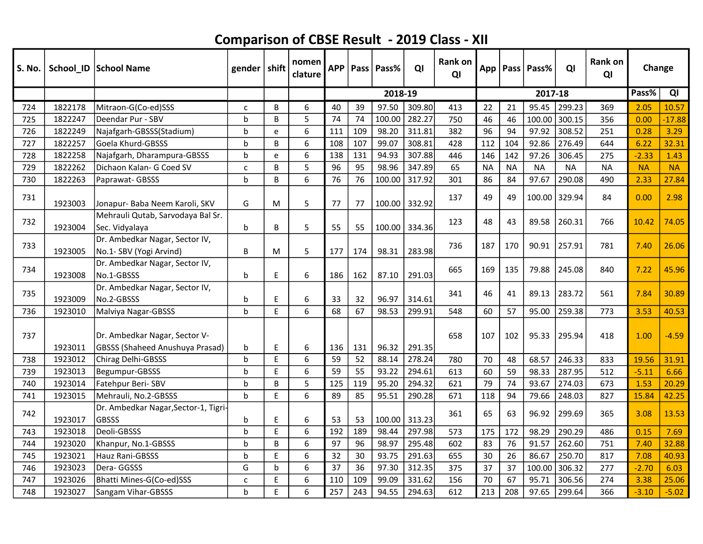| <b>S. No.</b> |         | School_ID School Name                                                   | gender   shift |    | nomen<br>clature | <b>APP</b> |     | Pass   Pass% | QI     | <b>Rank on</b><br>QI |           |           | App   Pass   Pass% | QI        | Rank on<br>QI | Change    |           |
|---------------|---------|-------------------------------------------------------------------------|----------------|----|------------------|------------|-----|--------------|--------|----------------------|-----------|-----------|--------------------|-----------|---------------|-----------|-----------|
|               |         |                                                                         |                |    |                  |            |     | 2018-19      |        |                      |           |           | 2017-18            |           |               | Pass%     | QI        |
| 724           | 1822178 | Mitraon-G(Co-ed)SSS                                                     | $\mathsf{C}$   | B  | 6                | 40         | 39  | 97.50        | 309.80 | 413                  | 22        | 21        | 95.45              | 299.23    | 369           | 2.05      | 10.57     |
| 725           | 1822247 | Deendar Pur - SBV                                                       | $\mathbf b$    | B  | 5                | 74         | 74  | 100.00       | 282.27 | 750                  | 46        | 46        | 100.00             | 300.15    | 356           | 0.00      | $-17.88$  |
| 726           | 1822249 | Najafgarh-GBSSS(Stadium)                                                | $\mathbf b$    | e  | 6                | 111        | 109 | 98.20        | 311.81 | 382                  | 96        | 94        | 97.92              | 308.52    | 251           | 0.28      | 3.29      |
| 727           | 1822257 | Goela Khurd-GBSSS                                                       | h              | B  | 6                | 108        | 107 | 99.07        | 308.81 | 428                  | 112       | 104       | 92.86              | 276.49    | 644           | 6.22      | 32.31     |
| 728           | 1822258 | Najafgarh, Dharampura-GBSSS                                             | h              | e  | 6                | 138        | 131 | 94.93        | 307.88 | 446                  | 146       | 142       | 97.26              | 306.45    | 275           | $-2.33$   | 1.43      |
| 729           | 1822262 | Dichaon Kalan- G Coed SV                                                | $\mathsf{C}$   | B  | 5                | 96         | 95  | 98.96        | 347.89 | 65                   | <b>NA</b> | <b>NA</b> | <b>NA</b>          | <b>NA</b> | <b>NA</b>     | <b>NA</b> | <b>NA</b> |
| 730           | 1822263 | Paprawat-GBSSS                                                          | h              | B  | 6                | 76         | 76  | 100.00       | 317.92 | 301                  | 86        | 84        | 97.67              | 290.08    | 490           | 2.33      | 27.84     |
| 731           | 1923003 | Jonapur- Baba Neem Karoli, SKV                                          | G              | M  | 5                | 77         | 77  | 100.00       | 332.92 | 137                  | 49        | 49        | 100.00             | 329.94    | 84            | 0.00      | 2.98      |
| 732           | 1923004 | Mehrauli Qutab, Sarvodaya Bal Sr.<br>Sec. Vidyalaya                     | b              | B  | 5                | 55         | 55  | 100.00       | 334.36 | 123                  | 48        | 43        | 89.58              | 260.31    | 766           | 10.42     | 74.05     |
| 733           | 1923005 | Dr. Ambedkar Nagar, Sector IV,<br>No.1- SBV (Yogi Arvind)               | B              | M  | 5                | 177        | 174 | 98.31        | 283.98 | 736                  | 187       | 170       | 90.91              | 257.91    | 781           | 7.40      | 26.06     |
| 734           | 1923008 | Dr. Ambedkar Nagar, Sector IV,<br>No.1-GBSSS                            | b              | E  | 6                | 186        | 162 | 87.10        | 291.03 | 665                  | 169       | 135       | 79.88              | 245.08    | 840           | 7.22      | 45.96     |
| 735           |         | Dr. Ambedkar Nagar, Sector IV,                                          |                |    |                  |            |     |              |        | 341                  | 46        | 41        | 89.13              | 283.72    | 561           | 7.84      | 30.89     |
|               | 1923009 | No.2-GBSSS                                                              | b              | E  | 6                | 33         | 32  | 96.97        | 314.61 |                      |           |           |                    |           |               |           |           |
| 736           | 1923010 | Malviya Nagar-GBSSS                                                     | $\mathsf b$    | E. | 6                | 68         | 67  | 98.53        | 299.91 | 548                  | 60        | 57        | 95.00              | 259.38    | 773           | 3.53      | 40.53     |
| 737           | 1923011 | Dr. Ambedkar Nagar, Sector V-<br><b>GBSSS (Shaheed Anushuya Prasad)</b> | b              | E  | 6                | 136        | 131 | 96.32        | 291.35 | 658                  | 107       | 102       | 95.33              | 295.94    | 418           | 1.00      | $-4.59$   |
| 738           | 1923012 | Chirag Delhi-GBSSS                                                      | $\mathsf b$    | E. | 6                | 59         | 52  | 88.14        | 278.24 | 780                  | 70        | 48        | 68.57              | 246.33    | 833           | 19.56     | 31.91     |
| 739           | 1923013 | Begumpur-GBSSS                                                          | b              | E. | 6                | 59         | 55  | 93.22        | 294.61 | 613                  | 60        | 59        | 98.33              | 287.95    | 512           | $-5.11$   | 6.66      |
| 740           | 1923014 | Fatehpur Beri-SBV                                                       | b              | B  | 5                | 125        | 119 | 95.20        | 294.32 | 621                  | 79        | 74        | 93.67              | 274.03    | 673           | 1.53      | 20.29     |
| 741           | 1923015 | Mehrauli, No.2-GBSSS                                                    | $\mathbf b$    | E  | 6                | 89         | 85  | 95.51        | 290.28 | 671                  | 118       | 94        | 79.66              | 248.03    | 827           | 15.84     | 42.25     |
| 742           | 1923017 | Dr. Ambedkar Nagar, Sector-1, Tigri-<br><b>GBSSS</b>                    | b              | E  | 6                | 53         | 53  | 100.00       | 313.23 | 361                  | 65        | 63        | 96.92              | 299.69    | 365           | 3.08      | 13.53     |
| 743           | 1923018 | Deoli-GBSSS                                                             | $\mathbf b$    | E  | 6                | 192        | 189 | 98.44        | 297.98 | 573                  | 175       | 172       | 98.29              | 290.29    | 486           | 0.15      | 7.69      |
| 744           | 1923020 | Khanpur, No.1-GBSSS                                                     | h              | B  | 6                | 97         | 96  | 98.97        | 295.48 | 602                  | 83        | 76        | 91.57              | 262.60    | 751           | 7.40      | 32.88     |
| 745           | 1923021 | Hauz Rani-GBSSS                                                         | b              | E  | 6                | 32         | 30  | 93.75        | 291.63 | 655                  | 30        | 26        | 86.67              | 250.70    | 817           | 7.08      | 40.93     |
| 746           | 1923023 | Dera-GGSSS                                                              | G              | b  | 6                | 37         | 36  | 97.30        | 312.35 | 375                  | 37        | 37        | 100.00             | 306.32    | 277           | $-2.70$   | 6.03      |
| 747           | 1923026 | Bhatti Mines-G(Co-ed)SSS                                                | $\mathsf{C}$   | E  | 6                | 110        | 109 | 99.09        | 331.62 | 156                  | 70        | 67        | 95.71              | 306.56    | 274           | 3.38      | 25.06     |
| 748           | 1923027 | Sangam Vihar-GBSSS                                                      | h              | E  | 6                | 257        | 243 | 94.55        | 294.63 | 612                  | 213       | 208       | 97.65              | 299.64    | 366           | $-3.10$   | $-5.02$   |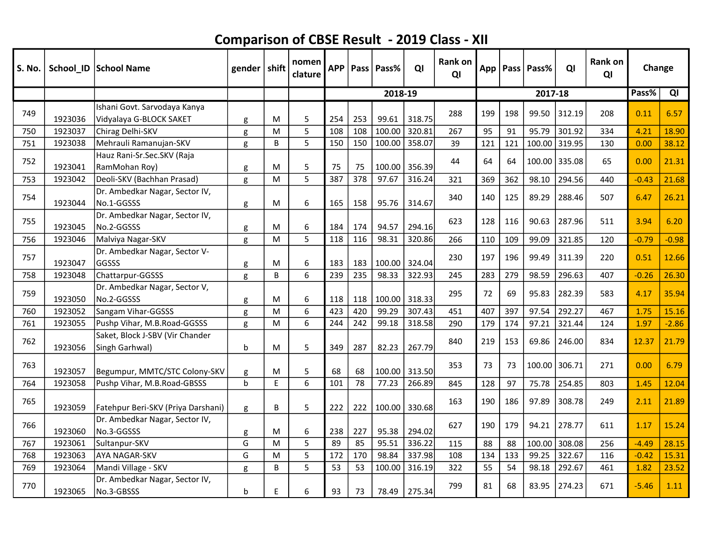| <b>S. No.</b> |         | School_ID   School Name                                 | gender      | $\vert$ shift | nomen<br>clature | <b>APP</b> | Pass | Pass%   | QI     | Rank on<br>QI | App | <b>Pass</b> | Pass%         | QI     | Rank on<br>QI | Change  |         |
|---------------|---------|---------------------------------------------------------|-------------|---------------|------------------|------------|------|---------|--------|---------------|-----|-------------|---------------|--------|---------------|---------|---------|
|               |         |                                                         |             |               |                  |            |      | 2018-19 |        |               |     |             | 2017-18       |        |               | Pass%   | QI      |
| 749           | 1923036 | Ishani Govt. Sarvodaya Kanya<br>Vidyalaya G-BLOCK SAKET | g           | M             | 5                | 254        | 253  | 99.61   | 318.75 | 288           | 199 | 198         | 99.50         | 312.19 | 208           | 0.11    | 6.57    |
| 750           | 1923037 | Chirag Delhi-SKV                                        | g           | M             | 5                | 108        | 108  | 100.00  | 320.81 | 267           | 95  | 91          | 95.79         | 301.92 | 334           | 4.21    | 18.90   |
| 751           | 1923038 | Mehrauli Ramanujan-SKV                                  | g           | B             | 5                | 150        | 150  | 100.00  | 358.07 | 39            | 121 | 121         | 100.00 319.95 |        | 130           | 0.00    | 38.12   |
| 752           | 1923041 | Hauz Rani-Sr.Sec.SKV (Raja<br>RamMohan Roy)             | g           | М             | 5                | 75         | 75   | 100.00  | 356.39 | 44            | 64  | 64          | 100.00        | 335.08 | 65            | 0.00    | 21.31   |
| 753           | 1923042 | Deoli-SKV (Bachhan Prasad)                              | g           | M             | 5                | 387        | 378  | 97.67   | 316.24 | 321           | 369 | 362         | 98.10         | 294.56 | 440           | $-0.43$ | 21.68   |
| 754           | 1923044 | Dr. Ambedkar Nagar, Sector IV,<br>No.1-GGSSS            | g           | M             | 6                | 165        | 158  | 95.76   | 314.67 | 340           | 140 | 125         | 89.29         | 288.46 | 507           | 6.47    | 26.21   |
| 755           | 1923045 | Dr. Ambedkar Nagar, Sector IV,<br>No.2-GGSSS            | g           | M             | 6                | 184        | 174  | 94.57   | 294.16 | 623           | 128 | 116         | 90.63         | 287.96 | 511           | 3.94    | 6.20    |
| 756           | 1923046 | Malviya Nagar-SKV                                       | g           | M             | 5                | 118        | 116  | 98.31   | 320.86 | 266           | 110 | 109         | 99.09         | 321.85 | 120           | $-0.79$ | $-0.98$ |
| 757           | 1923047 | Dr. Ambedkar Nagar, Sector V-<br><b>GGSSS</b>           | g           | M             | 6                | 183        | 183  | 100.00  | 324.04 | 230           | 197 | 196         | 99.49         | 311.39 | 220           | 0.51    | 12.66   |
| 758           | 1923048 | Chattarpur-GGSSS                                        | g           | B             | 6                | 239        | 235  | 98.33   | 322.93 | 245           | 283 | 279         | 98.59         | 296.63 | 407           | $-0.26$ | 26.30   |
| 759           | 1923050 | Dr. Ambedkar Nagar, Sector V,<br>No.2-GGSSS             | g           | M             | $\boldsymbol{6}$ | 118        | 118  | 100.00  | 318.33 | 295           | 72  | 69          | 95.83         | 282.39 | 583           | 4.17    | 35.94   |
| 760           | 1923052 | Sangam Vihar-GGSSS                                      | g           | M             | 6                | 423        | 420  | 99.29   | 307.43 | 451           | 407 | 397         | 97.54         | 292.27 | 467           | 1.75    | 15.16   |
| 761           | 1923055 | Pushp Vihar, M.B.Road-GGSSS                             | g           | M             | 6                | 244        | 242  | 99.18   | 318.58 | 290           | 179 | 174         | 97.21         | 321.44 | 124           | 1.97    | $-2.86$ |
| 762           | 1923056 | Saket, Block J-SBV (Vir Chander<br>Singh Garhwal)       | b           | M             | 5                | 349        | 287  | 82.23   | 267.79 | 840           | 219 | 153         | 69.86         | 246.00 | 834           | 12.37   | 21.79   |
| 763           | 1923057 | Begumpur, MMTC/STC Colony-SKV                           | g           | M             | 5                | 68         | 68   | 100.00  | 313.50 | 353           | 73  | 73          | 100.00        | 306.71 | 271           | 0.00    | 6.79    |
| 764           | 1923058 | Pushp Vihar, M.B.Road-GBSSS                             | $\mathbf b$ | E             | 6                | 101        | 78   | 77.23   | 266.89 | 845           | 128 | 97          | 75.78         | 254.85 | 803           | 1.45    | 12.04   |
| 765           | 1923059 | Fatehpur Beri-SKV (Priya Darshani)                      | g           | B             | 5                | 222        | 222  | 100.00  | 330.68 | 163           | 190 | 186         | 97.89         | 308.78 | 249           | 2.11    | 21.89   |
| 766           | 1923060 | Dr. Ambedkar Nagar, Sector IV,<br>No.3-GGSSS            | g           | M             | 6                | 238        | 227  | 95.38   | 294.02 | 627           | 190 | 179         | 94.21         | 278.77 | 611           | 1.17    | 15.24   |
| 767           | 1923061 | Sultanpur-SKV                                           | G           | M             | 5                | 89         | 85   | 95.51   | 336.22 | 115           | 88  | 88          | 100.00        | 308.08 | 256           | $-4.49$ | 28.15   |
| 768           | 1923063 | <b>AYA NAGAR-SKV</b>                                    | G           | M             | 5                | 172        | 170  | 98.84   | 337.98 | 108           | 134 | 133         | 99.25         | 322.67 | 116           | $-0.42$ | 15.31   |
| 769           | 1923064 | Mandi Village - SKV                                     | g           | B             | 5                | 53         | 53   | 100.00  | 316.19 | 322           | 55  | 54          | 98.18         | 292.67 | 461           | 1.82    | 23.52   |
| 770           | 1923065 | Dr. Ambedkar Nagar, Sector IV,<br>No.3-GBSSS            | b           | E             | 6                | 93         | 73   | 78.49   | 275.34 | 799           | 81  | 68          | 83.95         | 274.23 | 671           | $-5.46$ | 1.11    |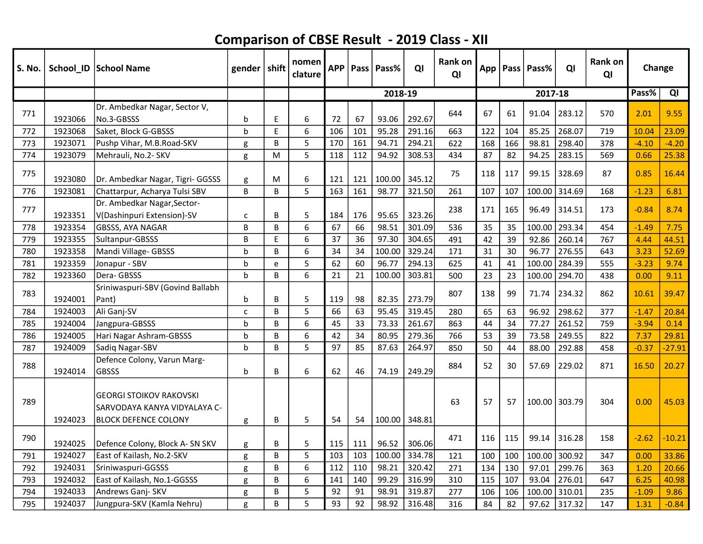| S. No. |         | School_ID School Name                                                                         | gender $ $ shift |   | nomen<br>clature | <b>APP</b> | Pass | Pass%         | QI     | <b>Rank on</b><br>QI |     |     | App   Pass   Pass% | QI     | Rank on<br>QI | Change  |          |
|--------|---------|-----------------------------------------------------------------------------------------------|------------------|---|------------------|------------|------|---------------|--------|----------------------|-----|-----|--------------------|--------|---------------|---------|----------|
|        |         |                                                                                               |                  |   |                  |            |      | 2018-19       |        |                      |     |     | 2017-18            |        |               | Pass%   | QI       |
| 771    | 1923066 | Dr. Ambedkar Nagar, Sector V,<br>No.3-GBSSS                                                   | b                | E | 6                | 72         | 67   | 93.06         | 292.67 | 644                  | 67  | 61  | 91.04              | 283.12 | 570           | 2.01    | 9.55     |
| 772    | 1923068 | Saket, Block G-GBSSS                                                                          | b                | E | 6                | 106        | 101  | 95.28         | 291.16 | 663                  | 122 | 104 | 85.25              | 268.07 | 719           | 10.04   | 23.09    |
| 773    | 1923071 | Pushp Vihar, M.B.Road-SKV                                                                     | g                | B | 5                | 170        | 161  | 94.71         | 294.21 | 622                  | 168 | 166 | 98.81              | 298.40 | 378           | $-4.10$ | $-4.20$  |
| 774    | 1923079 | Mehrauli, No.2- SKV                                                                           | g                | M | 5                | 118        | 112  | 94.92         | 308.53 | 434                  | 87  | 82  | 94.25              | 283.15 | 569           | 0.66    | 25.38    |
| 775    | 1923080 | Dr. Ambedkar Nagar, Tigri- GGSSS                                                              | g                | M | 6                | 121        | 121  | 100.00        | 345.12 | 75                   | 118 | 117 | 99.15              | 328.69 | 87            | 0.85    | 16.44    |
| 776    | 1923081 | Chattarpur, Acharya Tulsi SBV                                                                 | B                | B | 5                | 163        | 161  | 98.77         | 321.50 | 261                  | 107 | 107 | 100.00             | 314.69 | 168           | $-1.23$ | 6.81     |
| 777    | 1923351 | Dr. Ambedkar Nagar, Sector-<br>V(Dashinpuri Extension)-SV                                     | $\mathsf{C}$     | В | 5                | 184        | 176  | 95.65         | 323.26 | 238                  | 171 | 165 | 96.49              | 314.51 | 173           | $-0.84$ | 8.74     |
| 778    | 1923354 | <b>GBSSS, AYA NAGAR</b>                                                                       | B                | B | 6                | 67         | 66   | 98.51         | 301.09 | 536                  | 35  | 35  | 100.00             | 293.34 | 454           | $-1.49$ | 7.75     |
| 779    | 1923355 | Sultanpur-GBSSS                                                                               | B                | E | 6                | 37         | 36   | 97.30         | 304.65 | 491                  | 42  | 39  | 92.86              | 260.14 | 767           | 4.44    | 44.51    |
| 780    | 1923358 | Mandi Village- GBSSS                                                                          | b                | B | 6                | 34         | 34   | 100.00        | 329.24 | 171                  | 31  | 30  | 96.77              | 276.55 | 643           | 3.23    | 52.69    |
| 781    | 1923359 | Jonapur - SBV                                                                                 | b                | e | 5                | 62         | 60   | 96.77         | 294.13 | 625                  | 41  | 41  | 100.00             | 284.39 | 555           | $-3.23$ | 9.74     |
| 782    | 1923360 | Dera-GBSSS                                                                                    | $\mathbf b$      | B | 6                | 21         | 21   | 100.00        | 303.81 | 500                  | 23  | 23  | 100.00             | 294.70 | 438           | 0.00    | 9.11     |
| 783    | 1924001 | Sriniwaspuri-SBV (Govind Ballabh<br>Pant)                                                     | b                | B | 5                | 119        | 98   | 82.35         | 273.79 | 807                  | 138 | 99  | 71.74              | 234.32 | 862           | 10.61   | 39.47    |
| 784    | 1924003 | Ali Ganj-SV                                                                                   | $\mathsf{C}$     | B | 5                | 66         | 63   | 95.45         | 319.45 | 280                  | 65  | 63  | 96.92              | 298.62 | 377           | $-1.47$ | 20.84    |
| 785    | 1924004 | Jangpura-GBSSS                                                                                | b                | B | 6                | 45         | 33   | 73.33         | 261.67 | 863                  | 44  | 34  | 77.27              | 261.52 | 759           | $-3.94$ | 0.14     |
| 786    | 1924005 | Hari Nagar Ashram-GBSSS                                                                       | b                | B | 6                | 42         | 34   | 80.95         | 279.36 | 766                  | 53  | 39  | 73.58              | 249.55 | 822           | 7.37    | 29.81    |
| 787    | 1924009 | Sadiq Nagar-SBV                                                                               | b                | B | 5                | 97         | 85   | 87.63         | 264.97 | 850                  | 50  | 44  | 88.00              | 292.88 | 458           | $-0.37$ | $-27.91$ |
| 788    | 1924014 | Defence Colony, Varun Marg-<br><b>GBSSS</b>                                                   | b                | B | 6                | 62         | 46   | 74.19         | 249.29 | 884                  | 52  | 30  | 57.69              | 229.02 | 871           | 16.50   | 20.27    |
| 789    | 1924023 | <b>GEORGI STOIKOV RAKOVSKI</b><br>SARVODAYA KANYA VIDYALAYA C-<br><b>BLOCK DEFENCE COLONY</b> | g                | B | 5                | 54         | 54   | 100.00 348.81 |        | 63                   | 57  | 57  | 100.00             | 303.79 | 304           | 0.00    | 45.03    |
| 790    | 1924025 | Defence Colony, Block A- SN SKV                                                               | g                | В | 5                | 115        | 111  | 96.52         | 306.06 | 471                  | 116 | 115 | 99.14              | 316.28 | 158           | $-2.62$ | $-10.21$ |
| 791    | 1924027 | East of Kailash, No.2-SKV                                                                     | g                | B | 5                | 103        | 103  | 100.00        | 334.78 | 121                  | 100 | 100 | 100.00             | 300.92 | 347           | 0.00    | 33.86    |
| 792    | 1924031 | Sriniwaspuri-GGSSS                                                                            | g                | B | 6                | 112        | 110  | 98.21         | 320.42 | 271                  | 134 | 130 | 97.01              | 299.76 | 363           | 1.20    | 20.66    |
| 793    | 1924032 | East of Kailash, No.1-GGSSS                                                                   | g                | В | 6                | 141        | 140  | 99.29         | 316.99 | 310                  | 115 | 107 | 93.04              | 276.01 | 647           | 6.25    | 40.98    |
| 794    | 1924033 | Andrews Ganj- SKV                                                                             | g                | B | 5                | 92         | 91   | 98.91         | 319.87 | 277                  | 106 | 106 | 100.00             | 310.01 | 235           | $-1.09$ | 9.86     |
| 795    | 1924037 | Jungpura-SKV (Kamla Nehru)                                                                    | g                | B | 5                | 93         | 92   | 98.92         | 316.48 | 316                  | 84  | 82  | 97.62              | 317.32 | 147           | 1.31    | $-0.84$  |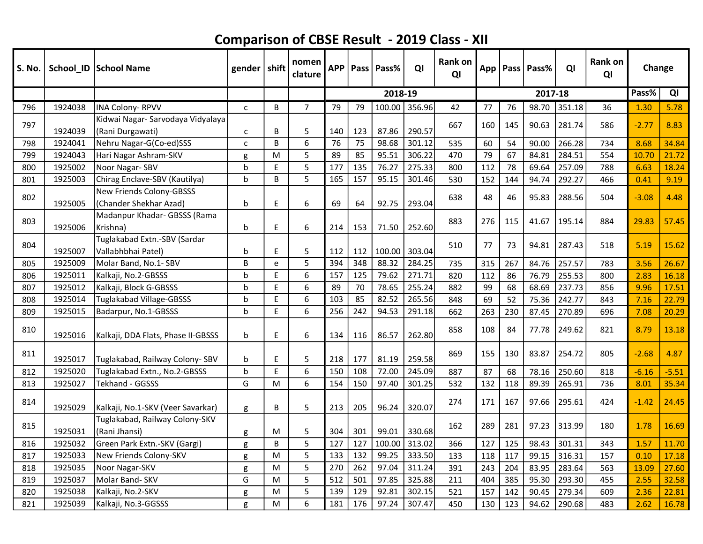| <b>S. No.</b> |         | School_ID   School Name                         | gender   shift |             | nomen<br>clature | <b>APP</b> |     | Pass   Pass% | QI     | Rank on<br>QI |     |     | App   Pass   Pass% | QI     | Rank on<br>QI | Change  |         |
|---------------|---------|-------------------------------------------------|----------------|-------------|------------------|------------|-----|--------------|--------|---------------|-----|-----|--------------------|--------|---------------|---------|---------|
|               |         |                                                 |                |             |                  |            |     | 2018-19      |        |               |     |     | 2017-18            |        |               | Pass%   | QI      |
| 796           | 1924038 | <b>INA Colony-RPVV</b>                          | $\mathsf{C}$   | B           | $\overline{7}$   | 79         | 79  | 100.00       | 356.96 | 42            | 77  | 76  | 98.70              | 351.18 | 36            | 1.30    | 5.78    |
| 797           |         | Kidwai Nagar- Sarvodaya Vidyalaya               |                |             |                  |            |     |              |        | 667           |     | 145 | 90.63              | 281.74 | 586           | $-2.77$ | 8.83    |
|               | 1924039 | (Rani Durgawati)                                | $\mathsf{C}$   | В           | 5                | 140        | 123 | 87.86        | 290.57 |               | 160 |     |                    |        |               |         |         |
| 798           | 1924041 | Nehru Nagar-G(Co-ed)SSS                         | $\mathsf{C}$   | B           | 6                | 76         | 75  | 98.68        | 301.12 | 535           | 60  | 54  | 90.00              | 266.28 | 734           | 8.68    | 34.84   |
| 799           | 1924043 | Hari Nagar Ashram-SKV                           | g              | M           | 5                | 89         | 85  | 95.51        | 306.22 | 470           | 79  | 67  | 84.81              | 284.51 | 554           | 10.70   | 21.72   |
| 800           | 1925002 | Noor Nagar-SBV                                  | $\mathbf b$    | E           | 5                | 177        | 135 | 76.27        | 275.33 | 800           | 112 | 78  | 69.64              | 257.09 | 788           | 6.63    | 18.24   |
| 801           | 1925003 | Chirag Enclave-SBV (Kautilya)                   | $\mathbf b$    | B           | 5                | 165        | 157 | 95.15        | 301.46 | 530           | 152 | 144 | 94.74              | 292.27 | 466           | 0.41    | 9.19    |
| 802           |         | <b>New Friends Colony-GBSSS</b>                 |                |             |                  |            |     |              |        | 638           | 48  | 46  | 95.83              | 288.56 | 504           | $-3.08$ | 4.48    |
|               | 1925005 | (Chander Shekhar Azad)                          | b              | $\mathsf E$ | 6                | 69         | 64  | 92.75        | 293.04 |               |     |     |                    |        |               |         |         |
| 803           |         | Madanpur Khadar- GBSSS (Rama                    |                |             |                  |            |     |              |        | 883           | 276 | 115 | 41.67              | 195.14 | 884           | 29.83   | 57.45   |
|               | 1925006 | Krishna)                                        | b              | E           | 6                | 214        | 153 | 71.50        | 252.60 |               |     |     |                    |        |               |         |         |
| 804           |         | Tuglakabad Extn.-SBV (Sardar                    |                |             |                  |            |     |              |        | 510           | 77  | 73  | 94.81              | 287.43 | 518           | 5.19    | 15.62   |
|               | 1925007 | Vallabhbhai Patel)                              | b              | E           | 5                | 112        | 112 | 100.00       | 303.04 |               |     |     |                    |        |               |         |         |
| 805           | 1925009 | Molar Band, No.1- SBV                           | B              | e           | 5                | 394        | 348 | 88.32        | 284.25 | 735           | 315 | 267 | 84.76              | 257.57 | 783           | 3.56    | 26.67   |
| 806           | 1925011 | Kalkaji, No.2-GBSSS                             | $\mathbf b$    | E           | 6                | 157        | 125 | 79.62        | 271.71 | 820           | 112 | 86  | 76.79              | 255.53 | 800           | 2.83    | 16.18   |
| 807           | 1925012 | Kalkaji, Block G-GBSSS                          | b              | E           | 6                | 89         | 70  | 78.65        | 255.24 | 882           | 99  | 68  | 68.69              | 237.73 | 856           | 9.96    | 17.51   |
| 808           | 1925014 | Tuglakabad Village-GBSSS                        | b              | E           | 6                | 103        | 85  | 82.52        | 265.56 | 848           | 69  | 52  | 75.36              | 242.77 | 843           | 7.16    | 22.79   |
| 809           | 1925015 | Badarpur, No.1-GBSSS                            | $\mathbf b$    | E           | 6                | 256        | 242 | 94.53        | 291.18 | 662           | 263 | 230 | 87.45              | 270.89 | 696           | 7.08    | 20.29   |
| 810           | 1925016 | Kalkaji, DDA Flats, Phase II-GBSSS              | b              | E           | 6                | 134        | 116 | 86.57        | 262.80 | 858           | 108 | 84  | 77.78              | 249.62 | 821           | 8.79    | 13.18   |
| 811           | 1925017 | Tuglakabad, Railway Colony- SBV                 | b              | E           | 5                | 218        | 177 | 81.19        | 259.58 | 869           | 155 | 130 | 83.87              | 254.72 | 805           | $-2.68$ | 4.87    |
| 812           | 1925020 | Tuglakabad Extn., No.2-GBSSS                    | $\mathsf b$    | E           | 6                | 150        | 108 | 72.00        | 245.09 | 887           | 87  | 68  | 78.16              | 250.60 | 818           | $-6.16$ | $-5.51$ |
| 813           | 1925027 | Tekhand - GGSSS                                 | G              | M           | 6                | 154        | 150 | 97.40        | 301.25 | 532           | 132 | 118 | 89.39              | 265.91 | 736           | 8.01    | 35.34   |
| 814           | 1925029 | Kalkaji, No.1-SKV (Veer Savarkar)               | g              | B           | 5                | 213        | 205 | 96.24        | 320.07 | 274           | 171 | 167 | 97.66              | 295.61 | 424           | $-1.42$ | 24.45   |
| 815           | 1925031 | Tuglakabad, Railway Colony-SKV<br>(Rani Jhansi) | g              | M           | 5                | 304        | 301 | 99.01        | 330.68 | 162           | 289 | 281 | 97.23              | 313.99 | 180           | 1.78    | 16.69   |
| 816           | 1925032 | Green Park Extn.-SKV (Gargi)                    | g              | B           | 5                | 127        | 127 | 100.00       | 313.02 | 366           | 127 | 125 | 98.43              | 301.31 | 343           | 1.57    | 11.70   |
| 817           | 1925033 | New Friends Colony-SKV                          | g              | M           | 5                | 133        | 132 | 99.25        | 333.50 | 133           | 118 | 117 | 99.15              | 316.31 | 157           | 0.10    | 17.18   |
| 818           | 1925035 | Noor Nagar-SKV                                  | g              | M           | 5                | 270        | 262 | 97.04        | 311.24 | 391           | 243 | 204 | 83.95              | 283.64 | 563           | 13.09   | 27.60   |
| 819           | 1925037 | Molar Band-SKV                                  | G              | M           | 5                | 512        | 501 | 97.85        | 325.88 | 211           | 404 | 385 | 95.30              | 293.30 | 455           | 2.55    | 32.58   |
| 820           | 1925038 | Kalkaji, No.2-SKV                               | g              | M           | 5                | 139        | 129 | 92.81        | 302.15 | 521           | 157 | 142 | 90.45              | 279.34 | 609           | 2.36    | 22.81   |
| 821           | 1925039 | Kalkaji, No.3-GGSSS                             | g              | M           | 6                | 181        | 176 | 97.24        | 307.47 | 450           | 130 | 123 | 94.62              | 290.68 | 483           | 2.62    | 16.78   |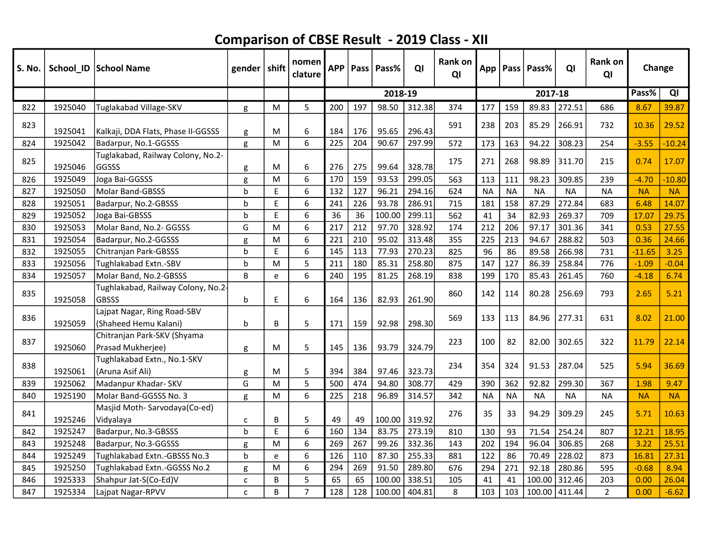| S. No. |         | School_ID   School Name                              | gender   shift |    | nomen<br>clature | <b>APP</b> | <b>Pass</b> | Pass%   | QI     | <b>Rank on</b><br>QI |           |           | App   Pass   Pass% | QI            | <b>Rank on</b><br>QI | Change    |           |
|--------|---------|------------------------------------------------------|----------------|----|------------------|------------|-------------|---------|--------|----------------------|-----------|-----------|--------------------|---------------|----------------------|-----------|-----------|
|        |         |                                                      |                |    |                  |            |             | 2018-19 |        |                      |           |           | 2017-18            |               |                      | Pass%     | QI        |
| 822    | 1925040 | Tuglakabad Village-SKV                               | g              | M  | 5                | 200        | 197         | 98.50   | 312.38 | 374                  | 177       | 159       | 89.83              | 272.51        | 686                  | 8.67      | 39.87     |
| 823    | 1925041 | Kalkaji, DDA Flats, Phase II-GGSSS                   | g              | M  | 6                | 184        | 176         | 95.65   | 296.43 | 591                  | 238       | 203       | 85.29              | 266.91        | 732                  | 10.36     | 29.52     |
| 824    | 1925042 | Badarpur, No.1-GGSSS                                 | g              | M  | 6                | 225        | 204         | 90.67   | 297.99 | 572                  | 173       | 163       | 94.22              | 308.23        | 254                  | $-3.55$   | $-10.24$  |
| 825    | 1925046 | Tuglakabad, Railway Colony, No.2-<br>GGSSS           | g              | M  | 6                | 276        | 275         | 99.64   | 328.78 | 175                  | 271       | 268       | 98.89              | 311.70        | 215                  | 0.74      | 17.07     |
| 826    | 1925049 | Joga Bai-GGSSS                                       | g              | M  | 6                | 170        | 159         | 93.53   | 299.05 | 563                  | 113       | 111       | 98.23              | 309.85        | 239                  | $-4.70$   | $-10.80$  |
| 827    | 1925050 | Molar Band-GBSSS                                     | b              | E. | 6                | 132        | 127         | 96.21   | 294.16 | 624                  | <b>NA</b> | <b>NA</b> | <b>NA</b>          | <b>NA</b>     | <b>NA</b>            | <b>NA</b> | <b>NA</b> |
| 828    | 1925051 | Badarpur, No.2-GBSSS                                 | b              | E  | 6                | 241        | 226         | 93.78   | 286.91 | 715                  | 181       | 158       | 87.29              | 272.84        | 683                  | 6.48      | 14.07     |
| 829    | 1925052 | Joga Bai-GBSSS                                       | b              | E  | 6                | 36         | 36          | 100.00  | 299.11 | 562                  | 41        | 34        | 82.93              | 269.37        | 709                  | 17.07     | 29.75     |
| 830    | 1925053 | Molar Band, No.2- GGSSS                              | G              | M  | 6                | 217        | 212         | 97.70   | 328.92 | 174                  | 212       | 206       | 97.17              | 301.36        | 341                  | 0.53      | 27.55     |
| 831    | 1925054 | Badarpur, No.2-GGSSS                                 | g              | M  | 6                | 221        | 210         | 95.02   | 313.48 | 355                  | 225       | 213       | 94.67              | 288.82        | 503                  | 0.36      | 24.66     |
| 832    | 1925055 | Chitranjan Park-GBSSS                                | b              | E  | 6                | 145        | 113         | 77.93   | 270.23 | 825                  | 96        | 86        | 89.58              | 266.98        | 731                  | $-11.65$  | 3.25      |
| 833    | 1925056 | Tughlakabad Extn.-SBV                                | b              | M  | 5                | 211        | 180         | 85.31   | 258.80 | 875                  | 147       | 127       | 86.39              | 258.84        | 776                  | $-1.09$   | $-0.04$   |
| 834    | 1925057 | Molar Band, No.2-GBSSS                               | B              | e  | 6                | 240        | 195         | 81.25   | 268.19 | 838                  | 199       | 170       | 85.43              | 261.45        | 760                  | $-4.18$   | 6.74      |
| 835    | 1925058 | Tughlakabad, Railway Colony, No.2<br><b>GBSSS</b>    | b              | E  | 6                | 164        | 136         | 82.93   | 261.90 | 860                  | 142       | 114       | 80.28              | 256.69        | 793                  | 2.65      | 5.21      |
| 836    | 1925059 | Lajpat Nagar, Ring Road-SBV<br>(Shaheed Hemu Kalani) | b              | B  | 5                | 171        | 159         | 92.98   | 298.30 | 569                  | 133       | 113       | 84.96              | 277.31        | 631                  | 8.02      | 21.00     |
| 837    | 1925060 | Chitranjan Park-SKV (Shyama<br>Prasad Mukherjee)     | g              | M  | 5                | 145        | 136         | 93.79   | 324.79 | 223                  | 100       | 82        | 82.00              | 302.65        | 322                  | 11.79     | 22.14     |
| 838    | 1925061 | Tughlakabad Extn., No.1-SKV<br>(Aruna Asif Ali)      | g              | M  | 5                | 394        | 384         | 97.46   | 323.73 | 234                  | 354       | 324       | 91.53              | 287.04        | 525                  | 5.94      | 36.69     |
| 839    | 1925062 | Madanpur Khadar- SKV                                 | G              | M  | 5                | 500        | 474         | 94.80   | 308.77 | 429                  | 390       | 362       | 92.82              | 299.30        | 367                  | 1.98      | 9.47      |
| 840    | 1925190 | Molar Band-GGSSS No. 3                               | g              | M  | 6                | 225        | 218         | 96.89   | 314.57 | 342                  | <b>NA</b> | <b>NA</b> | <b>NA</b>          | <b>NA</b>     | <b>NA</b>            | <b>NA</b> | <b>NA</b> |
| 841    | 1925246 | Masjid Moth-Sarvodaya(Co-ed)<br>Vidyalaya            | c              | B  | 5                | 49         | 49          | 100.00  | 319.92 | 276                  | 35        | 33        | 94.29              | 309.29        | 245                  | 5.71      | 10.63     |
| 842    | 1925247 | Badarpur, No.3-GBSSS                                 | b              | E  | 6                | 160        | 134         | 83.75   | 273.19 | 810                  | 130       | 93        | 71.54              | 254.24        | 807                  | 12.21     | 18.95     |
| 843    | 1925248 | Badarpur, No.3-GGSSS                                 | g              | M  | 6                | 269        | 267         | 99.26   | 332.36 | 143                  | 202       | 194       | 96.04              | 306.85        | 268                  | 3.22      | 25.51     |
| 844    | 1925249 | Tughlakabad Extn.-GBSSS No.3                         | b              | e  | 6                | 126        | 110         | 87.30   | 255.33 | 881                  | 122       | 86        | 70.49              | 228.02        | 873                  | 16.81     | 27.31     |
| 845    | 1925250 | Tughlakabad Extn.-GGSSS No.2                         | g              | M  | 6                | 294        | 269         | 91.50   | 289.80 | 676                  | 294       | 271       | 92.18              | 280.86        | 595                  | $-0.68$   | 8.94      |
| 846    | 1925333 | Shahpur Jat-S(Co-Ed)V                                | $\mathsf{C}$   | B  | 5                | 65         | 65          | 100.00  | 338.51 | 105                  | 41        | 41        | 100.00             | 312.46        | 203                  | 0.00      | 26.04     |
| 847    | 1925334 | Lajpat Nagar-RPVV                                    | $\mathsf{C}$   | B  | $\overline{7}$   | 128        | 128         | 100.00  | 404.81 | 8                    | 103       | 103       |                    | 100.00 411.44 | $\overline{2}$       | 0.00      | $-6.62$   |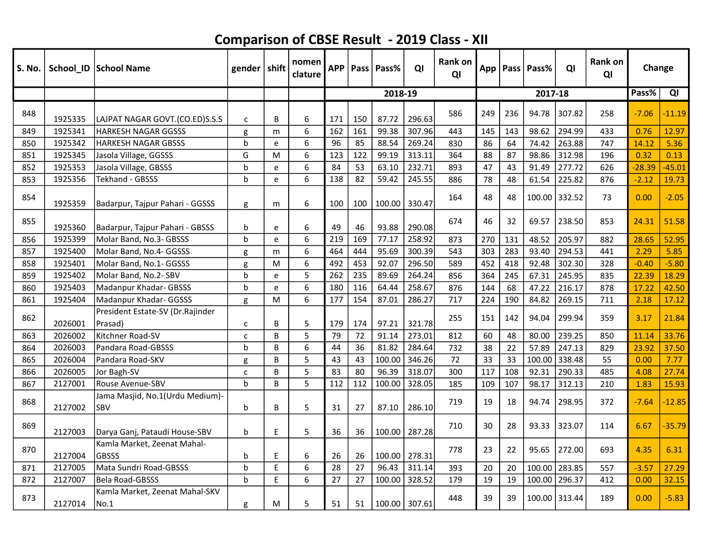| <b>S. No.</b> |         | School_ID School Name                         | gender   shift |    | nomen<br>clature | <b>APP</b> |     | Pass   Pass%  | QI     | <b>Rank on</b><br>QI |     |     | App   Pass   Pass% | ΟI     | Rank on<br>QI | Change   |          |
|---------------|---------|-----------------------------------------------|----------------|----|------------------|------------|-----|---------------|--------|----------------------|-----|-----|--------------------|--------|---------------|----------|----------|
|               |         |                                               |                |    |                  |            |     | 2018-19       |        |                      |     |     | 2017-18            |        |               | Pass%    | QI       |
| 848           | 1925335 | LAJPAT NAGAR GOVT.(CO.ED)S.S.S                | c              | B  | 6                | 171        | 150 | 87.72         | 296.63 | 586                  | 249 | 236 | 94.78              | 307.82 | 258           | $-7.06$  | $-11.19$ |
| 849           | 1925341 | <b>HARKESH NAGAR GGSSS</b>                    | g              | m  | 6                | 162        | 161 | 99.38         | 307.96 | 443                  | 145 | 143 | 98.62              | 294.99 | 433           | 0.76     | 12.97    |
| 850           | 1925342 | <b>HARKESH NAGAR GBSSS</b>                    | $\mathbf b$    | e  | 6                | 96         | 85  | 88.54         | 269.24 | 830                  | 86  | 64  | 74.42              | 263.88 | 747           | 14.12    | 5.36     |
| 851           | 1925345 | Jasola Village, GGSSS                         | G              | M  | 6                | 123        | 122 | 99.19         | 313.11 | 364                  | 88  | 87  | 98.86              | 312.98 | 196           | 0.32     | 0.13     |
| 852           | 1925353 | Jasola Village, GBSSS                         | b              | e  | 6                | 84         | 53  | 63.10         | 232.71 | 893                  | 47  | 43  | 91.49              | 277.72 | 626           | $-28.39$ | $-45.01$ |
| 853           | 1925356 | Tekhand - GBSSS                               | h              | e  | 6                | 138        | 82  | 59.42         | 245.55 | 886                  | 78  | 48  | 61.54              | 225.82 | 876           | $-2.12$  | 19.73    |
| 854           | 1925359 | Badarpur, Tajpur Pahari - GGSSS               | g              | m  | 6                | 100        | 100 | 100.00        | 330.47 | 164                  | 48  | 48  | 100.00 332.52      |        | 73            | 0.00     | $-2.05$  |
| 855           | 1925360 | Badarpur, Tajpur Pahari - GBSSS               | b              | e  | 6                | 49         | 46  | 93.88         | 290.08 | 674                  | 46  | 32  | 69.57              | 238.50 | 853           | 24.31    | 51.58    |
| 856           | 1925399 | Molar Band, No.3- GBSSS                       | h              | e  | 6                | 219        | 169 | 77.17         | 258.92 | 873                  | 270 | 131 | 48.52              | 205.97 | 882           | 28.65    | 52.95    |
| 857           | 1925400 | Molar Band, No.4- GGSSS                       | g              | m  | 6                | 464        | 444 | 95.69         | 300.39 | 543                  | 303 | 283 | 93.40              | 294.53 | 441           | 2.29     | 5.85     |
| 858           | 1925401 | Molar Band, No.1- GGSSS                       | g              | M  | 6                | 492        | 453 | 92.07         | 296.50 | 589                  | 452 | 418 | 92.48              | 302.30 | 328           | $-0.40$  | $-5.80$  |
| 859           | 1925402 | Molar Band, No.2- SBV                         | $\mathbf b$    | e  | 5                | 262        | 235 | 89.69         | 264.24 | 856                  | 364 | 245 | 67.31              | 245.95 | 835           | 22.39    | 18.29    |
| 860           | 1925403 | Madanpur Khadar- GBSSS                        | h              | e  | 6                | 180        | 116 | 64.44         | 258.67 | 876                  | 144 | 68  | 47.22              | 216.17 | 878           | 17.22    | 42.50    |
| 861           | 1925404 | Madanpur Khadar- GGSSS                        | g              | M  | 6                | 177        | 154 | 87.01         | 286.27 | 717                  | 224 | 190 | 84.82              | 269.15 | 711           | 2.18     | 17.12    |
| 862           | 2026001 | President Estate-SV (Dr.Rajinder<br>Prasad)   | C              | B  | 5                | 179        | 174 | 97.21         | 321.78 | 255                  | 151 | 142 | 94.04              | 299.94 | 359           | 3.17     | 21.84    |
| 863           | 2026002 | Kitchner Road-SV                              | C              | B  | 5                | 79         | 72  | 91.14         | 273.01 | 812                  | 60  | 48  | 80.00              | 239.25 | 850           | 11.14    | 33.76    |
| 864           | 2026003 | Pandara Road-GBSSS                            | h              | B  | 6                | 44         | 36  | 81.82         | 284.64 | 732                  | 38  | 22  | 57.89              | 247.13 | 829           | 23.92    | 37.50    |
| 865           | 2026004 | Pandara Road-SKV                              | g              | B  | 5                | 43         | 43  | 100.00        | 346.26 | 72                   | 33  | 33  | 100.00             | 338.48 | 55            | 0.00     | 7.77     |
| 866           | 2026005 | Jor Bagh-SV                                   | C              | B  | 5                | 83         | 80  | 96.39         | 318.07 | 300                  | 117 | 108 | 92.31              | 290.33 | 485           | 4.08     | 27.74    |
| 867           | 2127001 | Rouse Avenue-SBV                              | $\mathsf b$    | B  | 5                | 112        | 112 | 100.00        | 328.05 | 185                  | 109 | 107 | 98.17              | 312.13 | 210           | 1.83     | 15.93    |
| 868           | 2127002 | Jama Masjid, No.1(Urdu Medium)-<br><b>SBV</b> | b              | B  | 5                | 31         | 27  | 87.10         | 286.10 | 719                  | 19  | 18  | 94.74              | 298.95 | 372           | $-7.64$  | $-12.85$ |
| 869           | 2127003 | Darya Ganj, Pataudi House-SBV                 | b              | E  | 5                | 36         | 36  | 100.00        | 287.28 | 710                  | 30  | 28  | 93.33              | 323.07 | 114           | 6.67     | $-35.79$ |
| 870           | 2127004 | Kamla Market, Zeenat Mahal-<br><b>GBSSS</b>   | b              | E. | 6                | 26         | 26  | 100.00        | 278.31 | 778                  | 23  | 22  | 95.65              | 272.00 | 693           | 4.35     | 6.31     |
| 871           | 2127005 | Mata Sundri Road-GBSSS                        | h              | E. | 6                | 28         | 27  | 96.43         | 311.14 | 393                  | 20  | 20  | 100.00             | 283.85 | 557           | $-3.57$  | 27.29    |
| 872           | 2127007 | <b>Bela Road-GBSSS</b>                        | h              | E. | 6                | 27         | 27  | 100.00        | 328.52 | 179                  | 19  | 19  | 100.00             | 296.37 | 412           | 0.00     | 32.15    |
| 873           | 2127014 | Kamla Market, Zeenat Mahal-SKV<br>No.1        | g              | M  | 5                | 51         | 51  | 100.00 307.61 |        | 448                  | 39  | 39  | 100.00 313.44      |        | 189           | 0.00     | $-5.83$  |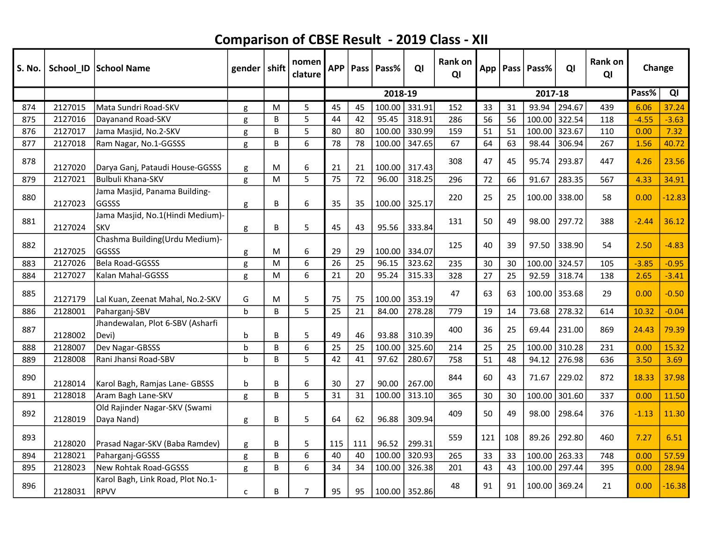| S. No. |         | School_ID   School Name                          | gender      | $\vert$ shift | nomen<br>clature | <b>APP</b> | Pass l | l Pass% | QI            | Rank on<br>QI |     |     | App   Pass   Pass% | QI     | Rank on<br>QI |         | Change   |
|--------|---------|--------------------------------------------------|-------------|---------------|------------------|------------|--------|---------|---------------|---------------|-----|-----|--------------------|--------|---------------|---------|----------|
|        |         |                                                  |             |               |                  |            |        | 2018-19 |               |               |     |     | 2017-18            |        |               | Pass%   | QI       |
| 874    | 2127015 | Mata Sundri Road-SKV                             | g           | M             | 5                | 45         | 45     | 100.00  | 331.91        | 152           | 33  | 31  | 93.94              | 294.67 | 439           | 6.06    | 37.24    |
| 875    | 2127016 | Dayanand Road-SKV                                | g           | B             | 5                | 44         | 42     | 95.45   | 318.91        | 286           | 56  | 56  | 100.00             | 322.54 | 118           | $-4.55$ | $-3.63$  |
| 876    | 2127017 | Jama Masjid, No.2-SKV                            | g           | B             | 5                | 80         | 80     | 100.00  | 330.99        | 159           | 51  | 51  | 100.00             | 323.67 | 110           | 0.00    | 7.32     |
| 877    | 2127018 | Ram Nagar, No.1-GGSSS                            | g           | B             | 6                | 78         | 78     | 100.00  | 347.65        | 67            | 64  | 63  | 98.44              | 306.94 | 267           | 1.56    | 40.72    |
| 878    | 2127020 | Darya Ganj, Pataudi House-GGSSS                  | g           | M             | 6                | 21         | 21     | 100.00  | 317.43        | 308           | 47  | 45  | 95.74              | 293.87 | 447           | 4.26    | 23.56    |
| 879    | 2127021 | Bulbuli Khana-SKV                                | g           | M             | 5                | 75         | 72     | 96.00   | 318.25        | 296           | 72  | 66  | 91.67              | 283.35 | 567           | 4.33    | 34.91    |
| 880    | 2127023 | Jama Masjid, Panama Building-<br>lGGSSS          | g           | B             | 6                | 35         | 35     | 100.00  | 325.17        | 220           | 25  | 25  | 100.00             | 338.00 | 58            | 0.00    | $-12.83$ |
| 881    | 2127024 | Jama Masjid, No.1(Hindi Medium)-<br><b>SKV</b>   | g           | В             | 5                | 45         | 43     | 95.56   | 333.84        | 131           | 50  | 49  | 98.00              | 297.72 | 388           | $-2.44$ | 36.12    |
| 882    | 2127025 | Chashma Building(Urdu Medium)-<br>GGSSS          | g           | M             | 6                | 29         | 29     | 100.00  | 334.07        | 125           | 40  | 39  | 97.50              | 338.90 | 54            | 2.50    | $-4.83$  |
| 883    | 2127026 | Bela Road-GGSSS                                  | g           | M             | 6                | 26         | 25     | 96.15   | 323.62        | 235           | 30  | 30  | 100.00             | 324.57 | 105           | $-3.85$ | $-0.95$  |
| 884    | 2127027 | Kalan Mahal-GGSSS                                | g           | M             | 6                | 21         | 20     | 95.24   | 315.33        | 328           | 27  | 25  | 92.59              | 318.74 | 138           | 2.65    | $-3.41$  |
| 885    | 2127179 | Lal Kuan, Zeenat Mahal, No.2-SKV                 | G           | M             | 5                | 75         | 75     | 100.00  | 353.19        | 47            | 63  | 63  | 100.00             | 353.68 | 29            | 0.00    | $-0.50$  |
| 886    | 2128001 | Paharganj-SBV                                    | $\mathbf b$ | B             | 5                | 25         | 21     | 84.00   | 278.28        | 779           | 19  | 14  | 73.68              | 278.32 | 614           | 10.32   | $-0.04$  |
| 887    | 2128002 | Jhandewalan, Plot 6-SBV (Asharfi<br>Devi)        | b           | B             | 5                | 49         | 46     | 93.88   | 310.39        | 400           | 36  | 25  | 69.44              | 231.00 | 869           | 24.43   | 79.39    |
| 888    | 2128007 | Dev Nagar-GBSSS                                  | $\mathbf b$ | B             | 6                | 25         | 25     | 100.00  | 325.60        | 214           | 25  | 25  | 100.00             | 310.28 | 231           | 0.00    | 15.32    |
| 889    | 2128008 | Rani Jhansi Road-SBV                             | $\mathbf b$ | B             | 5                | 42         | 41     | 97.62   | 280.67        | 758           | 51  | 48  | 94.12              | 276.98 | 636           | 3.50    | 3.69     |
| 890    | 2128014 | Karol Bagh, Ramjas Lane- GBSSS                   | b           | B             | 6                | 30         | 27     | 90.00   | 267.00        | 844           | 60  | 43  | 71.67              | 229.02 | 872           | 18.33   | 37.98    |
| 891    | 2128018 | Aram Bagh Lane-SKV                               | g           | B             | 5                | 31         | 31     | 100.00  | 313.10        | 365           | 30  | 30  | 100.00             | 301.60 | 337           | 0.00    | 11.50    |
| 892    | 2128019 | Old Rajinder Nagar-SKV (Swami<br>Daya Nand)      | g           | В             | 5                | 64         | 62     | 96.88   | 309.94        | 409           | 50  | 49  | 98.00              | 298.64 | 376           | $-1.13$ | 11.30    |
| 893    | 2128020 | Prasad Nagar-SKV (Baba Ramdev)                   | g           | В             | 5                | 115        | 111    | 96.52   | 299.31        | 559           | 121 | 108 | 89.26              | 292.80 | 460           | 7.27    | 6.51     |
| 894    | 2128021 | Paharganj-GGSSS                                  | g           | B             | 6                | 40         | 40     | 100.00  | 320.93        | 265           | 33  | 33  | 100.00             | 263.33 | 748           | 0.00    | 57.59    |
| 895    | 2128023 | New Rohtak Road-GGSSS                            | g           | B             | 6                | 34         | 34     | 100.00  | 326.38        | 201           | 43  | 43  | 100.00             | 297.44 | 395           | 0.00    | 28.94    |
| 896    | 2128031 | Karol Bagh, Link Road, Plot No.1-<br><b>RPVV</b> | C           | B             | $\overline{7}$   | 95         | 95     |         | 100.00 352.86 | 48            | 91  | 91  | 100.00             | 369.24 | 21            | 0.00    | $-16.38$ |